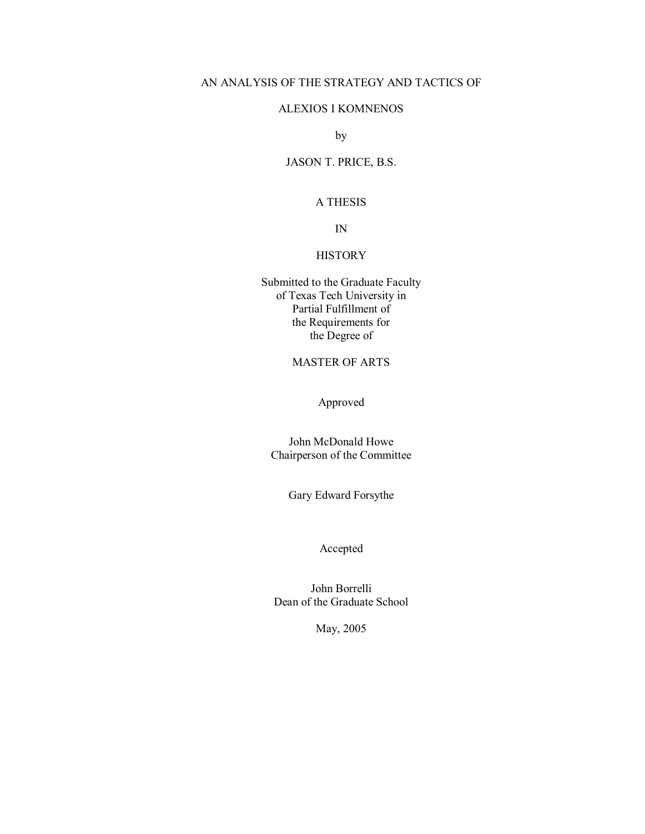# AN ANALYSIS OF THE STRATEGY AND TACTICS OF

#### ALEXIOS I KOMNENOS

by

#### JASON T. PRICE, B.S.

#### A THESIS

IN

# **HISTORY**

Submitted to the Graduate Faculty of Texas Tech University in Partial Fulfillment of the Requirements for the Degree of

# MASTER OF ARTS

Approved

John McDonald Howe Chairperson of the Committee

Gary Edward Forsythe

# Accepted

John Borrelli Dean of the Graduate School

May, 2005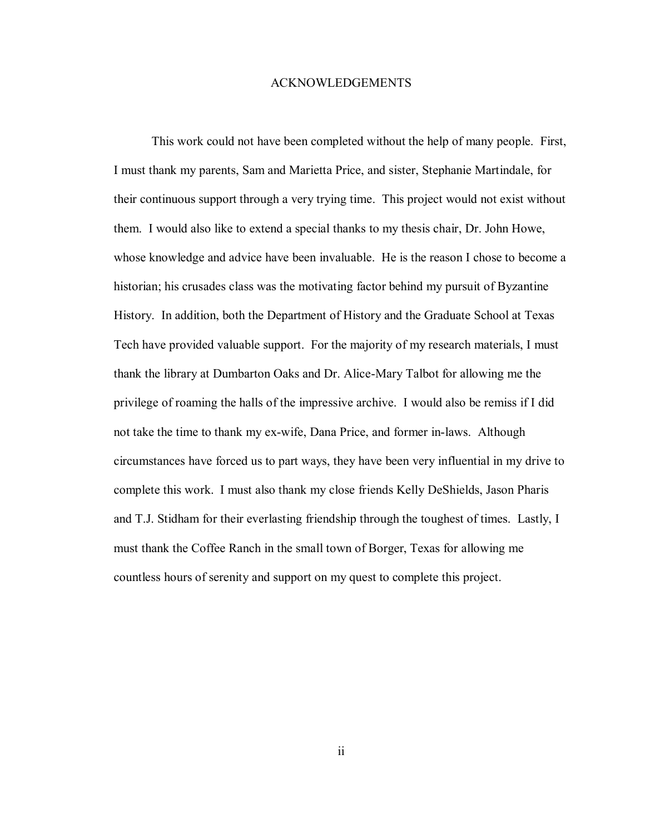#### ACKNOWLEDGEMENTS

This work could not have been completed without the help of many people. First, I must thank my parents, Sam and Marietta Price, and sister, Stephanie Martindale, for their continuous support through a very trying time. This project would not exist without them. I would also like to extend a special thanks to my thesis chair, Dr. John Howe, whose knowledge and advice have been invaluable. He is the reason I chose to become a historian; his crusades class was the motivating factor behind my pursuit of Byzantine History. In addition, both the Department of History and the Graduate School at Texas Tech have provided valuable support. For the majority of my research materials, I must thank the library at Dumbarton Oaks and Dr. Alice-Mary Talbot for allowing me the privilege of roaming the halls of the impressive archive. I would also be remiss if I did not take the time to thank my ex-wife, Dana Price, and former in-laws. Although circumstances have forced us to part ways, they have been very influential in my drive to complete this work. I must also thank my close friends Kelly DeShields, Jason Pharis and T.J. Stidham for their everlasting friendship through the toughest of times. Lastly, I must thank the Coffee Ranch in the small town of Borger, Texas for allowing me countless hours of serenity and support on my quest to complete this project.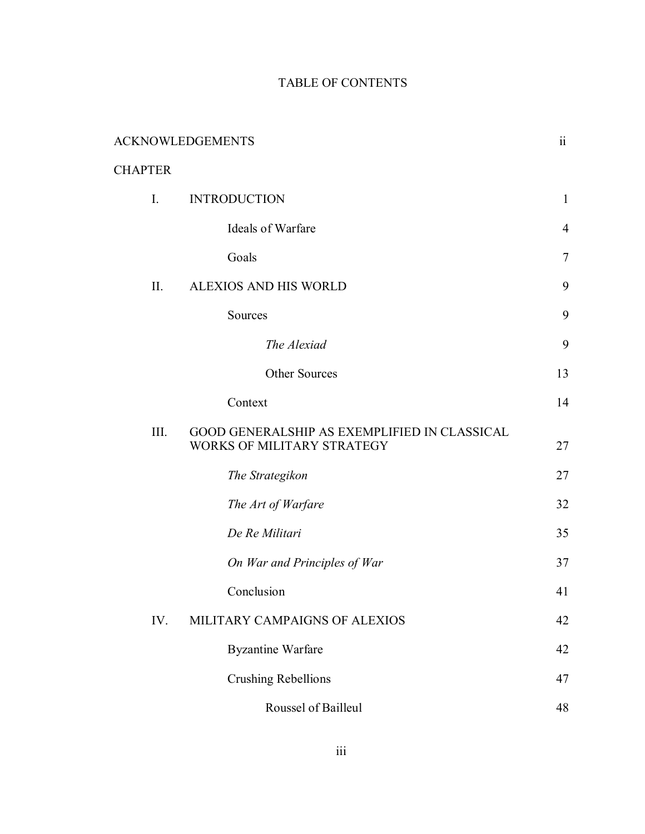# TABLE OF CONTENTS

| <b>ACKNOWLEDGEMENTS</b> |                                                                            | $\ddot{\rm n}$ |
|-------------------------|----------------------------------------------------------------------------|----------------|
| <b>CHAPTER</b>          |                                                                            |                |
| $I_{\cdot}$             | <b>INTRODUCTION</b>                                                        | $\mathbf{1}$   |
|                         | Ideals of Warfare                                                          | $\overline{4}$ |
|                         | Goals                                                                      | $\overline{7}$ |
| II.                     | ALEXIOS AND HIS WORLD                                                      | 9              |
|                         | Sources                                                                    | 9              |
|                         | The Alexiad                                                                | 9              |
|                         | Other Sources                                                              | 13             |
|                         | Context                                                                    | 14             |
| III.                    | GOOD GENERALSHIP AS EXEMPLIFIED IN CLASSICAL<br>WORKS OF MILITARY STRATEGY | 27             |
|                         | The Strategikon                                                            | 27             |
|                         | The Art of Warfare                                                         | 32             |
|                         | De Re Militari                                                             | 35             |
|                         | On War and Principles of War                                               | 37             |
|                         | Conclusion                                                                 | 41             |
| IV.                     | MILITARY CAMPAIGNS OF ALEXIOS                                              | 42             |
|                         | <b>Byzantine Warfare</b>                                                   | 42             |
|                         | <b>Crushing Rebellions</b>                                                 | 47             |
|                         | Roussel of Bailleul                                                        | 48             |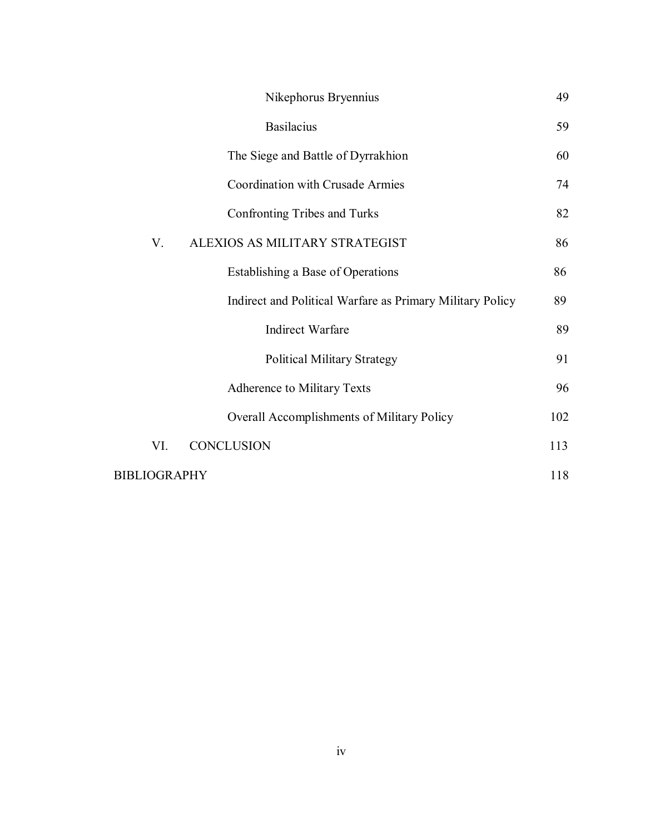|                     | Nikephorus Bryennius                                      | 49  |
|---------------------|-----------------------------------------------------------|-----|
|                     | <b>Basilacius</b>                                         | 59  |
|                     | The Siege and Battle of Dyrrakhion                        | 60  |
|                     | <b>Coordination with Crusade Armies</b>                   | 74  |
|                     | Confronting Tribes and Turks                              | 82  |
| V.                  | ALEXIOS AS MILITARY STRATEGIST                            | 86  |
|                     | Establishing a Base of Operations                         | 86  |
|                     | Indirect and Political Warfare as Primary Military Policy | 89  |
|                     | Indirect Warfare                                          | 89  |
|                     | <b>Political Military Strategy</b>                        | 91  |
|                     | <b>Adherence to Military Texts</b>                        | 96  |
|                     | Overall Accomplishments of Military Policy                | 102 |
| VI.                 | <b>CONCLUSION</b>                                         | 113 |
| <b>BIBLIOGRAPHY</b> |                                                           | 118 |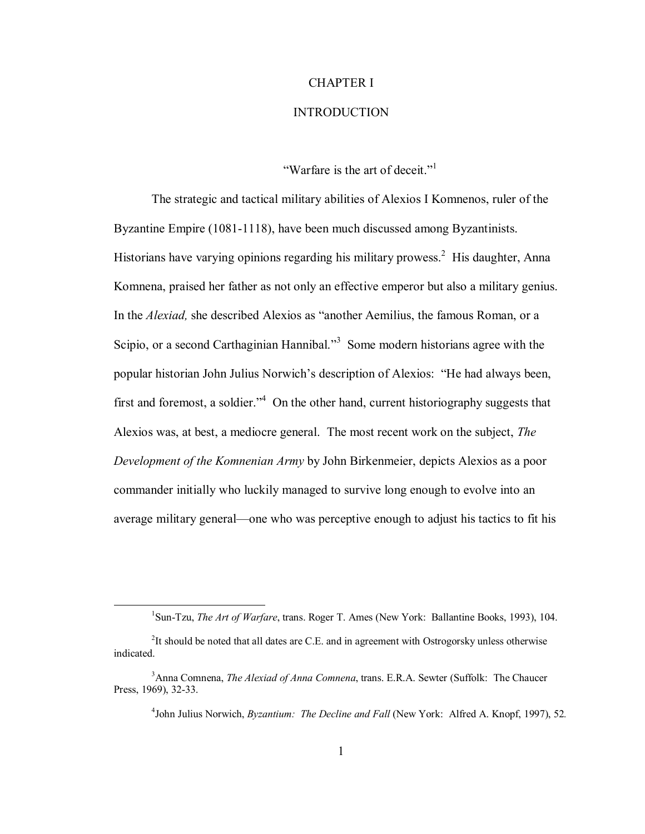# CHAPTER I

#### INTRODUCTION

"Warfare is the art of deceit." $\frac{1}{1}$ 

The strategic and tactical military abilities of Alexios I Komnenos, ruler of the Byzantine Empire (1081-1118), have been much discussed among Byzantinists. Historians have varying opinions regarding his military prowess.<sup>2</sup> His daughter, Anna Komnena, praised her father as not only an effective emperor but also a military genius. In the *Alexiad*, she described Alexios as "another Aemilius, the famous Roman, or a Scipio, or a second Carthaginian Hannibal."<sup>3</sup> Some modern historians agree with the popular historian John Julius Norwich's description of Alexios: "He had always been, first and foremost, a soldier." $4$  On the other hand, current historiography suggests that Alexios was, at best, a mediocre general. The most recent work on the subject, *The Development of the Komnenian Army* by John Birkenmeier, depicts Alexios as a poor commander initially who luckily managed to survive long enough to evolve into an average military general—one who was perceptive enough to adjust his tactics to fit his

4 John Julius Norwich, *Byzantium: The Decline and Fall* (New York: Alfred A. Knopf, 1997), 52*.* 

<sup>&</sup>lt;u>1</u> <sup>1</sup>Sun-Tzu, *The Art of Warfare*, trans. Roger T. Ames (New York: Ballantine Books, 1993), 104.

 $2$ It should be noted that all dates are C.E. and in agreement with Ostrogorsky unless otherwise indicated.

 <sup>3</sup> <sup>3</sup> Anna Comnena, *The Alexiad of Anna Comnena*, trans. E.R.A. Sewter (Suffolk: The Chaucer Press, 1969), 32-33.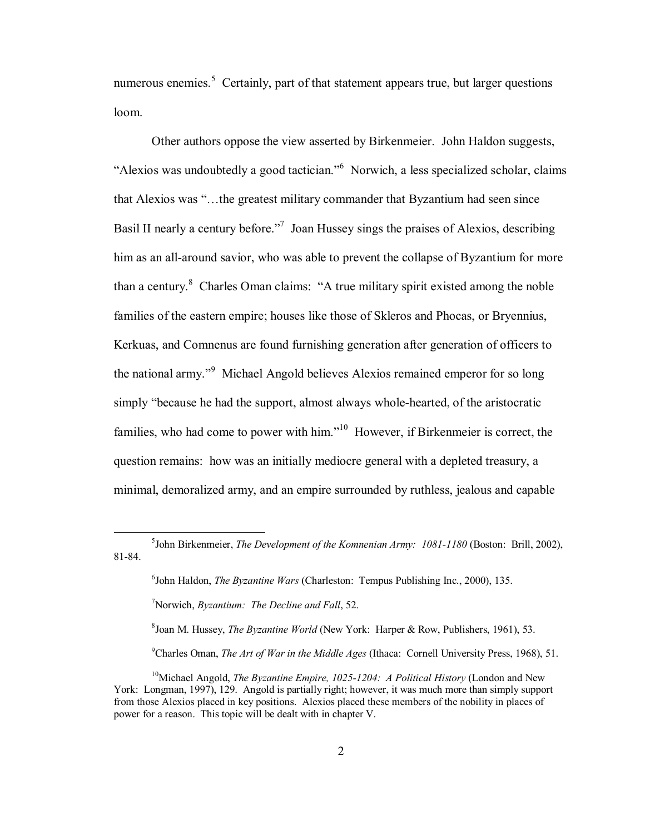numerous enemies.<sup>5</sup> Certainly, part of that statement appears true, but larger questions loom.

Other authors oppose the view asserted by Birkenmeier. John Haldon suggests, "Alexios was undoubtedly a good tactician." Norwich, a less specialized scholar, claims that Alexios was "...the greatest military commander that Byzantium had seen since Basil II nearly a century before.<sup> $n^7$ </sup> Joan Hussey sings the praises of Alexios, describing him as an all-around savior, who was able to prevent the collapse of Byzantium for more than a century.<sup>8</sup> Charles Oman claims: "A true military spirit existed among the noble families of the eastern empire; houses like those of Skleros and Phocas, or Bryennius, Kerkuas, and Comnenus are found furnishing generation after generation of officers to the national army."<sup>9</sup> Michael Angold believes Alexios remained emperor for so long simply "because he had the support, almost always whole-hearted, of the aristocratic families, who had come to power with him. $i<sup>10</sup>$  However, if Birkenmeier is correct, the question remains: how was an initially mediocre general with a depleted treasury, a minimal, demoralized army, and an empire surrounded by ruthless, jealous and capable

Joan M. Hussey, *The Byzantine World* (New York: Harper & Row, Publishers, 1961), 53.

9 Charles Oman, *The Art of War in the Middle Ages* (Ithaca: Cornell University Press, 1968), 51.

 $rac{1}{5}$ <sup>5</sup> John Birkenmeier, *The Development of the Komnenian Army: 1081-1180* (Boston: Brill, 2002), 81-84.

<sup>6</sup> John Haldon, *The Byzantine Wars* (Charleston: Tempus Publishing Inc., 2000), 135. 7 Norwich, *Byzantium: The Decline and Fall*, 52. 8

<sup>&</sup>lt;sup>10</sup>Michael Angold, *The Byzantine Empire, 1025-1204: A Political History* (London and New York: Longman, 1997), 129. Angold is partially right; however, it was much more than simply support from those Alexios placed in key positions. Alexios placed these members of the nobility in places of power for a reason. This topic will be dealt with in chapter V.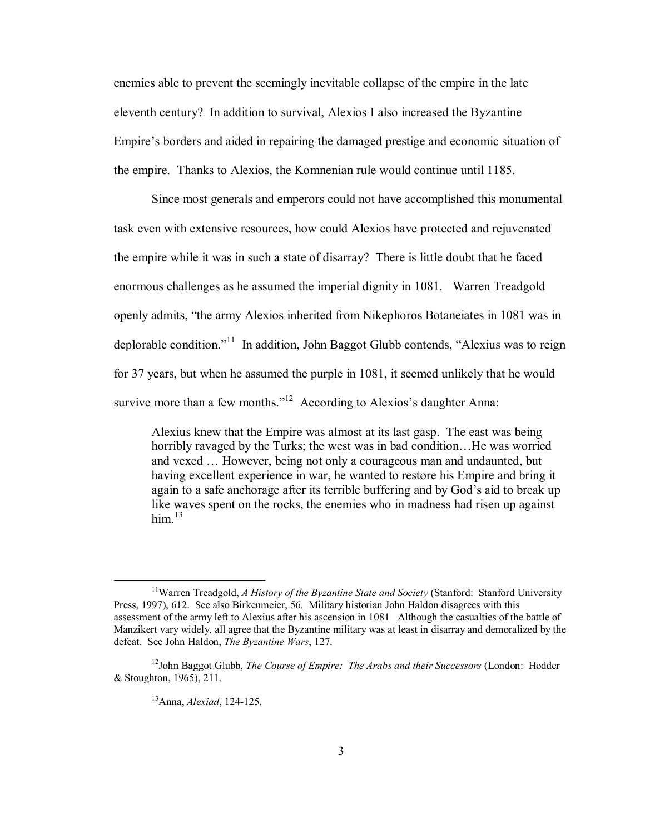enemies able to prevent the seemingly inevitable collapse of the empire in the late eleventh century? In addition to survival, Alexios I also increased the Byzantine Empire's borders and aided in repairing the damaged prestige and economic situation of the empire. Thanks to Alexios, the Komnenian rule would continue until 1185.

Since most generals and emperors could not have accomplished this monumental task even with extensive resources, how could Alexios have protected and rejuvenated the empire while it was in such a state of disarray? There is little doubt that he faced enormous challenges as he assumed the imperial dignity in 1081. Warren Treadgold openly admits, "the army Alexios inherited from Nikephoros Botaneiates in 1081 was in deplorable condition.<sup> $11$ </sup> In addition, John Baggot Glubb contends, "Alexius was to reign for 37 years, but when he assumed the purple in 1081, it seemed unlikely that he would survive more than a few months.<sup> $12$ </sup> According to Alexios's daughter Anna:

Alexius knew that the Empire was almost at its last gasp. The east was being horribly ravaged by the Turks; the west was in bad condition... He was worried and vexed  $\ldots$  However, being not only a courageous man and undaunted, but having excellent experience in war, he wanted to restore his Empire and bring it again to a safe anchorage after its terrible buffering and by God's aid to break up like waves spent on the rocks, the enemies who in madness had risen up against him $^{13}$ 

 <sup>11</sup>Warren Treadgold, *A History of the Byzantine State and Society* (Stanford: Stanford University Press, 1997), 612. See also Birkenmeier, 56. Military historian John Haldon disagrees with this assessment of the army left to Alexius after his ascension in 1081 Although the casualties of the battle of Manzikert vary widely, all agree that the Byzantine military was at least in disarray and demoralized by the defeat. See John Haldon, *The Byzantine Wars*, 127.

<sup>&</sup>lt;sup>12</sup>John Baggot Glubb, *The Course of Empire: The Arabs and their Successors* (London: Hodder & Stoughton, 1965), 211.

<sup>13</sup>Anna, *Alexiad*, 124-125.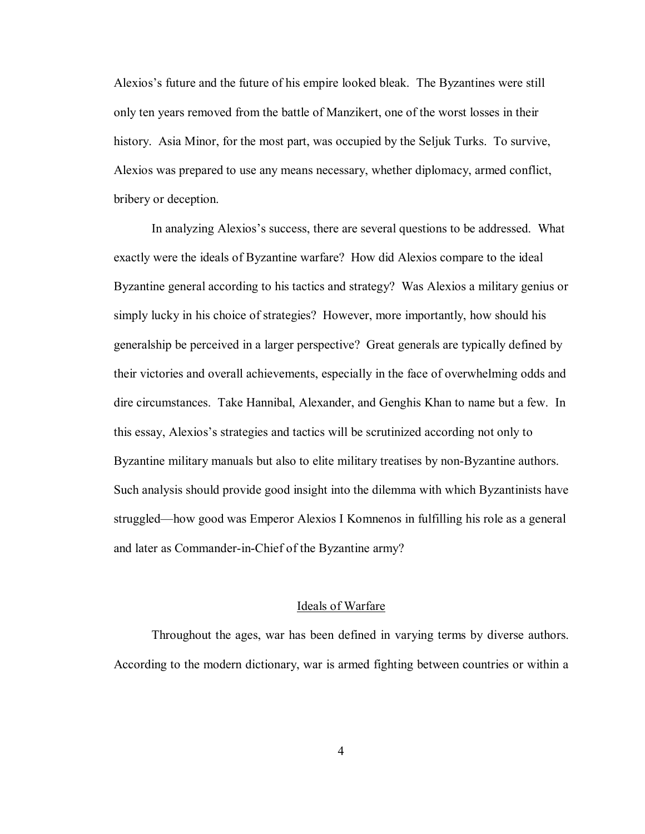Alexios's future and the future of his empire looked bleak. The Byzantines were still only ten years removed from the battle of Manzikert, one of the worst losses in their history. Asia Minor, for the most part, was occupied by the Seljuk Turks. To survive, Alexios was prepared to use any means necessary, whether diplomacy, armed conflict, bribery or deception.

In analyzing Alexios's success, there are several questions to be addressed. What exactly were the ideals of Byzantine warfare? How did Alexios compare to the ideal Byzantine general according to his tactics and strategy? Was Alexios a military genius or simply lucky in his choice of strategies? However, more importantly, how should his generalship be perceived in a larger perspective? Great generals are typically defined by their victories and overall achievements, especially in the face of overwhelming odds and dire circumstances. Take Hannibal, Alexander, and Genghis Khan to name but a few. In this essay, Alexios's strategies and tactics will be scrutinized according not only to Byzantine military manuals but also to elite military treatises by non-Byzantine authors. Such analysis should provide good insight into the dilemma with which Byzantinists have struggled—how good was Emperor Alexios I Komnenos in fulfilling his role as a general and later as Commander-in-Chief of the Byzantine army?

# Ideals of Warfare

 Throughout the ages, war has been defined in varying terms by diverse authors. According to the modern dictionary, war is armed fighting between countries or within a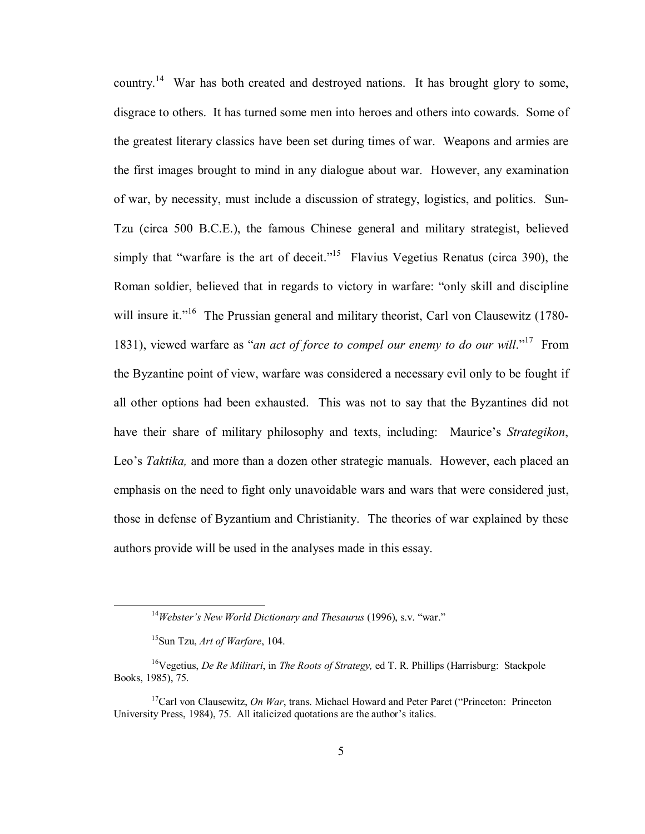country.14 War has both created and destroyed nations. It has brought glory to some, disgrace to others. It has turned some men into heroes and others into cowards. Some of the greatest literary classics have been set during times of war. Weapons and armies are the first images brought to mind in any dialogue about war. However, any examination of war, by necessity, must include a discussion of strategy, logistics, and politics. Sun-Tzu (circa 500 B.C.E.), the famous Chinese general and military strategist, believed simply that "warfare is the art of deceit."<sup>15</sup> Flavius Vegetius Renatus (circa 390), the Roman soldier, believed that in regards to victory in warfare: "only skill and discipline will insure it.<sup> $16$ </sup> The Prussian general and military theorist, Carl von Clausewitz (1780-1831), viewed warfare as "*an act of force to compel our enemy to do our will*.<sup>"17</sup> From the Byzantine point of view, warfare was considered a necessary evil only to be fought if all other options had been exhausted. This was not to say that the Byzantines did not have their share of military philosophy and texts, including: Maurice's *Strategikon*, Leo's *Taktika*, and more than a dozen other strategic manuals. However, each placed an emphasis on the need to fight only unavoidable wars and wars that were considered just, those in defense of Byzantium and Christianity. The theories of war explained by these authors provide will be used in the analyses made in this essay.

<sup>&</sup>lt;sup>14</sup>*Webster's New World Dictionary and Thesaurus* (1996), s.v. "war."

<sup>15</sup>Sun Tzu, *Art of Warfare*, 104.

<sup>16</sup>Vegetius, *De Re Militari*, in *The Roots of Strategy,* ed T. R. Phillips (Harrisburg: Stackpole Books, 1985), 75.

<sup>&</sup>lt;sup>17</sup>Carl von Clausewitz, *On War*, trans. Michael Howard and Peter Paret ("Princeton: Princeton University Press, 1984), 75. All italicized quotations are the author's italics.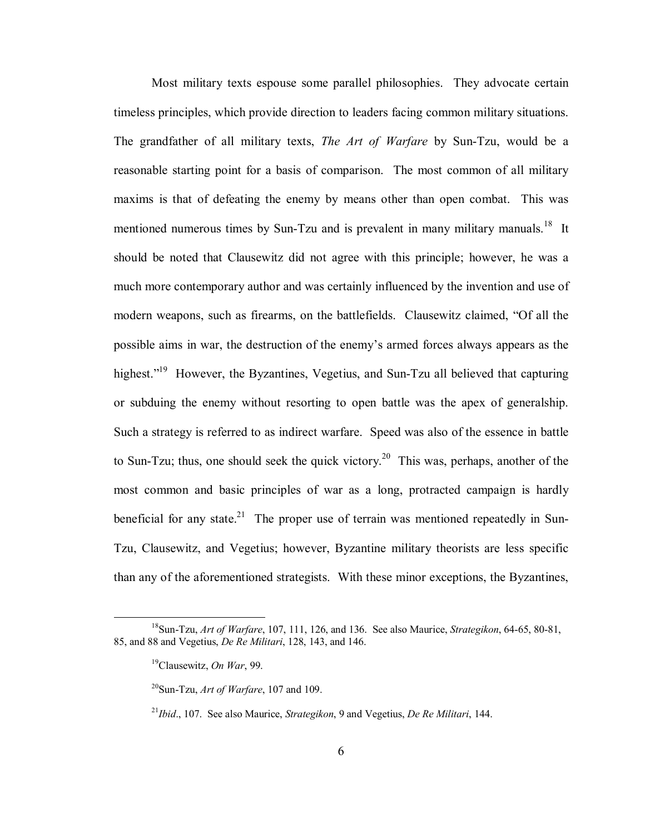Most military texts espouse some parallel philosophies. They advocate certain timeless principles, which provide direction to leaders facing common military situations. The grandfather of all military texts, *The Art of Warfare* by Sun-Tzu, would be a reasonable starting point for a basis of comparison. The most common of all military maxims is that of defeating the enemy by means other than open combat. This was mentioned numerous times by Sun-Tzu and is prevalent in many military manuals.<sup>18</sup> It should be noted that Clausewitz did not agree with this principle; however, he was a much more contemporary author and was certainly influenced by the invention and use of modern weapons, such as firearms, on the battlefields. Clausewitz claimed, "Of all the possible aims in war, the destruction of the enemy's armed forces always appears as the highest."<sup>19</sup> However, the Byzantines, Vegetius, and Sun-Tzu all believed that capturing or subduing the enemy without resorting to open battle was the apex of generalship. Such a strategy is referred to as indirect warfare. Speed was also of the essence in battle to Sun-Tzu; thus, one should seek the quick victory.<sup>20</sup> This was, perhaps, another of the most common and basic principles of war as a long, protracted campaign is hardly beneficial for any state.<sup>21</sup> The proper use of terrain was mentioned repeatedly in Sun-Tzu, Clausewitz, and Vegetius; however, Byzantine military theorists are less specific than any of the aforementioned strategists. With these minor exceptions, the Byzantines,

 <sup>18</sup>Sun-Tzu, *Art of Warfare*, 107, 111, 126, and 136. See also Maurice, *Strategikon*, 64-65, 80-81, 85, and 88 and Vegetius, *De Re Militari*, 128, 143, and 146.

 <sup>19</sup>Clausewitz, *On War*, 99.

 <sup>20</sup>Sun-Tzu, *Art of Warfare*, 107 and 109.

 <sup>21</sup>*Ibid*., 107. See also Maurice, *Strategikon*, 9 and Vegetius, *De Re Militari*, 144.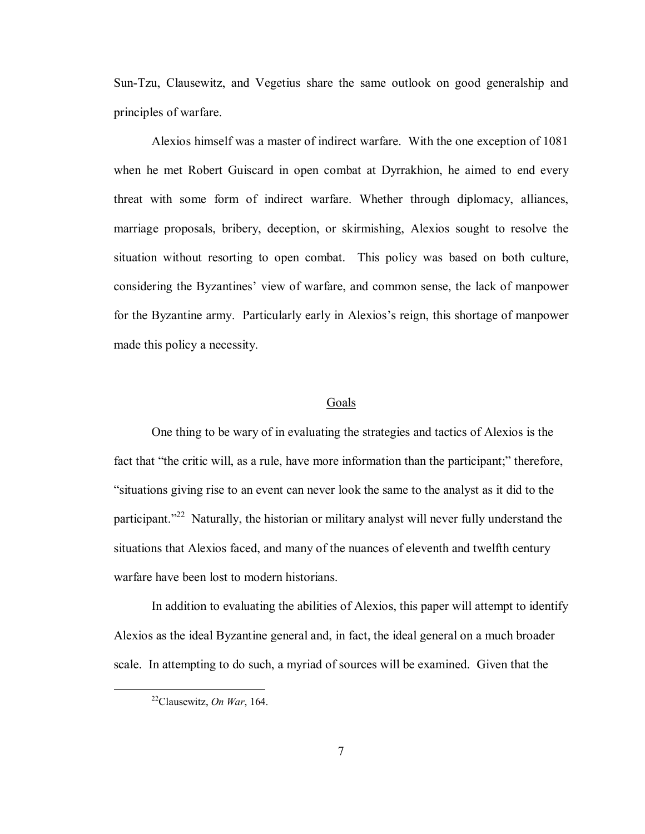Sun-Tzu, Clausewitz, and Vegetius share the same outlook on good generalship and principles of warfare.

 Alexios himself was a master of indirect warfare. With the one exception of 1081 when he met Robert Guiscard in open combat at Dyrrakhion, he aimed to end every threat with some form of indirect warfare. Whether through diplomacy, alliances, marriage proposals, bribery, deception, or skirmishing, Alexios sought to resolve the situation without resorting to open combat. This policy was based on both culture, considering the Byzantines' view of warfare, and common sense, the lack of manpower for the Byzantine army. Particularly early in Alexios's reign, this shortage of manpower made this policy a necessity.

#### Goals

One thing to be wary of in evaluating the strategies and tactics of Alexios is the fact that "the critic will, as a rule, have more information than the participant;" therefore, ìsituations giving rise to an event can never look the same to the analyst as it did to the participant.<sup>22</sup> Naturally, the historian or military analyst will never fully understand the situations that Alexios faced, and many of the nuances of eleventh and twelfth century warfare have been lost to modern historians.

 In addition to evaluating the abilities of Alexios, this paper will attempt to identify Alexios as the ideal Byzantine general and, in fact, the ideal general on a much broader scale. In attempting to do such, a myriad of sources will be examined. Given that the

 <sup>22</sup>Clausewitz, *On War*, 164.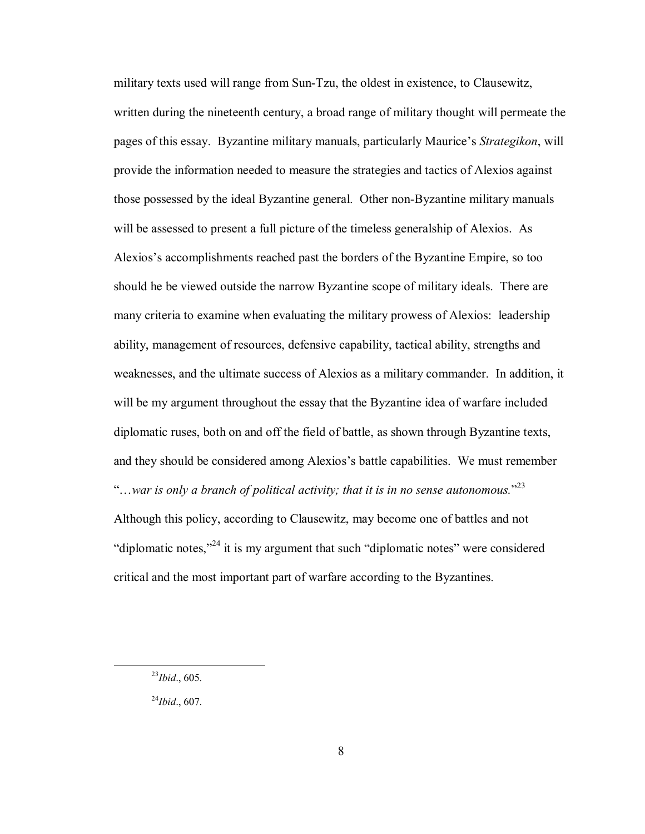military texts used will range from Sun-Tzu, the oldest in existence, to Clausewitz, written during the nineteenth century, a broad range of military thought will permeate the pages of this essay. Byzantine military manuals, particularly Mauriceís *Strategikon*, will provide the information needed to measure the strategies and tactics of Alexios against those possessed by the ideal Byzantine general. Other non-Byzantine military manuals will be assessed to present a full picture of the timeless generalship of Alexios. As Alexios's accomplishments reached past the borders of the Byzantine Empire, so too should he be viewed outside the narrow Byzantine scope of military ideals. There are many criteria to examine when evaluating the military prowess of Alexios: leadership ability, management of resources, defensive capability, tactical ability, strengths and weaknesses, and the ultimate success of Alexios as a military commander. In addition, it will be my argument throughout the essay that the Byzantine idea of warfare included diplomatic ruses, both on and off the field of battle, as shown through Byzantine texts, and they should be considered among Alexios's battle capabilities. We must remember  $\lq\ldots$  war is only a branch of political activity; that it is in no sense autonomous.<sup>23</sup> Although this policy, according to Clausewitz, may become one of battles and not "diplomatic notes,"<sup>24</sup> it is my argument that such "diplomatic notes" were considered critical and the most important part of warfare according to the Byzantines.

 <sup>23</sup>*Ibid*., 605.

<sup>24</sup>*Ibid*., 607.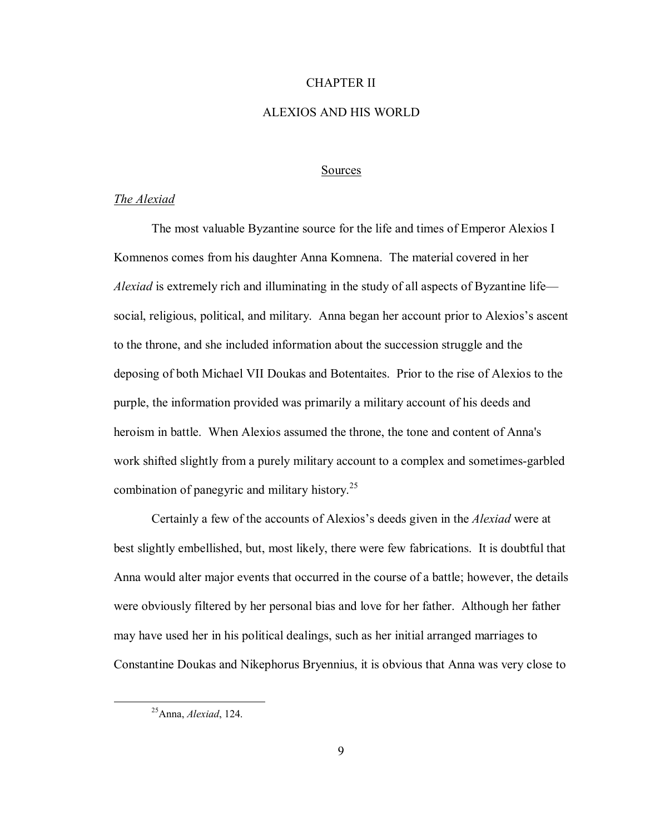# CHAPTER II

# ALEXIOS AND HIS WORLD

# Sources

# *The Alexiad*

The most valuable Byzantine source for the life and times of Emperor Alexios I Komnenos comes from his daughter Anna Komnena. The material covered in her *Alexiad* is extremely rich and illuminating in the study of all aspects of Byzantine life social, religious, political, and military. Anna began her account prior to Alexios's ascent to the throne, and she included information about the succession struggle and the deposing of both Michael VII Doukas and Botentaites. Prior to the rise of Alexios to the purple, the information provided was primarily a military account of his deeds and heroism in battle. When Alexios assumed the throne, the tone and content of Anna's work shifted slightly from a purely military account to a complex and sometimes-garbled combination of panegyric and military history.25

Certainly a few of the accounts of Alexios's deeds given in the *Alexiad* were at best slightly embellished, but, most likely, there were few fabrications. It is doubtful that Anna would alter major events that occurred in the course of a battle; however, the details were obviously filtered by her personal bias and love for her father. Although her father may have used her in his political dealings, such as her initial arranged marriages to Constantine Doukas and Nikephorus Bryennius, it is obvious that Anna was very close to

 <sup>25</sup>Anna, *Alexiad*, 124.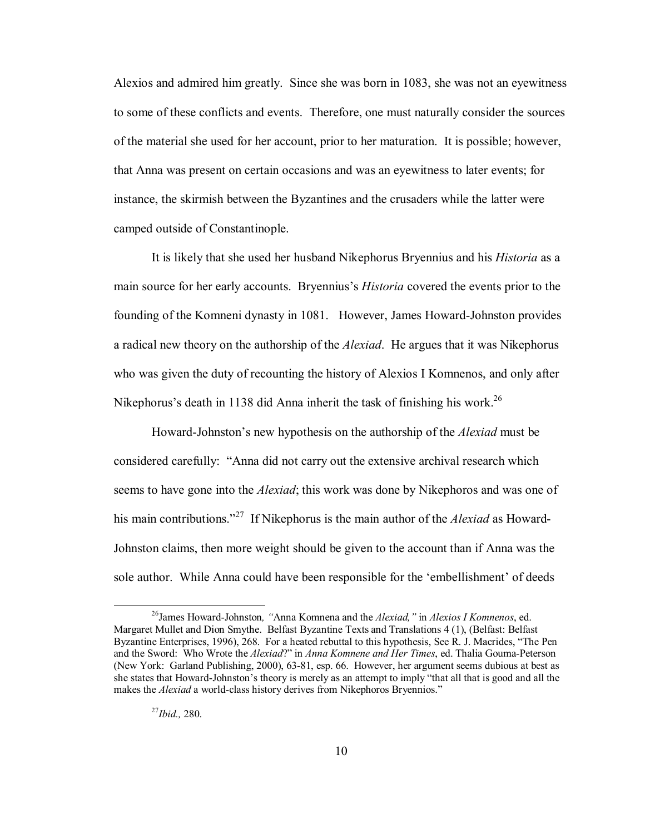Alexios and admired him greatly. Since she was born in 1083, she was not an eyewitness to some of these conflicts and events. Therefore, one must naturally consider the sources of the material she used for her account, prior to her maturation. It is possible; however, that Anna was present on certain occasions and was an eyewitness to later events; for instance, the skirmish between the Byzantines and the crusaders while the latter were camped outside of Constantinople.

It is likely that she used her husband Nikephorus Bryennius and his *Historia* as a main source for her early accounts. Bryenniusís *Historia* covered the events prior to the founding of the Komneni dynasty in 1081. However, James Howard-Johnston provides a radical new theory on the authorship of the *Alexiad*. He argues that it was Nikephorus who was given the duty of recounting the history of Alexios I Komnenos, and only after Nikephorus's death in 1138 did Anna inherit the task of finishing his work.<sup>26</sup>

Howard-Johnston's new hypothesis on the authorship of the *Alexiad* must be considered carefully: "Anna did not carry out the extensive archival research which seems to have gone into the *Alexiad*; this work was done by Nikephoros and was one of his main contributions.<sup>27</sup> If Nikephorus is the main author of the *Alexiad* as Howard-Johnston claims, then more weight should be given to the account than if Anna was the sole author. While Anna could have been responsible for the 'embellishment' of deeds

<sup>&</sup>lt;sup>26</sup> James Howard-Johnston, "Anna Komnena and the *Alexiad,"* in *Alexios I Komnenos*, ed. Margaret Mullet and Dion Smythe. Belfast Byzantine Texts and Translations 4 (1), (Belfast: Belfast Byzantine Enterprises, 1996), 268. For a heated rebuttal to this hypothesis, See R. J. Macrides, "The Pen and the Sword: Who Wrote the *Alexiad*?î in *Anna Komnene and Her Times*, ed. Thalia Gouma-Peterson (New York: Garland Publishing, 2000), 63-81, esp. 66. However, her argument seems dubious at best as she states that Howard-Johnston's theory is merely as an attempt to imply "that all that is good and all the makes the *Alexiad* a world-class history derives from Nikephoros Bryennios."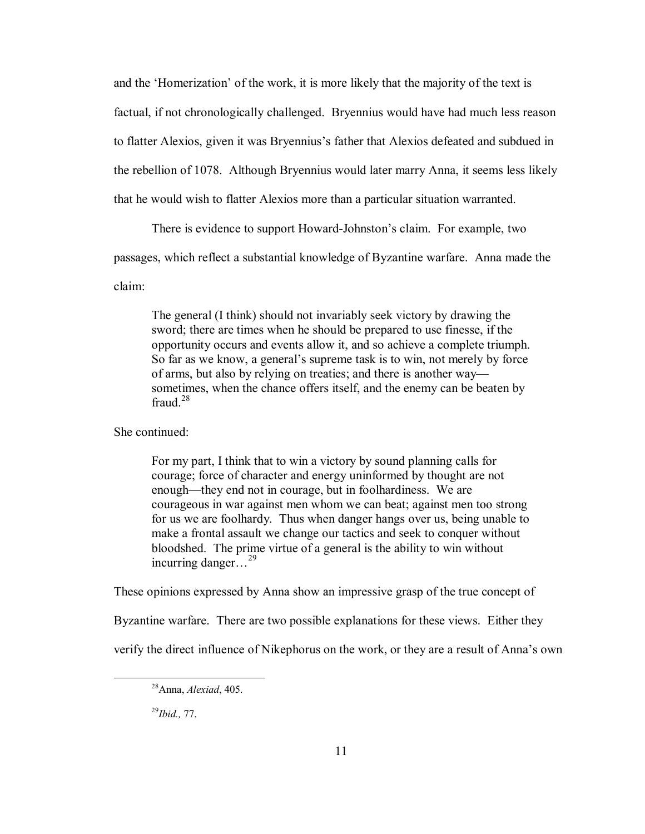and the 'Homerization' of the work, it is more likely that the majority of the text is factual, if not chronologically challenged. Bryennius would have had much less reason to flatter Alexios, given it was Bryennius's father that Alexios defeated and subdued in the rebellion of 1078. Although Bryennius would later marry Anna, it seems less likely that he would wish to flatter Alexios more than a particular situation warranted.

There is evidence to support Howard-Johnston's claim. For example, two

passages, which reflect a substantial knowledge of Byzantine warfare. Anna made the

claim:

 The general (I think) should not invariably seek victory by drawing the sword; there are times when he should be prepared to use finesse, if the opportunity occurs and events allow it, and so achieve a complete triumph. So far as we know, a general's supreme task is to win, not merely by force of arms, but also by relying on treaties; and there is another way sometimes, when the chance offers itself, and the enemy can be beaten by fraud  $^{28}$ 

She continued:

 For my part, I think that to win a victory by sound planning calls for courage; force of character and energy uninformed by thought are not enough—they end not in courage, but in foolhardiness. We are courageous in war against men whom we can beat; against men too strong for us we are foolhardy. Thus when danger hangs over us, being unable to make a frontal assault we change our tactics and seek to conquer without bloodshed. The prime virtue of a general is the ability to win without incurring danger...<sup>29</sup>

These opinions expressed by Anna show an impressive grasp of the true concept of

Byzantine warfare. There are two possible explanations for these views. Either they

verify the direct influence of Nikephorus on the work, or they are a result of Annaís own

29*Ibid.,* 77.

 <sup>28</sup>Anna, *Alexiad*, 405.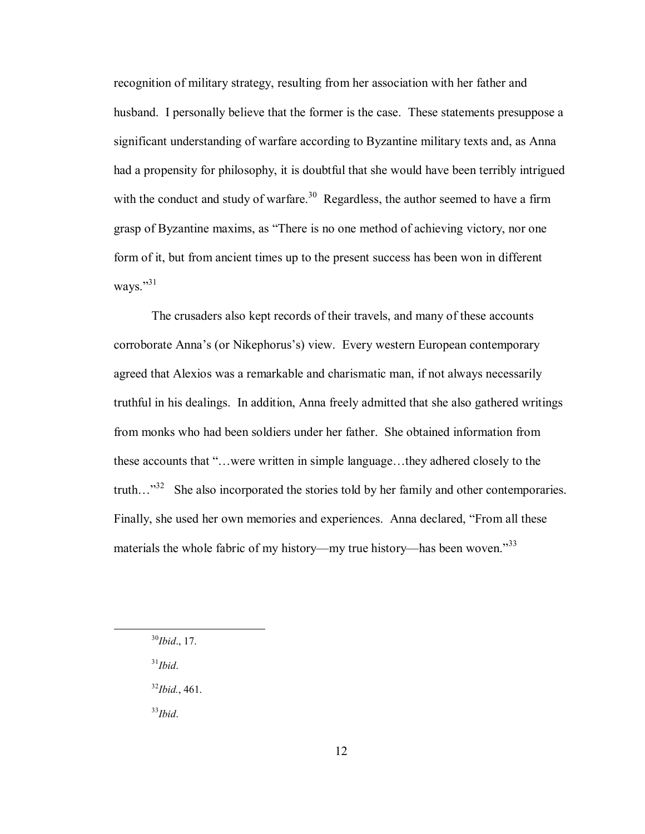recognition of military strategy, resulting from her association with her father and husband. I personally believe that the former is the case. These statements presuppose a significant understanding of warfare according to Byzantine military texts and, as Anna had a propensity for philosophy, it is doubtful that she would have been terribly intrigued with the conduct and study of warfare.<sup>30</sup> Regardless, the author seemed to have a firm grasp of Byzantine maxims, as "There is no one method of achieving victory, nor one form of it, but from ancient times up to the present success has been won in different ways." $31$ 

 The crusaders also kept records of their travels, and many of these accounts corroborate Anna's (or Nikephorus's) view. Every western European contemporary agreed that Alexios was a remarkable and charismatic man, if not always necessarily truthful in his dealings. In addition, Anna freely admitted that she also gathered writings from monks who had been soldiers under her father. She obtained information from these accounts that "...were written in simple language...they adhered closely to the truth..."<sup>32</sup> She also incorporated the stories told by her family and other contemporaries. Finally, she used her own memories and experiences. Anna declared, "From all these materials the whole fabric of my history—my true history—has been woven.<sup>33</sup>

31*Ibid*.

<sup>32</sup>*Ibid.*, 461.

<sup>33</sup>*Ibid*.

 <sup>30</sup>*Ibid*., 17.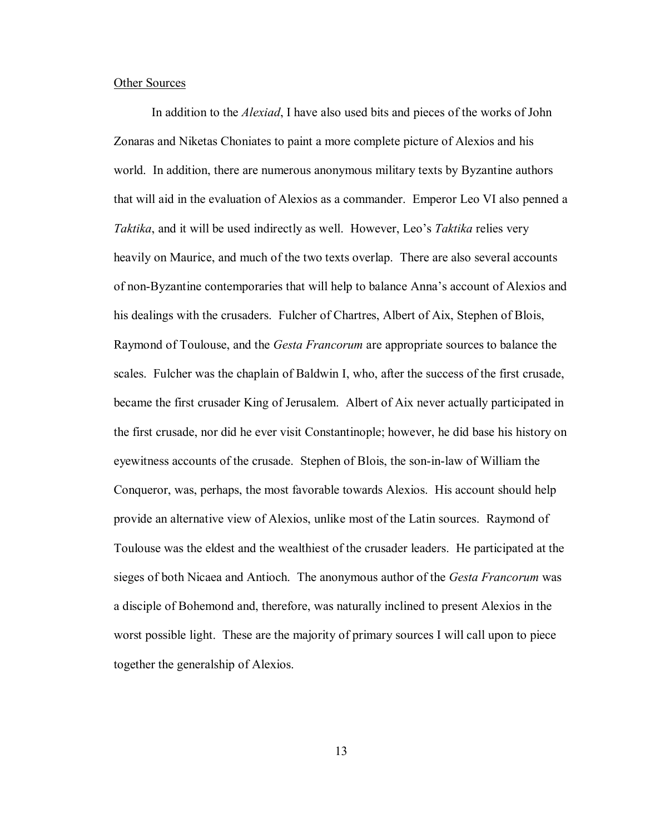#### Other Sources

 In addition to the *Alexiad*, I have also used bits and pieces of the works of John Zonaras and Niketas Choniates to paint a more complete picture of Alexios and his world. In addition, there are numerous anonymous military texts by Byzantine authors that will aid in the evaluation of Alexios as a commander. Emperor Leo VI also penned a *Taktika*, and it will be used indirectly as well. However, Leo's *Taktika* relies very heavily on Maurice, and much of the two texts overlap. There are also several accounts of non-Byzantine contemporaries that will help to balance Annaís account of Alexios and his dealings with the crusaders. Fulcher of Chartres, Albert of Aix, Stephen of Blois, Raymond of Toulouse, and the *Gesta Francorum* are appropriate sources to balance the scales. Fulcher was the chaplain of Baldwin I, who, after the success of the first crusade, became the first crusader King of Jerusalem. Albert of Aix never actually participated in the first crusade, nor did he ever visit Constantinople; however, he did base his history on eyewitness accounts of the crusade. Stephen of Blois, the son-in-law of William the Conqueror, was, perhaps, the most favorable towards Alexios. His account should help provide an alternative view of Alexios, unlike most of the Latin sources. Raymond of Toulouse was the eldest and the wealthiest of the crusader leaders. He participated at the sieges of both Nicaea and Antioch. The anonymous author of the *Gesta Francorum* was a disciple of Bohemond and, therefore, was naturally inclined to present Alexios in the worst possible light. These are the majority of primary sources I will call upon to piece together the generalship of Alexios.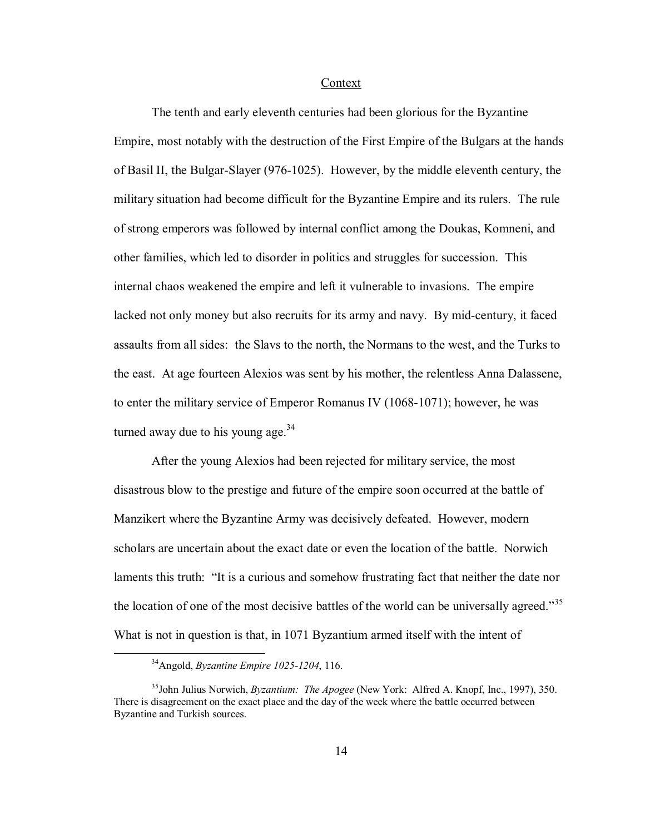Context

 The tenth and early eleventh centuries had been glorious for the Byzantine Empire, most notably with the destruction of the First Empire of the Bulgars at the hands of Basil II, the Bulgar-Slayer (976-1025). However, by the middle eleventh century, the military situation had become difficult for the Byzantine Empire and its rulers. The rule of strong emperors was followed by internal conflict among the Doukas, Komneni, and other families, which led to disorder in politics and struggles for succession. This internal chaos weakened the empire and left it vulnerable to invasions. The empire lacked not only money but also recruits for its army and navy. By mid-century, it faced assaults from all sides: the Slavs to the north, the Normans to the west, and the Turks to the east. At age fourteen Alexios was sent by his mother, the relentless Anna Dalassene, to enter the military service of Emperor Romanus IV (1068-1071); however, he was turned away due to his young age. $34$ 

After the young Alexios had been rejected for military service, the most disastrous blow to the prestige and future of the empire soon occurred at the battle of Manzikert where the Byzantine Army was decisively defeated. However, modern scholars are uncertain about the exact date or even the location of the battle. Norwich laments this truth: "It is a curious and somehow frustrating fact that neither the date nor the location of one of the most decisive battles of the world can be universally agreed.<sup>35</sup> What is not in question is that, in 1071 Byzantium armed itself with the intent of

 <sup>34</sup>Angold, *Byzantine Empire 1025-1204*, 116.

<sup>35</sup>John Julius Norwich, *Byzantium: The Apogee* (New York: Alfred A. Knopf, Inc., 1997), 350. There is disagreement on the exact place and the day of the week where the battle occurred between Byzantine and Turkish sources.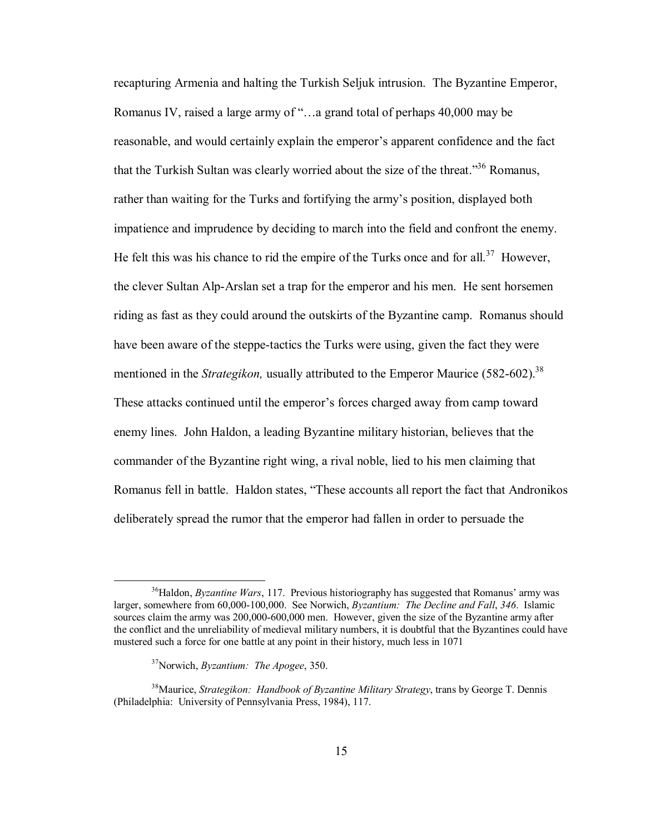recapturing Armenia and halting the Turkish Seljuk intrusion. The Byzantine Emperor, Romanus IV, raised a large army of "...a grand total of perhaps 40,000 may be reasonable, and would certainly explain the emperor's apparent confidence and the fact that the Turkish Sultan was clearly worried about the size of the threat.<sup>356</sup> Romanus, rather than waiting for the Turks and fortifying the army's position, displayed both impatience and imprudence by deciding to march into the field and confront the enemy. He felt this was his chance to rid the empire of the Turks once and for all.<sup>37</sup> However, the clever Sultan Alp-Arslan set a trap for the emperor and his men. He sent horsemen riding as fast as they could around the outskirts of the Byzantine camp. Romanus should have been aware of the steppe-tactics the Turks were using, given the fact they were mentioned in the *Strategikon*, usually attributed to the Emperor Maurice (582-602).<sup>38</sup> These attacks continued until the emperor's forces charged away from camp toward enemy lines. John Haldon, a leading Byzantine military historian, believes that the commander of the Byzantine right wing, a rival noble, lied to his men claiming that Romanus fell in battle. Haldon states, "These accounts all report the fact that Andronikos deliberately spread the rumor that the emperor had fallen in order to persuade the

<sup>&</sup>lt;sup>36</sup>Haldon, *Byzantine Wars*, 117. Previous historiography has suggested that Romanus' army was larger, somewhere from 60,000-100,000. See Norwich, *Byzantium: The Decline and Fall*, *346*. Islamic sources claim the army was 200,000-600,000 men. However, given the size of the Byzantine army after the conflict and the unreliability of medieval military numbers, it is doubtful that the Byzantines could have mustered such a force for one battle at any point in their history, much less in 1071

<sup>37</sup>Norwich, *Byzantium: The Apogee*, 350.

<sup>38</sup>Maurice, *Strategikon: Handbook of Byzantine Military Strategy*, trans by George T. Dennis (Philadelphia: University of Pennsylvania Press, 1984), 117.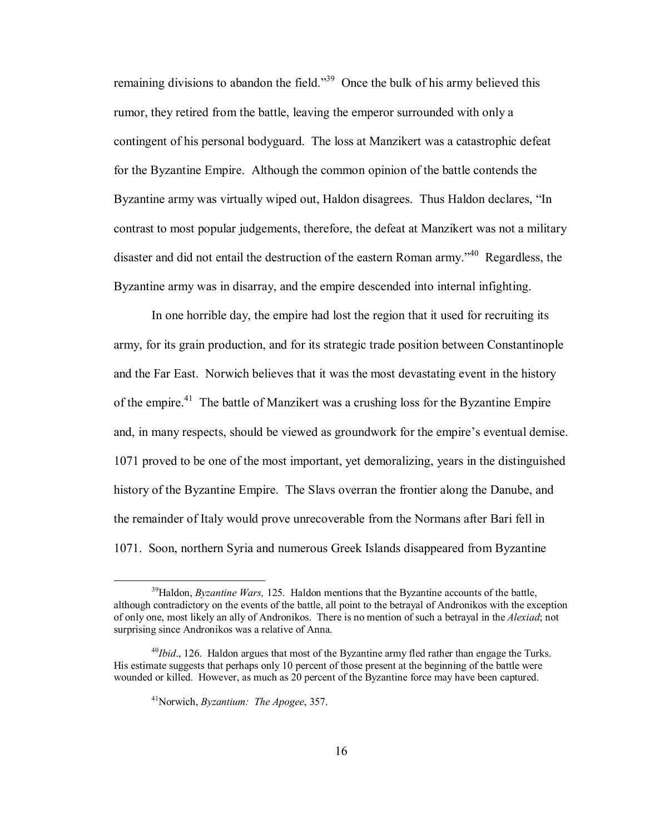remaining divisions to abandon the field.<sup>339</sup> Once the bulk of his army believed this rumor, they retired from the battle, leaving the emperor surrounded with only a contingent of his personal bodyguard. The loss at Manzikert was a catastrophic defeat for the Byzantine Empire. Although the common opinion of the battle contends the Byzantine army was virtually wiped out, Haldon disagrees. Thus Haldon declares, "In contrast to most popular judgements, therefore, the defeat at Manzikert was not a military disaster and did not entail the destruction of the eastern Roman army.<sup> $340$ </sup> Regardless, the Byzantine army was in disarray, and the empire descended into internal infighting.

In one horrible day, the empire had lost the region that it used for recruiting its army, for its grain production, and for its strategic trade position between Constantinople and the Far East. Norwich believes that it was the most devastating event in the history of the empire.<sup>41</sup> The battle of Manzikert was a crushing loss for the Byzantine Empire and, in many respects, should be viewed as groundwork for the empire's eventual demise. 1071 proved to be one of the most important, yet demoralizing, years in the distinguished history of the Byzantine Empire. The Slavs overran the frontier along the Danube, and the remainder of Italy would prove unrecoverable from the Normans after Bari fell in 1071. Soon, northern Syria and numerous Greek Islands disappeared from Byzantine

<sup>&</sup>lt;sup>39</sup>Haldon, *Byzantine Wars*, 125. Haldon mentions that the Byzantine accounts of the battle, although contradictory on the events of the battle, all point to the betrayal of Andronikos with the exception of only one, most likely an ally of Andronikos. There is no mention of such a betrayal in the *Alexiad*; not surprising since Andronikos was a relative of Anna.

<sup>&</sup>lt;sup>40</sup>*Ibid.*, 126. Haldon argues that most of the Byzantine army fled rather than engage the Turks. His estimate suggests that perhaps only 10 percent of those present at the beginning of the battle were wounded or killed. However, as much as 20 percent of the Byzantine force may have been captured.

<sup>41</sup>Norwich, *Byzantium: The Apogee*, 357.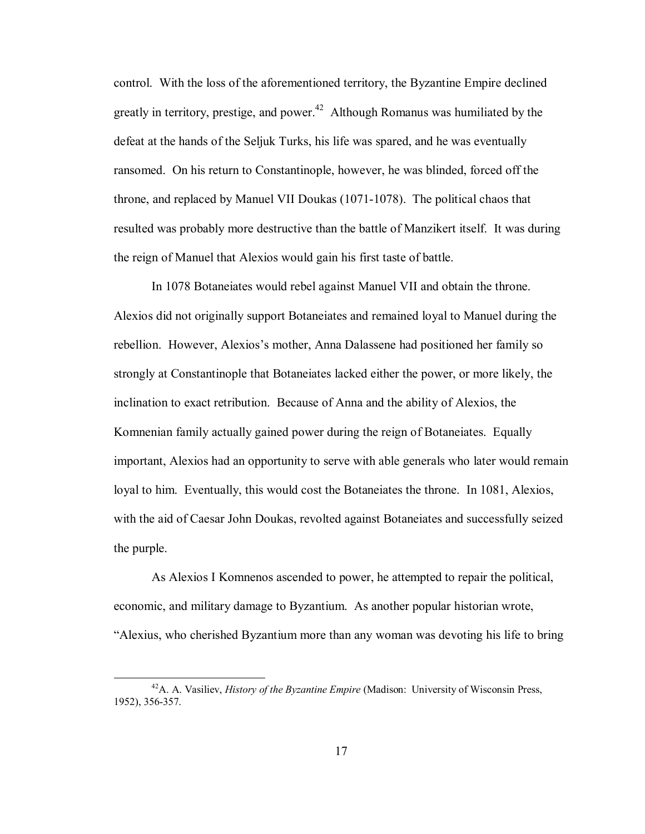control. With the loss of the aforementioned territory, the Byzantine Empire declined greatly in territory, prestige, and power.<sup>42</sup> Although Romanus was humiliated by the defeat at the hands of the Seljuk Turks, his life was spared, and he was eventually ransomed. On his return to Constantinople, however, he was blinded, forced off the throne, and replaced by Manuel VII Doukas (1071-1078). The political chaos that resulted was probably more destructive than the battle of Manzikert itself. It was during the reign of Manuel that Alexios would gain his first taste of battle.

In 1078 Botaneiates would rebel against Manuel VII and obtain the throne. Alexios did not originally support Botaneiates and remained loyal to Manuel during the rebellion. However, Alexios's mother, Anna Dalassene had positioned her family so strongly at Constantinople that Botaneiates lacked either the power, or more likely, the inclination to exact retribution. Because of Anna and the ability of Alexios, the Komnenian family actually gained power during the reign of Botaneiates. Equally important, Alexios had an opportunity to serve with able generals who later would remain loyal to him. Eventually, this would cost the Botaneiates the throne. In 1081, Alexios, with the aid of Caesar John Doukas, revolted against Botaneiates and successfully seized the purple.

As Alexios I Komnenos ascended to power, he attempted to repair the political, economic, and military damage to Byzantium. As another popular historian wrote, ìAlexius, who cherished Byzantium more than any woman was devoting his life to bring

 <sup>42</sup>A. A. Vasiliev, *History of the Byzantine Empire* (Madison: University of Wisconsin Press, 1952), 356-357.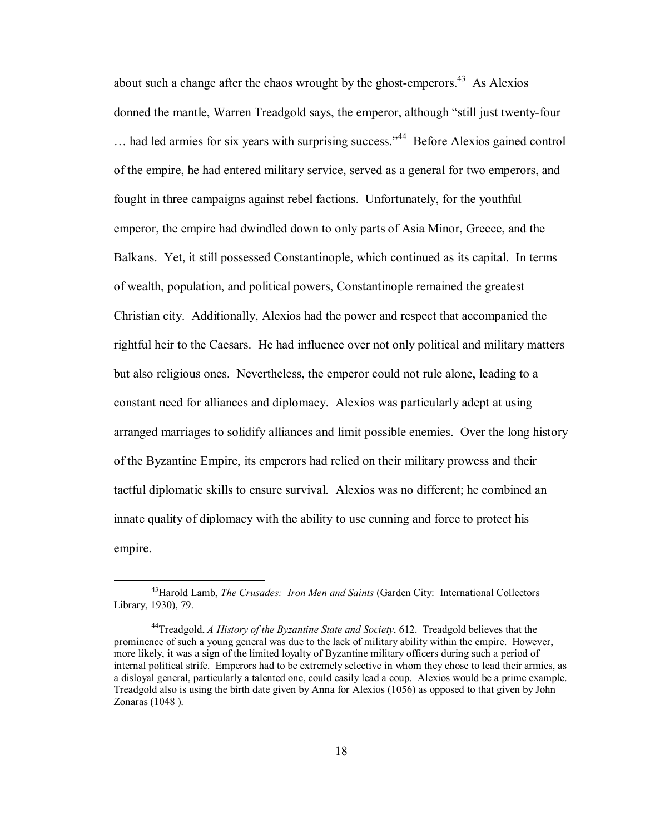about such a change after the chaos wrought by the ghost-emperors.<sup>43</sup> As Alexios donned the mantle, Warren Treadgold says, the emperor, although "still just twenty-four  $\ldots$  had led armies for six years with surprising success.<sup> $34$ </sup> Before Alexios gained control of the empire, he had entered military service, served as a general for two emperors, and fought in three campaigns against rebel factions. Unfortunately, for the youthful emperor, the empire had dwindled down to only parts of Asia Minor, Greece, and the Balkans. Yet, it still possessed Constantinople, which continued as its capital. In terms of wealth, population, and political powers, Constantinople remained the greatest Christian city. Additionally, Alexios had the power and respect that accompanied the rightful heir to the Caesars. He had influence over not only political and military matters but also religious ones. Nevertheless, the emperor could not rule alone, leading to a constant need for alliances and diplomacy. Alexios was particularly adept at using arranged marriages to solidify alliances and limit possible enemies. Over the long history of the Byzantine Empire, its emperors had relied on their military prowess and their tactful diplomatic skills to ensure survival. Alexios was no different; he combined an innate quality of diplomacy with the ability to use cunning and force to protect his empire.

 <sup>43</sup>Harold Lamb, *The Crusades: Iron Men and Saints* (Garden City: International Collectors Library, 1930), 79.

<sup>44</sup>Treadgold, *A History of the Byzantine State and Society*, 612. Treadgold believes that the prominence of such a young general was due to the lack of military ability within the empire. However, more likely, it was a sign of the limited loyalty of Byzantine military officers during such a period of internal political strife. Emperors had to be extremely selective in whom they chose to lead their armies, as a disloyal general, particularly a talented one, could easily lead a coup. Alexios would be a prime example. Treadgold also is using the birth date given by Anna for Alexios (1056) as opposed to that given by John Zonaras (1048 ).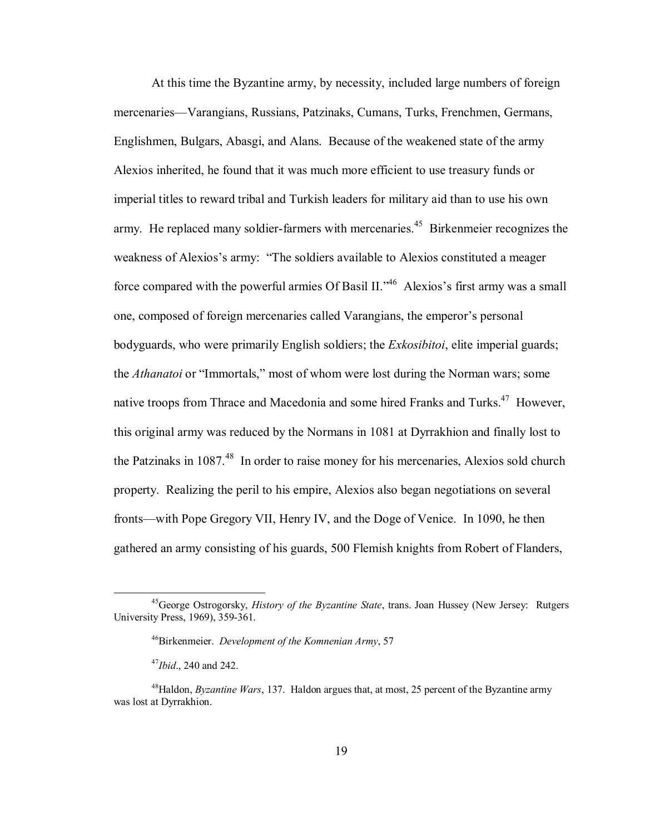At this time the Byzantine army, by necessity, included large numbers of foreign mercenaries—Varangians, Russians, Patzinaks, Cumans, Turks, Frenchmen, Germans, Englishmen, Bulgars, Abasgi, and Alans. Because of the weakened state of the army Alexios inherited, he found that it was much more efficient to use treasury funds or imperial titles to reward tribal and Turkish leaders for military aid than to use his own army. He replaced many soldier-farmers with mercenaries.<sup>45</sup> Birkenmeier recognizes the weakness of Alexios's army: "The soldiers available to Alexios constituted a meager force compared with the powerful armies Of Basil II.<sup> $,46$ </sup> Alexios's first army was a small one, composed of foreign mercenaries called Varangians, the emperor's personal bodyguards, who were primarily English soldiers; the *Exkosibitoi*, elite imperial guards; the *Athanatoi* or "Immortals," most of whom were lost during the Norman wars; some native troops from Thrace and Macedonia and some hired Franks and Turks.<sup>47</sup> However, this original army was reduced by the Normans in 1081 at Dyrrakhion and finally lost to the Patzinaks in  $1087<sup>48</sup>$  In order to raise money for his mercenaries. Alexios sold church property. Realizing the peril to his empire, Alexios also began negotiations on several fronts—with Pope Gregory VII, Henry IV, and the Doge of Venice. In 1090, he then gathered an army consisting of his guards, 500 Flemish knights from Robert of Flanders,

 <sup>45</sup>George Ostrogorsky, *History of the Byzantine State*, trans. Joan Hussey (New Jersey: Rutgers University Press, 1969), 359-361.

<sup>46</sup>Birkenmeier. *Development of the Komnenian Army*, 57

<sup>47</sup>*Ibid*., 240 and 242.

 <sup>48</sup>Haldon, *Byzantine Wars*, 137. Haldon argues that, at most, 25 percent of the Byzantine army was lost at Dyrrakhion.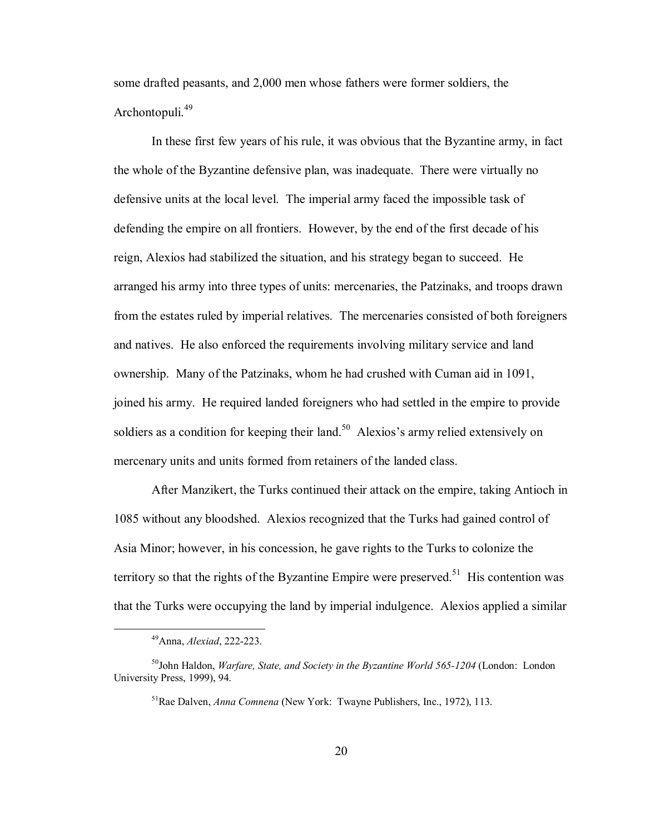some drafted peasants, and 2,000 men whose fathers were former soldiers, the Archontopuli.<sup>49</sup>

In these first few years of his rule, it was obvious that the Byzantine army, in fact the whole of the Byzantine defensive plan, was inadequate. There were virtually no defensive units at the local level. The imperial army faced the impossible task of defending the empire on all frontiers. However, by the end of the first decade of his reign, Alexios had stabilized the situation, and his strategy began to succeed. He arranged his army into three types of units: mercenaries, the Patzinaks, and troops drawn from the estates ruled by imperial relatives. The mercenaries consisted of both foreigners and natives. He also enforced the requirements involving military service and land ownership. Many of the Patzinaks, whom he had crushed with Cuman aid in 1091, joined his army. He required landed foreigners who had settled in the empire to provide soldiers as a condition for keeping their land.<sup>50</sup> Alexios's army relied extensively on mercenary units and units formed from retainers of the landed class.

After Manzikert, the Turks continued their attack on the empire, taking Antioch in 1085 without any bloodshed. Alexios recognized that the Turks had gained control of Asia Minor; however, in his concession, he gave rights to the Turks to colonize the territory so that the rights of the Byzantine Empire were preserved.<sup>51</sup> His contention was that the Turks were occupying the land by imperial indulgence. Alexios applied a similar

 <sup>49</sup>Anna, *Alexiad*, 222-223.

<sup>&</sup>lt;sup>50</sup>John Haldon, *Warfare, State, and Society in the Byzantine World 565-1204* (London: London University Press, 1999), 94.

<sup>51</sup>Rae Dalven, *Anna Comnena* (New York: Twayne Publishers, Inc., 1972), 113.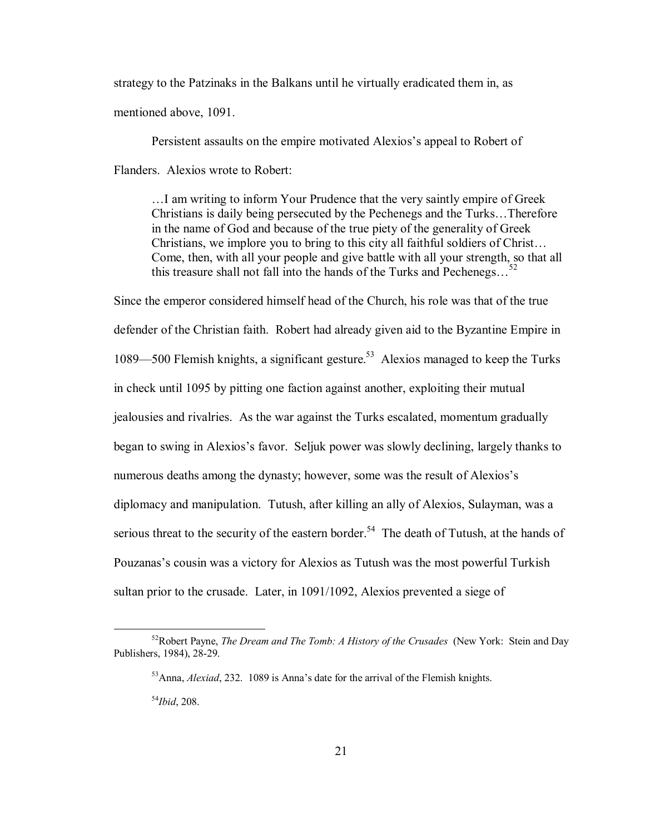strategy to the Patzinaks in the Balkans until he virtually eradicated them in, as mentioned above, 1091.

Persistent assaults on the empire motivated Alexios's appeal to Robert of Flanders. Alexios wrote to Robert:

I am writing to inform Your Prudence that the very saintly empire of Greek Christians is daily being persecuted by the Pechenegs and the Turks...Therefore in the name of God and because of the true piety of the generality of Greek Christians, we implore you to bring to this city all faithful soldiers of Christ... Come, then, with all your people and give battle with all your strength, so that all this treasure shall not fall into the hands of the Turks and Pechenegs...<sup>52</sup>

Since the emperor considered himself head of the Church, his role was that of the true defender of the Christian faith. Robert had already given aid to the Byzantine Empire in 1089—500 Flemish knights, a significant gesture.<sup>53</sup> Alexios managed to keep the Turks in check until 1095 by pitting one faction against another, exploiting their mutual jealousies and rivalries. As the war against the Turks escalated, momentum gradually began to swing in Alexios's favor. Seljuk power was slowly declining, largely thanks to numerous deaths among the dynasty; however, some was the result of Alexios's diplomacy and manipulation. Tutush, after killing an ally of Alexios, Sulayman, was a serious threat to the security of the eastern border.<sup>54</sup> The death of Tutush, at the hands of Pouzanas's cousin was a victory for Alexios as Tutush was the most powerful Turkish sultan prior to the crusade. Later, in 1091/1092, Alexios prevented a siege of

 <sup>52</sup>Robert Payne, *The Dream and The Tomb: A History of the Crusades* (New York: Stein and Day Publishers, 1984), 28-29.

<sup>&</sup>lt;sup>53</sup>Anna, *Alexiad*, 232. 1089 is Anna's date for the arrival of the Flemish knights.

<sup>54</sup>*Ibid*, 208.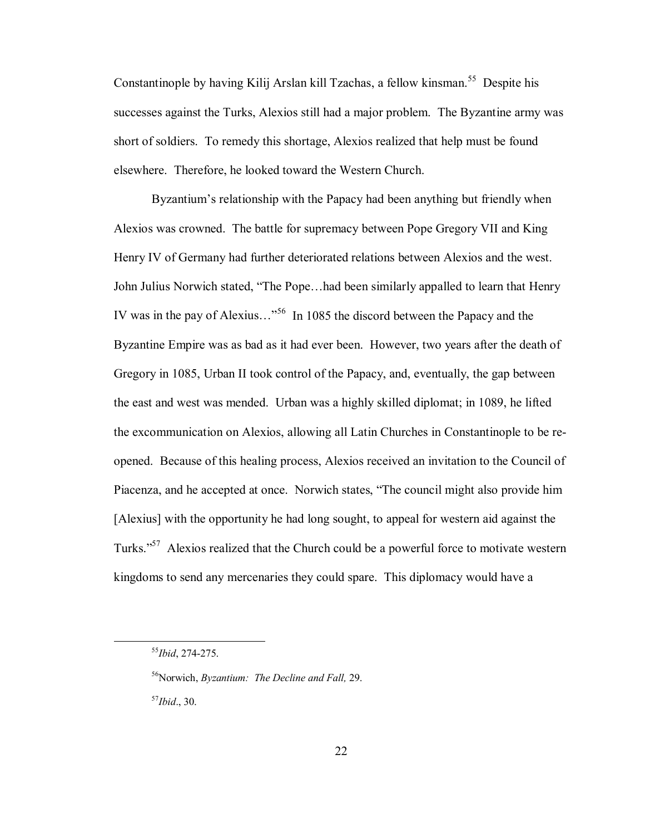Constantinople by having Kilij Arslan kill Tzachas, a fellow kinsman.<sup>55</sup> Despite his successes against the Turks, Alexios still had a major problem. The Byzantine army was short of soldiers. To remedy this shortage, Alexios realized that help must be found elsewhere. Therefore, he looked toward the Western Church.

Byzantium's relationship with the Papacy had been anything but friendly when Alexios was crowned. The battle for supremacy between Pope Gregory VII and King Henry IV of Germany had further deteriorated relations between Alexios and the west. John Julius Norwich stated, "The Pope...had been similarly appalled to learn that Henry IV was in the pay of Alexius $\ldots$ <sup>56</sup> In 1085 the discord between the Papacy and the Byzantine Empire was as bad as it had ever been. However, two years after the death of Gregory in 1085, Urban II took control of the Papacy, and, eventually, the gap between the east and west was mended. Urban was a highly skilled diplomat; in 1089, he lifted the excommunication on Alexios, allowing all Latin Churches in Constantinople to be reopened. Because of this healing process, Alexios received an invitation to the Council of Piacenza, and he accepted at once. Norwich states, "The council might also provide him [Alexius] with the opportunity he had long sought, to appeal for western aid against the Turks.<sup>557</sup> Alexios realized that the Church could be a powerful force to motivate western kingdoms to send any mercenaries they could spare. This diplomacy would have a

<sup>57</sup>*Ibid*., 30.

 <sup>55</sup>*Ibid*, 274-275.

 <sup>56</sup>Norwich, *Byzantium: The Decline and Fall,* 29.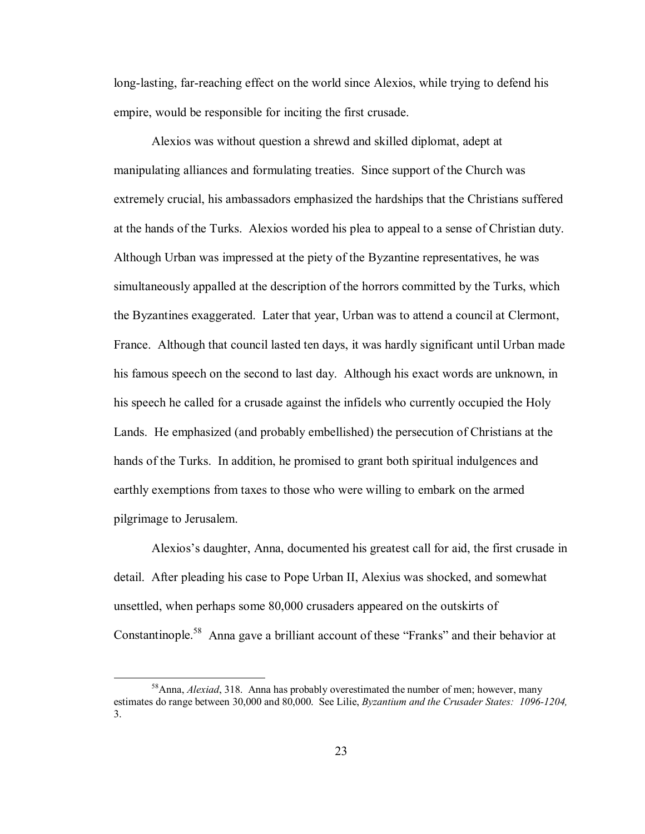long-lasting, far-reaching effect on the world since Alexios, while trying to defend his empire, would be responsible for inciting the first crusade.

Alexios was without question a shrewd and skilled diplomat, adept at manipulating alliances and formulating treaties. Since support of the Church was extremely crucial, his ambassadors emphasized the hardships that the Christians suffered at the hands of the Turks. Alexios worded his plea to appeal to a sense of Christian duty. Although Urban was impressed at the piety of the Byzantine representatives, he was simultaneously appalled at the description of the horrors committed by the Turks, which the Byzantines exaggerated. Later that year, Urban was to attend a council at Clermont, France. Although that council lasted ten days, it was hardly significant until Urban made his famous speech on the second to last day. Although his exact words are unknown, in his speech he called for a crusade against the infidels who currently occupied the Holy Lands. He emphasized (and probably embellished) the persecution of Christians at the hands of the Turks. In addition, he promised to grant both spiritual indulgences and earthly exemptions from taxes to those who were willing to embark on the armed pilgrimage to Jerusalem.

Alexiosís daughter, Anna, documented his greatest call for aid, the first crusade in detail. After pleading his case to Pope Urban II, Alexius was shocked, and somewhat unsettled, when perhaps some 80,000 crusaders appeared on the outskirts of Constantinople.<sup>58</sup> Anna gave a brilliant account of these "Franks" and their behavior at

 <sup>58</sup>Anna, *Alexiad*, 318. Anna has probably overestimated the number of men; however, many estimates do range between 30,000 and 80,000. See Lilie, *Byzantium and the Crusader States: 1096-1204,*  3.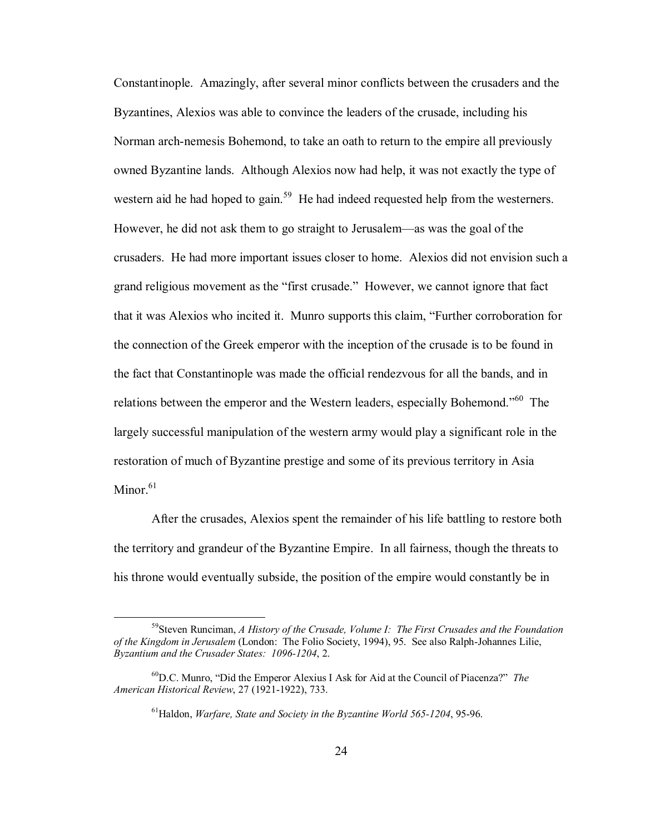Constantinople. Amazingly, after several minor conflicts between the crusaders and the Byzantines, Alexios was able to convince the leaders of the crusade, including his Norman arch-nemesis Bohemond, to take an oath to return to the empire all previously owned Byzantine lands. Although Alexios now had help, it was not exactly the type of western aid he had hoped to gain.<sup>59</sup> He had indeed requested help from the westerners. However, he did not ask them to go straight to Jerusalem—as was the goal of the crusaders. He had more important issues closer to home. Alexios did not envision such a grand religious movement as the "first crusade." However, we cannot ignore that fact that it was Alexios who incited it. Munro supports this claim, "Further corroboration for the connection of the Greek emperor with the inception of the crusade is to be found in the fact that Constantinople was made the official rendezvous for all the bands, and in relations between the emperor and the Western leaders, especially Bohemond.<sup>60</sup> The largely successful manipulation of the western army would play a significant role in the restoration of much of Byzantine prestige and some of its previous territory in Asia Minor $61$ 

After the crusades, Alexios spent the remainder of his life battling to restore both the territory and grandeur of the Byzantine Empire. In all fairness, though the threats to his throne would eventually subside, the position of the empire would constantly be in

 <sup>59</sup>Steven Runciman, *A History of the Crusade, Volume I: The First Crusades and the Foundation of the Kingdom in Jerusalem* (London: The Folio Society, 1994), 95. See also Ralph-Johannes Lilie, *Byzantium and the Crusader States: 1096-1204*, 2.

<sup>&</sup>lt;sup>60</sup>D.C. Munro, "Did the Emperor Alexius I Ask for Aid at the Council of Piacenza?" *The American Historical Review*, 27 (1921-1922), 733.

<sup>61</sup>Haldon, *Warfare, State and Society in the Byzantine World 565-1204*, 95-96.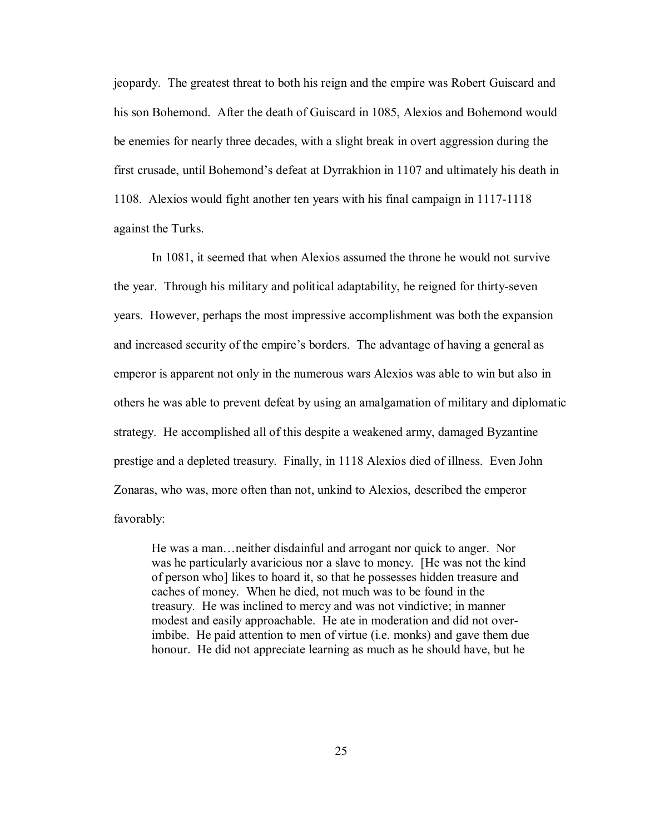jeopardy. The greatest threat to both his reign and the empire was Robert Guiscard and his son Bohemond. After the death of Guiscard in 1085, Alexios and Bohemond would be enemies for nearly three decades, with a slight break in overt aggression during the first crusade, until Bohemond's defeat at Dyrrakhion in 1107 and ultimately his death in 1108. Alexios would fight another ten years with his final campaign in 1117-1118 against the Turks.

In 1081, it seemed that when Alexios assumed the throne he would not survive the year. Through his military and political adaptability, he reigned for thirty-seven years. However, perhaps the most impressive accomplishment was both the expansion and increased security of the empire's borders. The advantage of having a general as emperor is apparent not only in the numerous wars Alexios was able to win but also in others he was able to prevent defeat by using an amalgamation of military and diplomatic strategy. He accomplished all of this despite a weakened army, damaged Byzantine prestige and a depleted treasury. Finally, in 1118 Alexios died of illness. Even John Zonaras, who was, more often than not, unkind to Alexios, described the emperor favorably:

He was a man... neither disdainful and arrogant nor quick to anger. Nor was he particularly avaricious nor a slave to money. [He was not the kind of person who] likes to hoard it, so that he possesses hidden treasure and caches of money. When he died, not much was to be found in the treasury. He was inclined to mercy and was not vindictive; in manner modest and easily approachable. He ate in moderation and did not over imbibe. He paid attention to men of virtue (i.e. monks) and gave them due honour. He did not appreciate learning as much as he should have, but he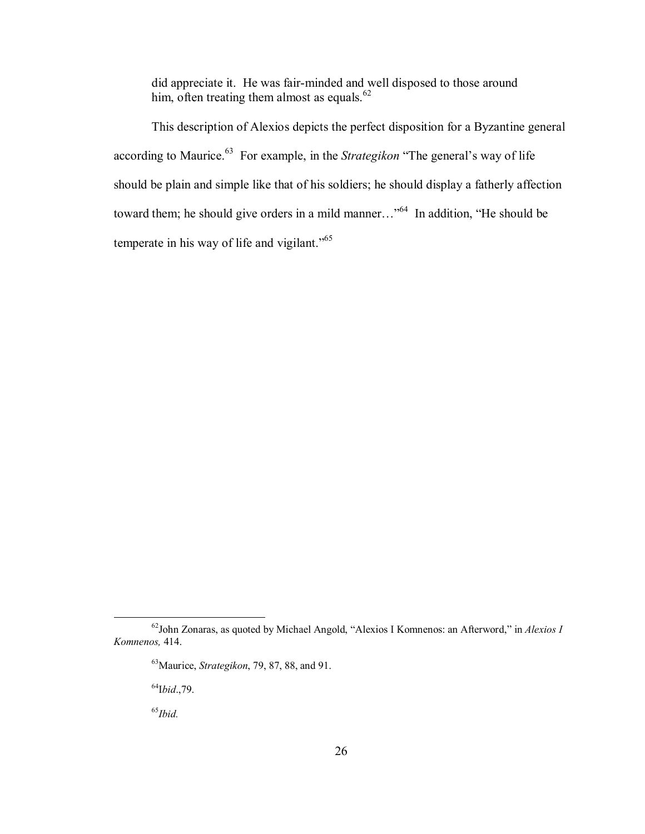did appreciate it. He was fair-minded and well disposed to those around him, often treating them almost as equals. $62$ 

This description of Alexios depicts the perfect disposition for a Byzantine general according to Maurice.<sup>63</sup> For example, in the *Strategikon* "The general's way of life should be plain and simple like that of his soldiers; he should display a fatherly affection toward them; he should give orders in a mild manner $\ldots$ <sup>64</sup> In addition, "He should be temperate in his way of life and vigilant."<sup>65</sup>

64I*bid*.,79.

<sup>65</sup>*Ibid.*

<sup>&</sup>lt;sup>62</sup>John Zonaras, as quoted by Michael Angold, "Alexios I Komnenos: an Afterword," in *Alexios I Komnenos,* 414.

<sup>63</sup>Maurice, *Strategikon*, 79, 87, 88, and 91.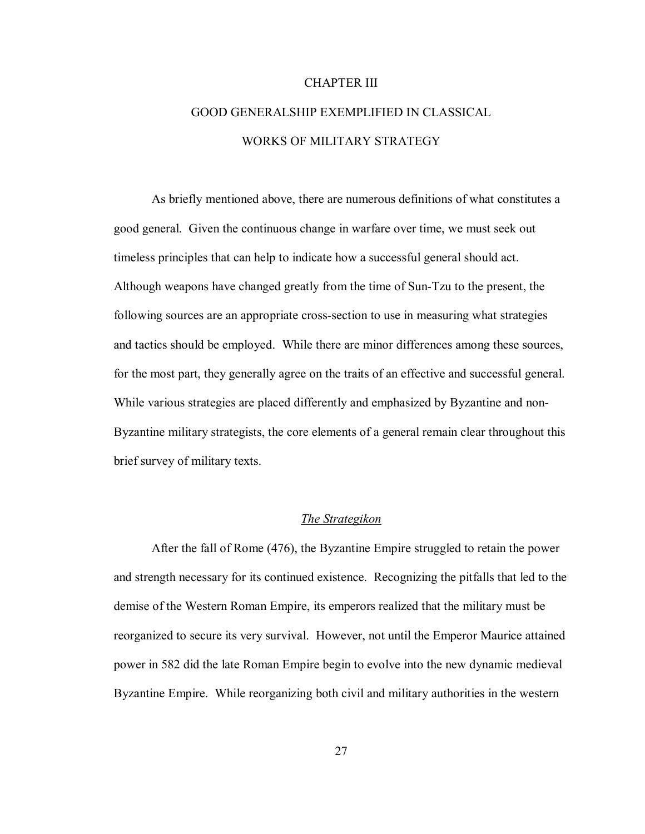## CHAPTER III

# GOOD GENERALSHIP EXEMPLIFIED IN CLASSICAL WORKS OF MILITARY STRATEGY

As briefly mentioned above, there are numerous definitions of what constitutes a good general. Given the continuous change in warfare over time, we must seek out timeless principles that can help to indicate how a successful general should act. Although weapons have changed greatly from the time of Sun-Tzu to the present, the following sources are an appropriate cross-section to use in measuring what strategies and tactics should be employed. While there are minor differences among these sources, for the most part, they generally agree on the traits of an effective and successful general. While various strategies are placed differently and emphasized by Byzantine and non-Byzantine military strategists, the core elements of a general remain clear throughout this brief survey of military texts.

# *The Strategikon*

After the fall of Rome (476), the Byzantine Empire struggled to retain the power and strength necessary for its continued existence. Recognizing the pitfalls that led to the demise of the Western Roman Empire, its emperors realized that the military must be reorganized to secure its very survival. However, not until the Emperor Maurice attained power in 582 did the late Roman Empire begin to evolve into the new dynamic medieval Byzantine Empire. While reorganizing both civil and military authorities in the western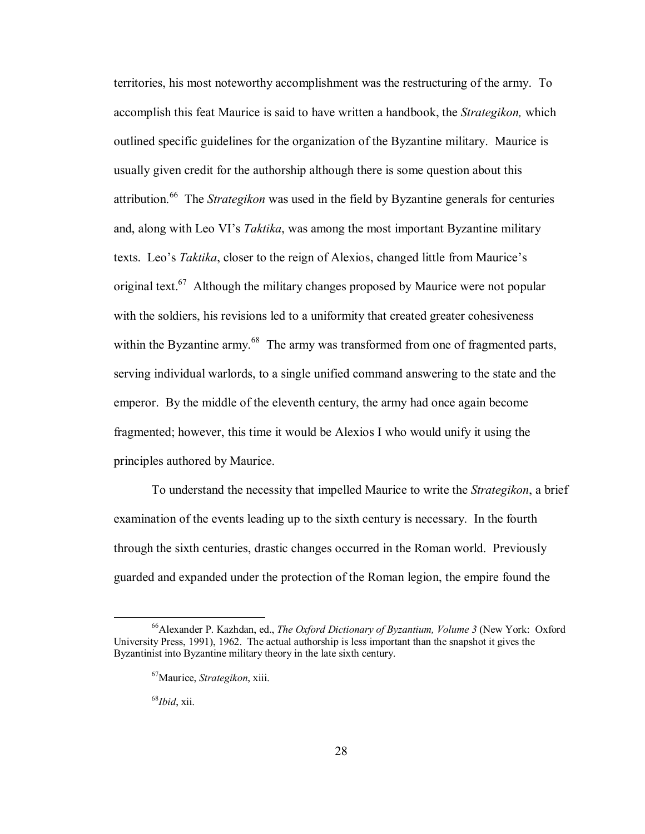territories, his most noteworthy accomplishment was the restructuring of the army. To accomplish this feat Maurice is said to have written a handbook, the *Strategikon,* which outlined specific guidelines for the organization of the Byzantine military.Maurice is usually given credit for the authorship although there is some question about this attribution.66 The *Strategikon* was used in the field by Byzantine generals for centuries and, along with Leo VI's *Taktika*, was among the most important Byzantine military texts. Leo's *Taktika*, closer to the reign of Alexios, changed little from Maurice's original text.<sup>67</sup> Although the military changes proposed by Maurice were not popular with the soldiers, his revisions led to a uniformity that created greater cohesiveness within the Byzantine army.<sup>68</sup> The army was transformed from one of fragmented parts, serving individual warlords, to a single unified command answering to the state and the emperor. By the middle of the eleventh century, the army had once again become fragmented; however, this time it would be Alexios I who would unify it using the principles authored by Maurice.

To understand the necessity that impelled Maurice to write the *Strategikon*, a brief examination of the events leading up to the sixth century is necessary. In the fourth through the sixth centuries, drastic changes occurred in the Roman world. Previously guarded and expanded under the protection of the Roman legion, the empire found the

 <sup>66</sup>Alexander P. Kazhdan, ed., *The Oxford Dictionary of Byzantium, Volume 3* (New York: Oxford University Press, 1991), 1962. The actual authorship is less important than the snapshot it gives the Byzantinist into Byzantine military theory in the late sixth century.

 <sup>67</sup>Maurice, *Strategikon*, xiii.

<sup>68</sup>*Ibid*, xii.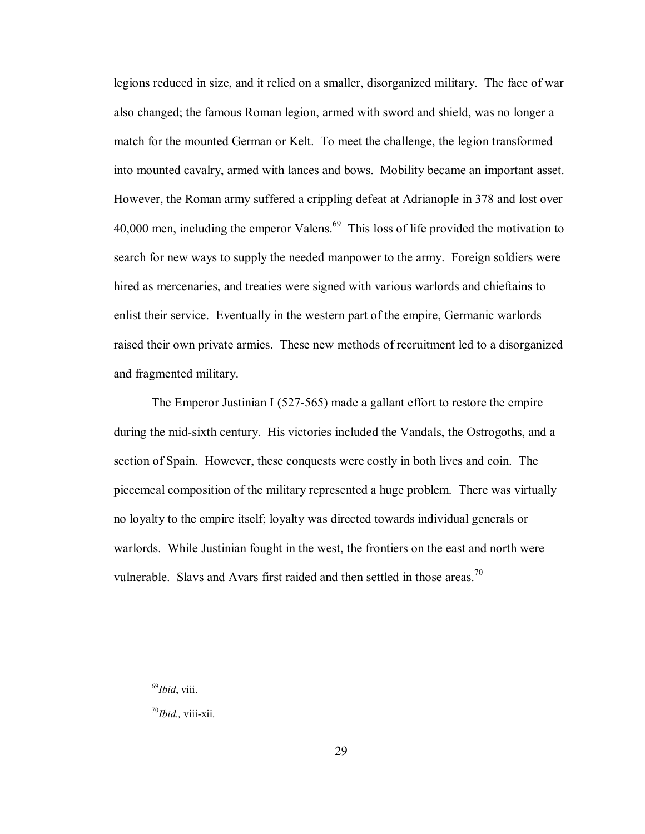legions reduced in size, and it relied on a smaller, disorganized military. The face of war also changed; the famous Roman legion, armed with sword and shield, was no longer a match for the mounted German or Kelt. To meet the challenge, the legion transformed into mounted cavalry, armed with lances and bows. Mobility became an important asset. However, the Roman army suffered a crippling defeat at Adrianople in 378 and lost over 40,000 men, including the emperor Valens.<sup>69</sup> This loss of life provided the motivation to search for new ways to supply the needed manpower to the army. Foreign soldiers were hired as mercenaries, and treaties were signed with various warlords and chieftains to enlist their service. Eventually in the western part of the empire, Germanic warlords raised their own private armies. These new methods of recruitment led to a disorganized and fragmented military.

The Emperor Justinian I (527-565) made a gallant effort to restore the empire during the mid-sixth century. His victories included the Vandals, the Ostrogoths, and a section of Spain. However, these conquests were costly in both lives and coin. The piecemeal composition of the military represented a huge problem. There was virtually no loyalty to the empire itself; loyalty was directed towards individual generals or warlords. While Justinian fought in the west, the frontiers on the east and north were vulnerable. Slavs and Avars first raided and then settled in those areas.<sup>70</sup>

 <sup>69</sup>*Ibid*, viii.

<sup>70</sup>*Ibid.,* viii-xii.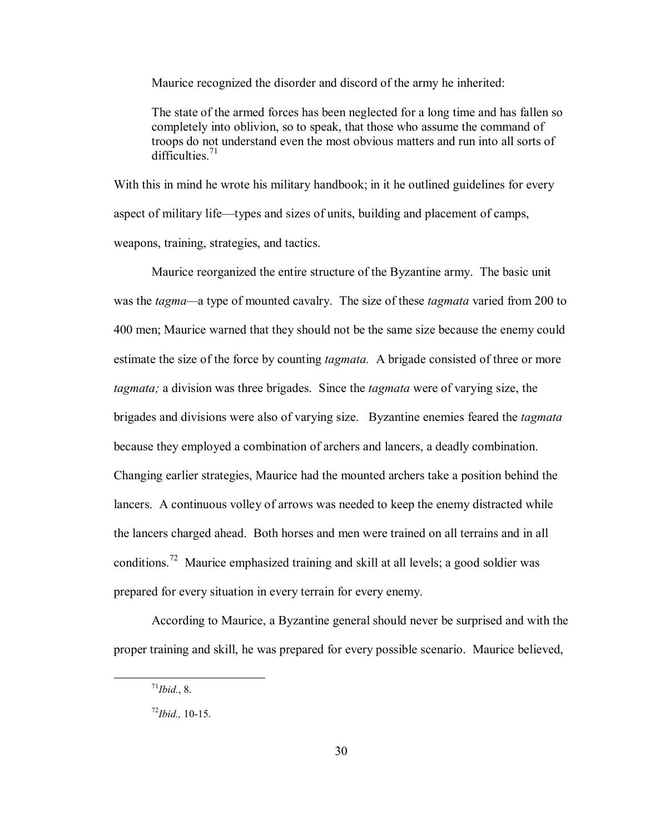Maurice recognized the disorder and discord of the army he inherited:

The state of the armed forces has been neglected for a long time and has fallen so completely into oblivion, so to speak, that those who assume the command of troops do not understand even the most obvious matters and run into all sorts of difficulties $^{71}$ 

With this in mind he wrote his military handbook; in it he outlined guidelines for every aspect of military life—types and sizes of units, building and placement of camps, weapons, training, strategies, and tactics.

Maurice reorganized the entire structure of the Byzantine army. The basic unit was the *tagma*—a type of mounted cavalry. The size of these *tagmata* varied from 200 to 400 men; Maurice warned that they should not be the same size because the enemy could estimate the size of the force by counting *tagmata.* A brigade consisted of three or more *tagmata;* a division was three brigades. Since the *tagmata* were of varying size, the brigades and divisions were also of varying size. Byzantine enemies feared the *tagmata*  because they employed a combination of archers and lancers, a deadly combination. Changing earlier strategies, Maurice had the mounted archers take a position behind the lancers. A continuous volley of arrows was needed to keep the enemy distracted while the lancers charged ahead. Both horses and men were trained on all terrains and in all conditions.72 Maurice emphasized training and skill at all levels; a good soldier was prepared for every situation in every terrain for every enemy.

According to Maurice, a Byzantine general should never be surprised and with the proper training and skill, he was prepared for every possible scenario. Maurice believed,

 $^{71}$ *Ibid.*, 8.

<sup>72</sup>*Ibid.,* 10-15.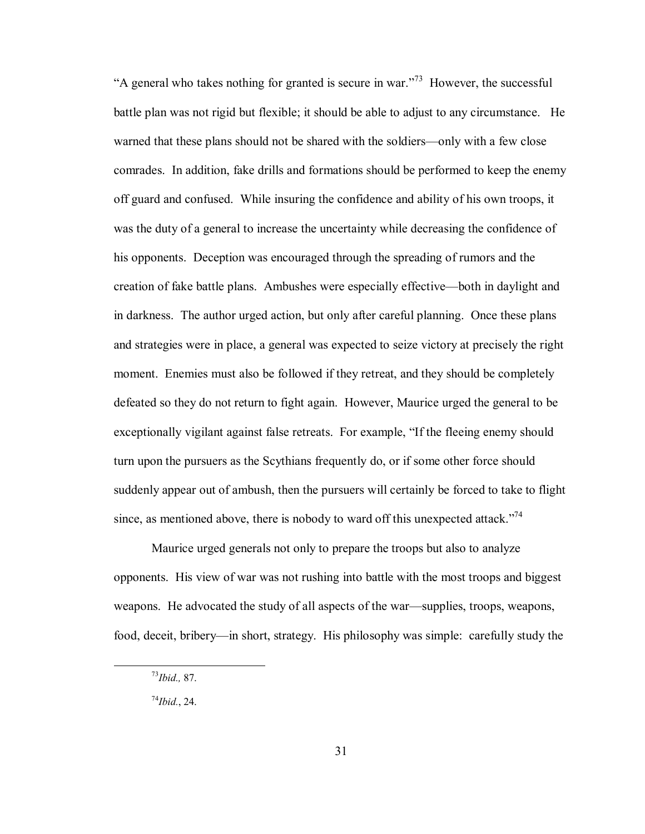"A general who takes nothing for granted is secure in war."<sup>73</sup> However, the successful battle plan was not rigid but flexible; it should be able to adjust to any circumstance. He warned that these plans should not be shared with the soldiers—only with a few close comrades. In addition, fake drills and formations should be performed to keep the enemy off guard and confused. While insuring the confidence and ability of his own troops, it was the duty of a general to increase the uncertainty while decreasing the confidence of his opponents. Deception was encouraged through the spreading of rumors and the creation of fake battle plans. Ambushes were especially effective—both in daylight and in darkness. The author urged action, but only after careful planning. Once these plans and strategies were in place, a general was expected to seize victory at precisely the right moment. Enemies must also be followed if they retreat, and they should be completely defeated so they do not return to fight again. However, Maurice urged the general to be exceptionally vigilant against false retreats. For example, "If the fleeing enemy should turn upon the pursuers as the Scythians frequently do, or if some other force should suddenly appear out of ambush, then the pursuers will certainly be forced to take to flight since, as mentioned above, there is nobody to ward off this unexpected attack.<sup>774</sup>

 Maurice urged generals not only to prepare the troops but also to analyze opponents. His view of war was not rushing into battle with the most troops and biggest weapons. He advocated the study of all aspects of the war—supplies, troops, weapons, food, deceit, bribery—in short, strategy. His philosophy was simple: carefully study the

 <sup>73</sup>*Ibid.,* 87.

<sup>74</sup>*Ibid.*, 24.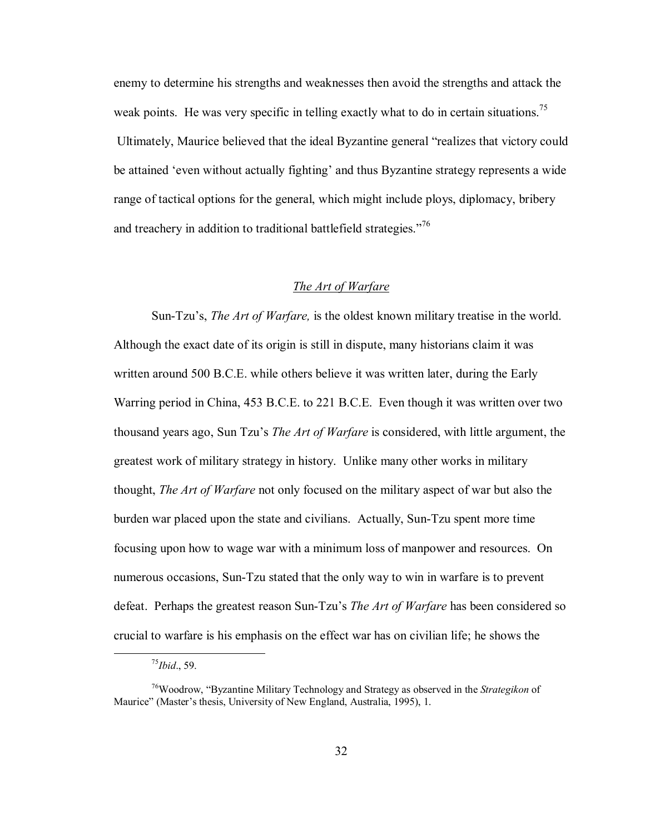enemy to determine his strengths and weaknesses then avoid the strengths and attack the weak points. He was very specific in telling exactly what to do in certain situations.<sup>75</sup> Ultimately, Maurice believed that the ideal Byzantine general "realizes that victory could be attained 'even without actually fighting' and thus Byzantine strategy represents a wide range of tactical options for the general, which might include ploys, diplomacy, bribery and treachery in addition to traditional battlefield strategies.<sup> $7\%$ </sup>

#### *The Art of Warfare*

Sun-Tzuís, *The Art of Warfare,* is the oldest known military treatise in the world. Although the exact date of its origin is still in dispute, many historians claim it was written around 500 B.C.E. while others believe it was written later, during the Early Warring period in China, 453 B.C.E. to 221 B.C.E. Even though it was written over two thousand years ago, Sun Tzuís *The Art of Warfare* is considered, with little argument, the greatest work of military strategy in history. Unlike many other works in military thought, *The Art of Warfare* not only focused on the military aspect of war but also the burden war placed upon the state and civilians. Actually, Sun-Tzu spent more time focusing upon how to wage war with a minimum loss of manpower and resources. On numerous occasions, Sun-Tzu stated that the only way to win in warfare is to prevent defeat. Perhaps the greatest reason Sun-Tzuís *The Art of Warfare* has been considered so crucial to warfare is his emphasis on the effect war has on civilian life; he shows the

 <sup>75</sup>*Ibid*., 59.

<sup>&</sup>lt;sup>76</sup>Woodrow, "Byzantine Military Technology and Strategy as observed in the *Strategikon* of Maurice" (Master's thesis, University of New England, Australia, 1995), 1.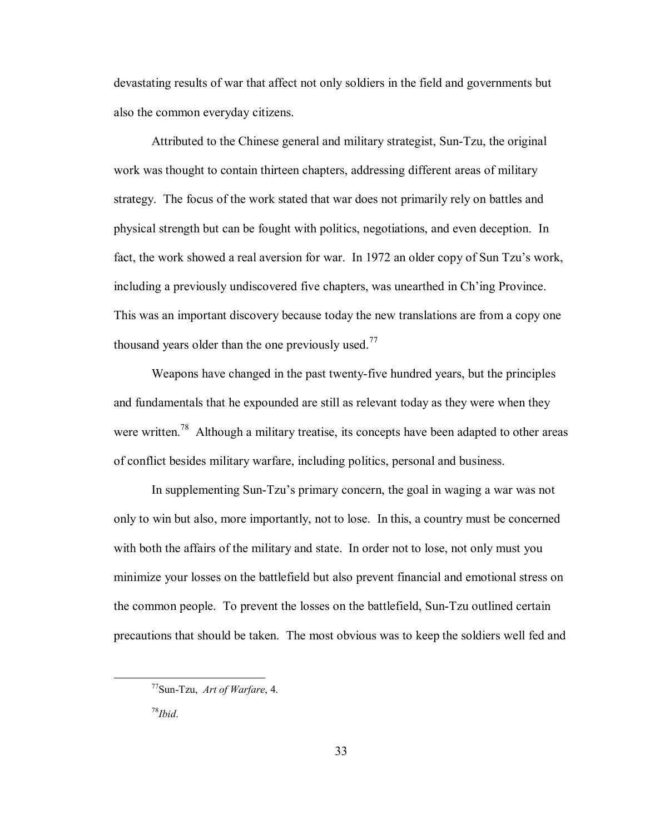devastating results of war that affect not only soldiers in the field and governments but also the common everyday citizens.

Attributed to the Chinese general and military strategist, Sun-Tzu, the original work was thought to contain thirteen chapters, addressing different areas of military strategy. The focus of the work stated that war does not primarily rely on battles and physical strength but can be fought with politics, negotiations, and even deception. In fact, the work showed a real aversion for war. In 1972 an older copy of Sun Tzu's work, including a previously undiscovered five chapters, was unearthed in Ch'ing Province. This was an important discovery because today the new translations are from a copy one thousand years older than the one previously used.<sup>77</sup>

Weapons have changed in the past twenty-five hundred years, but the principles and fundamentals that he expounded are still as relevant today as they were when they were written.<sup>78</sup> Although a military treatise, its concepts have been adapted to other areas of conflict besides military warfare, including politics, personal and business.

In supplementing Sun-Tzuís primary concern, the goal in waging a war was not only to win but also, more importantly, not to lose. In this, a country must be concerned with both the affairs of the military and state. In order not to lose, not only must you minimize your losses on the battlefield but also prevent financial and emotional stress on the common people. To prevent the losses on the battlefield, Sun-Tzu outlined certain precautions that should be taken. The most obvious was to keep the soldiers well fed and

 <sup>77</sup>Sun-Tzu, *Art of Warfare*, 4.

<sup>78</sup>*Ibid*.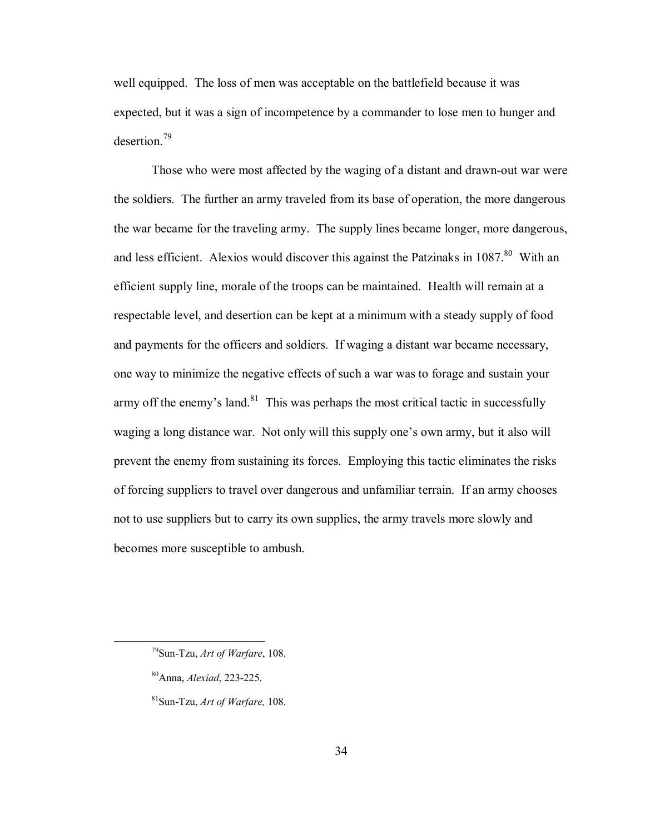well equipped. The loss of men was acceptable on the battlefield because it was expected, but it was a sign of incompetence by a commander to lose men to hunger and desertion.79

Those who were most affected by the waging of a distant and drawn-out war were the soldiers. The further an army traveled from its base of operation, the more dangerous the war became for the traveling army. The supply lines became longer, more dangerous, and less efficient. Alexios would discover this against the Patzinaks in  $1087$ <sup>80</sup> With an efficient supply line, morale of the troops can be maintained. Health will remain at a respectable level, and desertion can be kept at a minimum with a steady supply of food and payments for the officers and soldiers. If waging a distant war became necessary, one way to minimize the negative effects of such a war was to forage and sustain your army off the enemy's land. $81$  This was perhaps the most critical tactic in successfully waging a long distance war. Not only will this supply one's own army, but it also will prevent the enemy from sustaining its forces. Employing this tactic eliminates the risks of forcing suppliers to travel over dangerous and unfamiliar terrain. If an army chooses not to use suppliers but to carry its own supplies, the army travels more slowly and becomes more susceptible to ambush.

 <sup>79</sup>Sun-Tzu, *Art of Warfare*, 108.

<sup>80</sup>Anna, *Alexiad*, 223-225.

<sup>81</sup>Sun-Tzu, *Art of Warfare,* 108.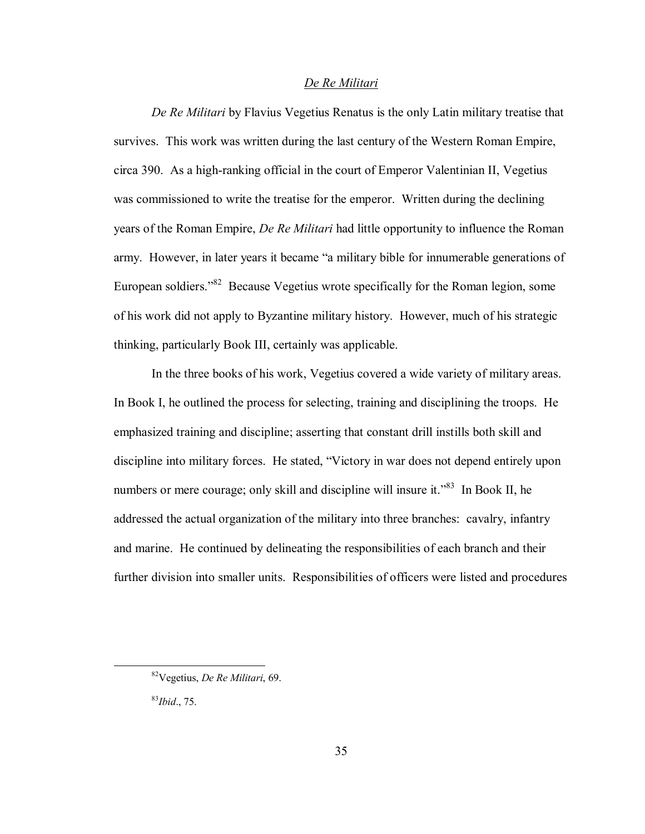### *De Re Militari*

*De Re Militari* by Flavius Vegetius Renatus is the only Latin military treatise that survives. This work was written during the last century of the Western Roman Empire, circa 390. As a high-ranking official in the court of Emperor Valentinian II, Vegetius was commissioned to write the treatise for the emperor. Written during the declining years of the Roman Empire, *De Re Militari* had little opportunity to influence the Roman army. However, in later years it became "a military bible for innumerable generations of European soldiers.<sup> $382$ </sup> Because Vegetius wrote specifically for the Roman legion, some of his work did not apply to Byzantine military history. However, much of his strategic thinking, particularly Book III, certainly was applicable.

In the three books of his work, Vegetius covered a wide variety of military areas. In Book I, he outlined the process for selecting, training and disciplining the troops. He emphasized training and discipline; asserting that constant drill instills both skill and discipline into military forces. He stated, "Victory in war does not depend entirely upon numbers or mere courage; only skill and discipline will insure it.<sup> $83$ </sup> In Book II, he addressed the actual organization of the military into three branches: cavalry, infantry and marine. He continued by delineating the responsibilities of each branch and their further division into smaller units. Responsibilities of officers were listed and procedures

 <sup>82</sup>Vegetius, *De Re Militari*, 69.

<sup>83</sup>*Ibid*., 75.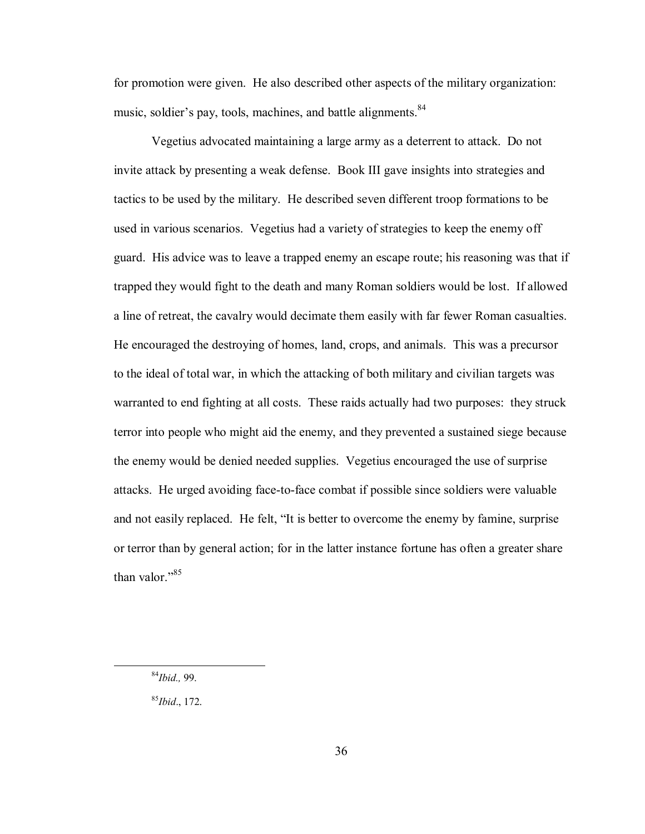for promotion were given. He also described other aspects of the military organization: music, soldier's pay, tools, machines, and battle alignments.<sup>84</sup>

Vegetius advocated maintaining a large army as a deterrent to attack. Do not invite attack by presenting a weak defense. Book III gave insights into strategies and tactics to be used by the military. He described seven different troop formations to be used in various scenarios. Vegetius had a variety of strategies to keep the enemy off guard. His advice was to leave a trapped enemy an escape route; his reasoning was that if trapped they would fight to the death and many Roman soldiers would be lost. If allowed a line of retreat, the cavalry would decimate them easily with far fewer Roman casualties. He encouraged the destroying of homes, land, crops, and animals. This was a precursor to the ideal of total war, in which the attacking of both military and civilian targets was warranted to end fighting at all costs. These raids actually had two purposes: they struck terror into people who might aid the enemy, and they prevented a sustained siege because the enemy would be denied needed supplies. Vegetius encouraged the use of surprise attacks. He urged avoiding face-to-face combat if possible since soldiers were valuable and not easily replaced. He felt, "It is better to overcome the enemy by famine, surprise or terror than by general action; for in the latter instance fortune has often a greater share than valor. $185$ 

<sup>85</sup>*Ibid*., 172.

 <sup>84</sup>*Ibid.,* 99.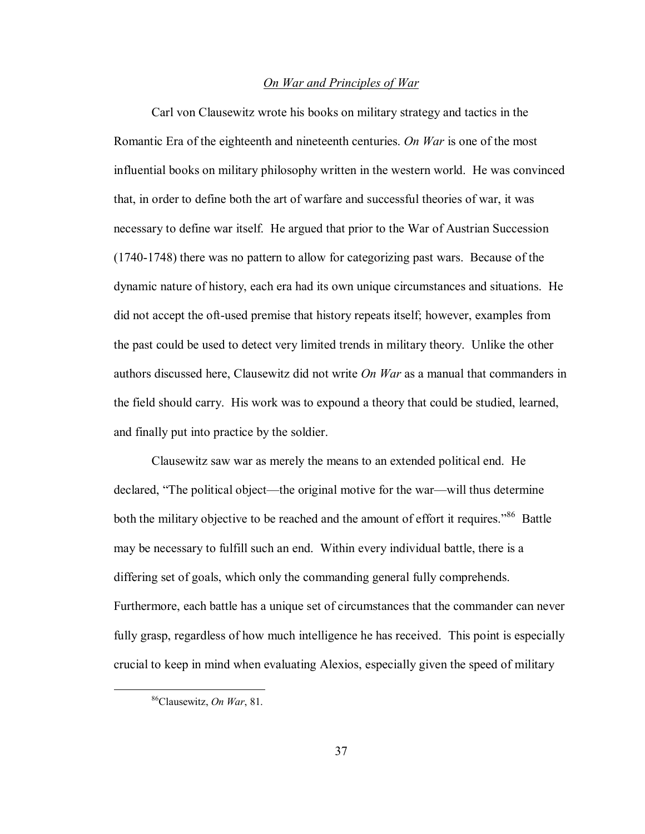### *On War and Principles of War*

Carl von Clausewitz wrote his books on military strategy and tactics in the Romantic Era of the eighteenth and nineteenth centuries. *On War* is one of the most influential books on military philosophy written in the western world. He was convinced that, in order to define both the art of warfare and successful theories of war, it was necessary to define war itself. He argued that prior to the War of Austrian Succession (1740-1748) there was no pattern to allow for categorizing past wars. Because of the dynamic nature of history, each era had its own unique circumstances and situations. He did not accept the oft-used premise that history repeats itself; however, examples from the past could be used to detect very limited trends in military theory. Unlike the other authors discussed here, Clausewitz did not write *On War* as a manual that commanders in the field should carry. His work was to expound a theory that could be studied, learned, and finally put into practice by the soldier.

Clausewitz saw war as merely the means to an extended political end. He declared, "The political object—the original motive for the war—will thus determine both the military objective to be reached and the amount of effort it requires.<sup>86</sup> Battle may be necessary to fulfill such an end. Within every individual battle, there is a differing set of goals, which only the commanding general fully comprehends. Furthermore, each battle has a unique set of circumstances that the commander can never fully grasp, regardless of how much intelligence he has received. This point is especially crucial to keep in mind when evaluating Alexios, especially given the speed of military

 <sup>86</sup>Clausewitz, *On War*, 81.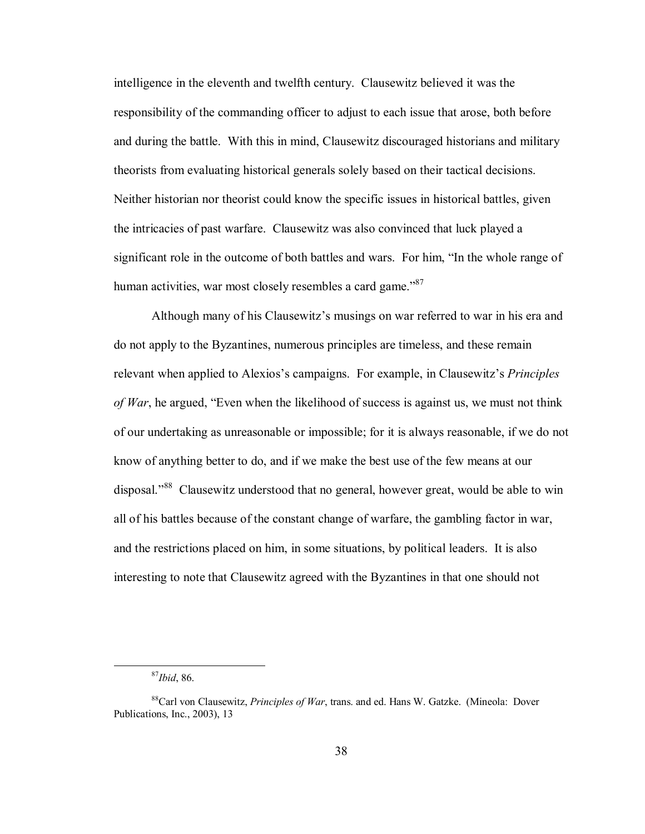intelligence in the eleventh and twelfth century. Clausewitz believed it was the responsibility of the commanding officer to adjust to each issue that arose, both before and during the battle. With this in mind, Clausewitz discouraged historians and military theorists from evaluating historical generals solely based on their tactical decisions. Neither historian nor theorist could know the specific issues in historical battles, given the intricacies of past warfare. Clausewitz was also convinced that luck played a significant role in the outcome of both battles and wars. For him, "In the whole range of human activities, war most closely resembles a card game.<sup>87</sup>

Although many of his Clausewitz's musings on war referred to war in his era and do not apply to the Byzantines, numerous principles are timeless, and these remain relevant when applied to Alexios's campaigns. For example, in Clausewitz's *Principles of War*, he argued, "Even when the likelihood of success is against us, we must not think of our undertaking as unreasonable or impossible; for it is always reasonable, if we do not know of anything better to do, and if we make the best use of the few means at our disposal."<sup>88</sup> Clausewitz understood that no general, however great, would be able to win all of his battles because of the constant change of warfare, the gambling factor in war, and the restrictions placed on him, in some situations, by political leaders. It is also interesting to note that Clausewitz agreed with the Byzantines in that one should not

 <sup>87</sup>*Ibid*, 86.

<sup>88</sup>Carl von Clausewitz, *Principles of War*, trans. and ed. Hans W. Gatzke. (Mineola: Dover Publications, Inc., 2003), 13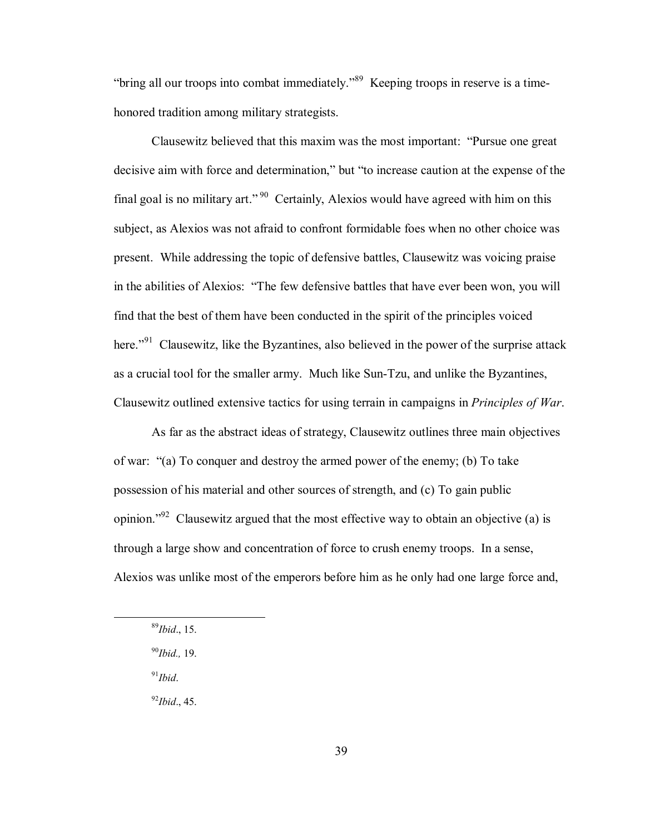"bring all our troops into combat immediately."<sup>89</sup> Keeping troops in reserve is a timehonored tradition among military strategists.

Clausewitz believed that this maxim was the most important: "Pursue one great" decisive aim with force and determination," but "to increase caution at the expense of the final goal is no military art.<sup> $90$ </sup> Certainly, Alexios would have agreed with him on this subject, as Alexios was not afraid to confront formidable foes when no other choice was present. While addressing the topic of defensive battles, Clausewitz was voicing praise in the abilities of Alexios: "The few defensive battles that have ever been won, you will find that the best of them have been conducted in the spirit of the principles voiced here.<sup> $291$ </sup> Clausewitz, like the Byzantines, also believed in the power of the surprise attack as a crucial tool for the smaller army. Much like Sun-Tzu, and unlike the Byzantines, Clausewitz outlined extensive tactics for using terrain in campaigns in *Principles of War*.

As far as the abstract ideas of strategy, Clausewitz outlines three main objectives of war:  $\degree$ (a) To conquer and destroy the armed power of the enemy; (b) To take possession of his material and other sources of strength, and (c) To gain public opinion.<sup> $292$ </sup> Clausewitz argued that the most effective way to obtain an objective (a) is through a large show and concentration of force to crush enemy troops. In a sense, Alexios was unlike most of the emperors before him as he only had one large force and,

 $91$ *Ibid*.

<sup>92</sup>*Ibid*., 45.

 <sup>89</sup>*Ibid*., 15.

<sup>90</sup>*Ibid.,* 19.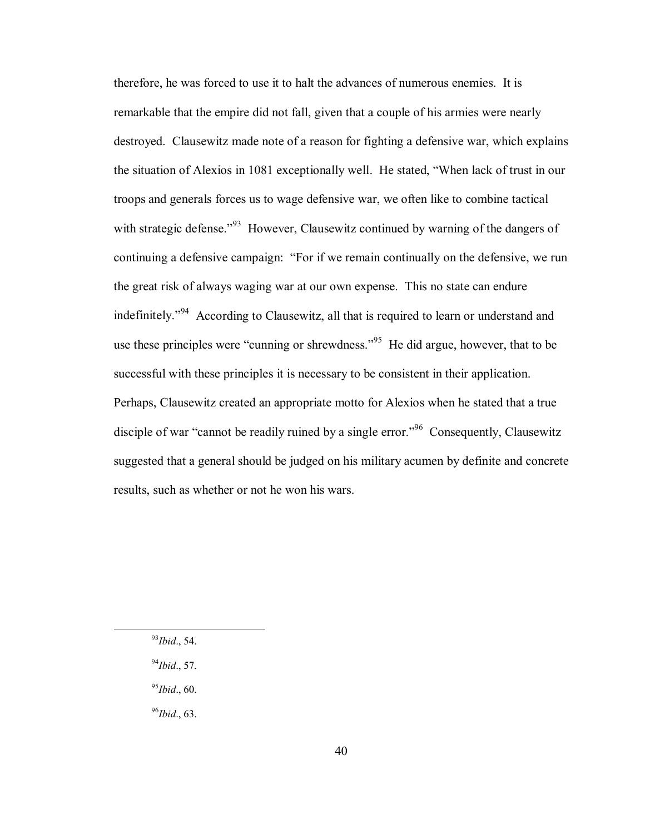therefore, he was forced to use it to halt the advances of numerous enemies. It is remarkable that the empire did not fall, given that a couple of his armies were nearly destroyed. Clausewitz made note of a reason for fighting a defensive war, which explains the situation of Alexios in 1081 exceptionally well. He stated, "When lack of trust in our troops and generals forces us to wage defensive war, we often like to combine tactical with strategic defense.<sup> $93$ </sup> However, Clausewitz continued by warning of the dangers of continuing a defensive campaign: "For if we remain continually on the defensive, we run the great risk of always waging war at our own expense. This no state can endure indefinitely.<sup>794</sup> According to Clausewitz, all that is required to learn or understand and use these principles were "cunning or shrewdness."<sup>95</sup> He did argue, however, that to be successful with these principles it is necessary to be consistent in their application. Perhaps, Clausewitz created an appropriate motto for Alexios when he stated that a true disciple of war "cannot be readily ruined by a single error."<sup>96</sup> Consequently, Clausewitz suggested that a general should be judged on his military acumen by definite and concrete results, such as whether or not he won his wars.

- 93*Ibid*., 54.
- <sup>94</sup>*Ibid*., 57.
- <sup>95</sup>*Ibid*., 60.
- <sup>96</sup>*Ibid*., 63.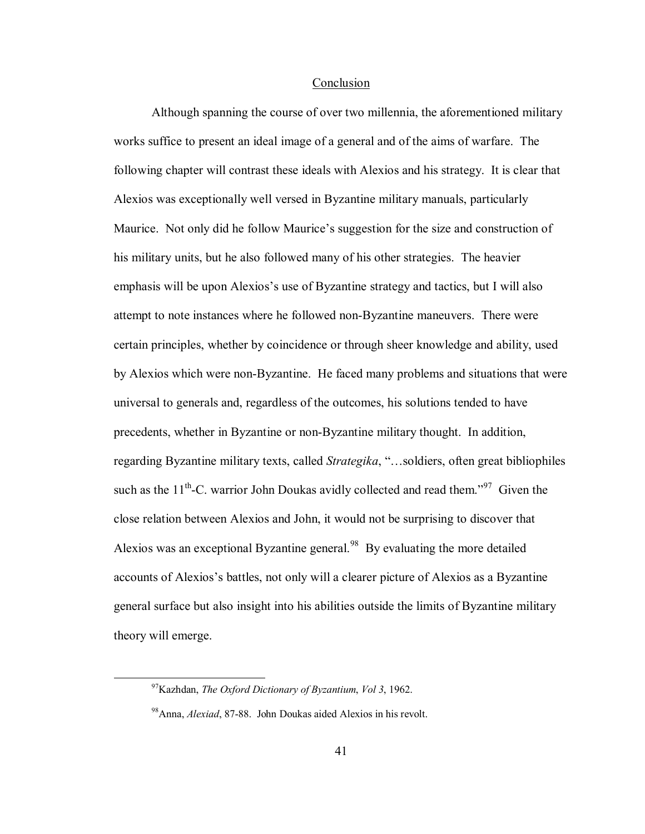#### Conclusion

 Although spanning the course of over two millennia, the aforementioned military works suffice to present an ideal image of a general and of the aims of warfare. The following chapter will contrast these ideals with Alexios and his strategy. It is clear that Alexios was exceptionally well versed in Byzantine military manuals, particularly Maurice. Not only did he follow Maurice's suggestion for the size and construction of his military units, but he also followed many of his other strategies. The heavier emphasis will be upon Alexios's use of Byzantine strategy and tactics, but I will also attempt to note instances where he followed non-Byzantine maneuvers. There were certain principles, whether by coincidence or through sheer knowledge and ability, used by Alexios which were non-Byzantine. He faced many problems and situations that were universal to generals and, regardless of the outcomes, his solutions tended to have precedents, whether in Byzantine or non-Byzantine military thought. In addition, regarding Byzantine military texts, called *Strategika*, "...soldiers, often great bibliophiles such as the  $11<sup>th</sup>$ -C. warrior John Doukas avidly collected and read them.<sup>997</sup> Given the close relation between Alexios and John, it would not be surprising to discover that Alexios was an exceptional Byzantine general.<sup>98</sup> By evaluating the more detailed accounts of Alexios's battles, not only will a clearer picture of Alexios as a Byzantine general surface but also insight into his abilities outside the limits of Byzantine military theory will emerge.

 <sup>97</sup>Kazhdan, *The Oxford Dictionary of Byzantium*, *Vol 3*, 1962.

<sup>98</sup>Anna, *Alexiad*, 87-88. John Doukas aided Alexios in his revolt.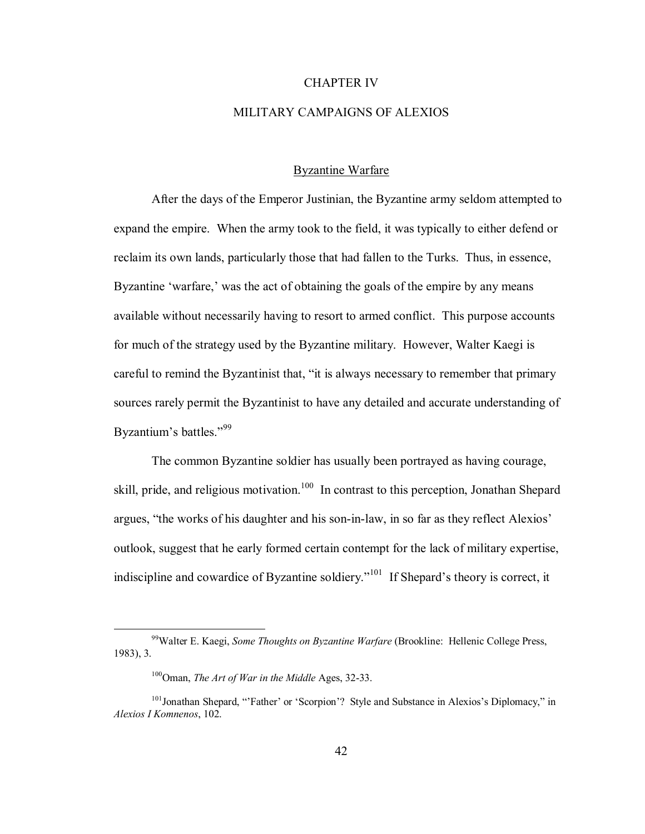#### CHAPTER IV

# MILITARY CAMPAIGNS OF ALEXIOS

# Byzantine Warfare

After the days of the Emperor Justinian, the Byzantine army seldom attempted to expand the empire. When the army took to the field, it was typically to either defend or reclaim its own lands, particularly those that had fallen to the Turks. Thus, in essence, Byzantine 'warfare,' was the act of obtaining the goals of the empire by any means available without necessarily having to resort to armed conflict. This purpose accounts for much of the strategy used by the Byzantine military. However, Walter Kaegi is careful to remind the Byzantinist that, "it is always necessary to remember that primary sources rarely permit the Byzantinist to have any detailed and accurate understanding of Byzantium's battles."<sup>99</sup>

The common Byzantine soldier has usually been portrayed as having courage, skill, pride, and religious motivation.<sup>100</sup> In contrast to this perception, Jonathan Shepard argues, "the works of his daughter and his son-in-law, in so far as they reflect Alexios' outlook, suggest that he early formed certain contempt for the lack of military expertise, indiscipline and cowardice of Byzantine soldiery.<sup> $101$ </sup> If Shepard's theory is correct, it

 <sup>99</sup>Walter E. Kaegi, *Some Thoughts on Byzantine Warfare* (Brookline: Hellenic College Press, 1983), 3.

 <sup>100</sup>Oman, *The Art of War in the Middle* Ages, 32-33.

<sup>&</sup>lt;sup>101</sup>Jonathan Shepard, "Father' or 'Scorpion'? Style and Substance in Alexios's Diplomacy," in *Alexios I Komnenos*, 102.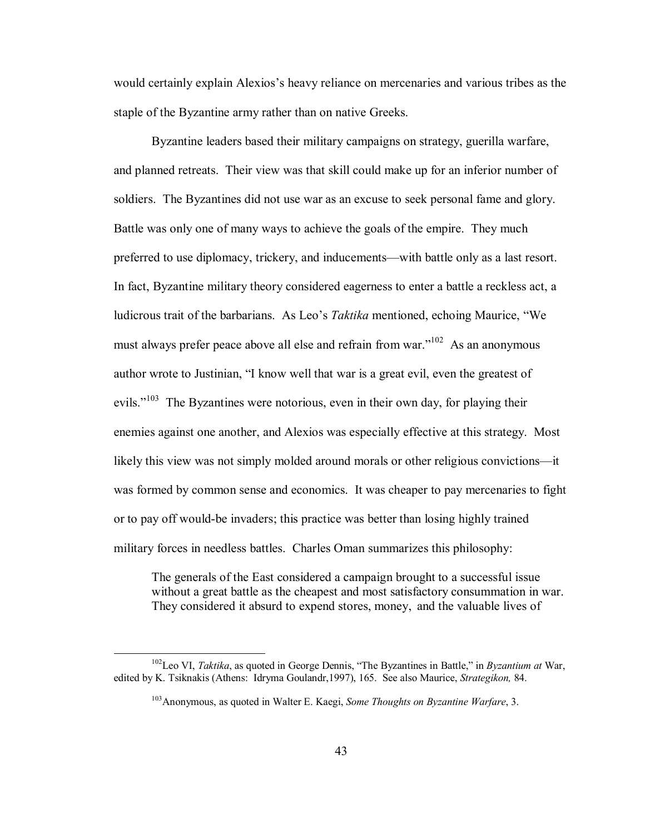would certainly explain Alexios's heavy reliance on mercenaries and various tribes as the staple of the Byzantine army rather than on native Greeks.

Byzantine leaders based their military campaigns on strategy, guerilla warfare, and planned retreats. Their view was that skill could make up for an inferior number of soldiers. The Byzantines did not use war as an excuse to seek personal fame and glory. Battle was only one of many ways to achieve the goals of the empire. They much preferred to use diplomacy, trickery, and inducements—with battle only as a last resort. In fact, Byzantine military theory considered eagerness to enter a battle a reckless act, a ludicrous trait of the barbarians. As Leo's *Taktika* mentioned, echoing Maurice, "We must always prefer peace above all else and refrain from war.<sup> $102$ </sup> As an anonymous author wrote to Justinian, "I know well that war is a great evil, even the greatest of evils.<sup> $103$ </sup> The Byzantines were notorious, even in their own day, for playing their enemies against one another, and Alexios was especially effective at this strategy. Most likely this view was not simply molded around morals or other religious convictions—it was formed by common sense and economics. It was cheaper to pay mercenaries to fight or to pay off would-be invaders; this practice was better than losing highly trained military forces in needless battles. Charles Oman summarizes this philosophy:

The generals of the East considered a campaign brought to a successful issue without a great battle as the cheapest and most satisfactory consummation in war. They considered it absurd to expend stores, money, and the valuable lives of

<sup>&</sup>lt;sup>102</sup>Leo VI, *Taktika*, as quoted in George Dennis, "The Byzantines in Battle," in *Byzantium at* War, edited by K. Tsiknakis (Athens: Idryma Goulandr,1997), 165. See also Maurice, *Strategikon,* 84.

<sup>103</sup>Anonymous, as quoted in Walter E. Kaegi, *Some Thoughts on Byzantine Warfare*, 3.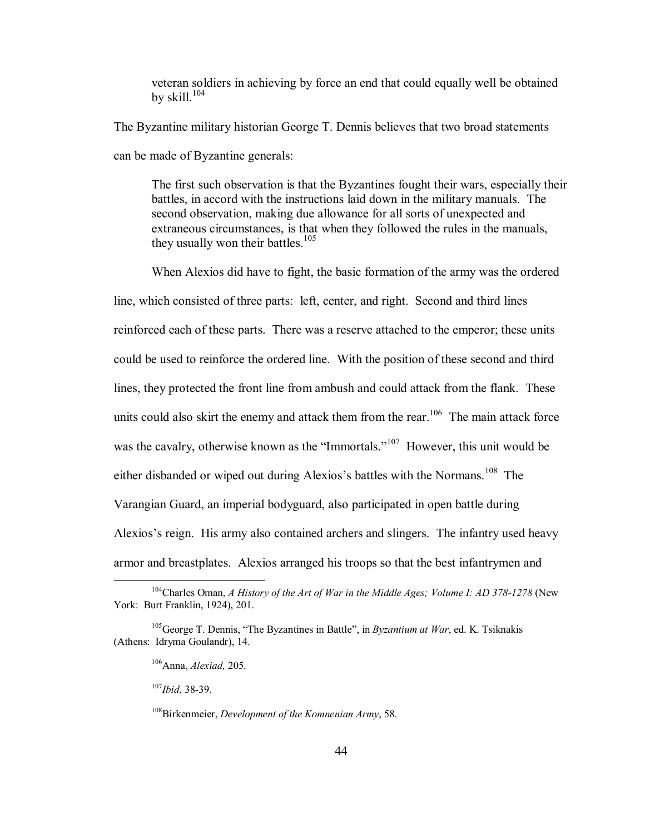veteran soldiers in achieving by force an end that could equally well be obtained by skill. $104$ 

The Byzantine military historian George T. Dennis believes that two broad statements can be made of Byzantine generals:

The first such observation is that the Byzantines fought their wars, especially their battles, in accord with the instructions laid down in the military manuals. The second observation, making due allowance for all sorts of unexpected and extraneous circumstances, is that when they followed the rules in the manuals, they usually won their battles.<sup>105</sup>

When Alexios did have to fight, the basic formation of the army was the ordered

line, which consisted of three parts: left, center, and right. Second and third lines reinforced each of these parts. There was a reserve attached to the emperor; these units could be used to reinforce the ordered line. With the position of these second and third lines, they protected the front line from ambush and could attack from the flank. These units could also skirt the enemy and attack them from the rear.<sup>106</sup> The main attack force was the cavalry, otherwise known as the "Immortals."<sup>107</sup> However, this unit would be either disbanded or wiped out during Alexios's battles with the Normans.<sup>108</sup> The Varangian Guard, an imperial bodyguard, also participated in open battle during Alexios's reign. His army also contained archers and slingers. The infantry used heavy armor and breastplates. Alexios arranged his troops so that the best infantrymen and

<sup>107</sup>*Ibid*, 38-39.

 <sup>104</sup>Charles Oman, *A History of the Art of War in the Middle Ages; Volume I: AD 378-1278* (New York: Burt Franklin, 1924), 201.

 $105G$ eorge T. Dennis, "The Byzantines in Battle", in *Byzantium at War*, ed. K. Tsiknakis (Athens: Idryma Goulandr), 14.

<sup>106</sup>Anna, *Alexiad,* 205.

<sup>108</sup>Birkenmeier, *Development of the Komnenian Army*, 58.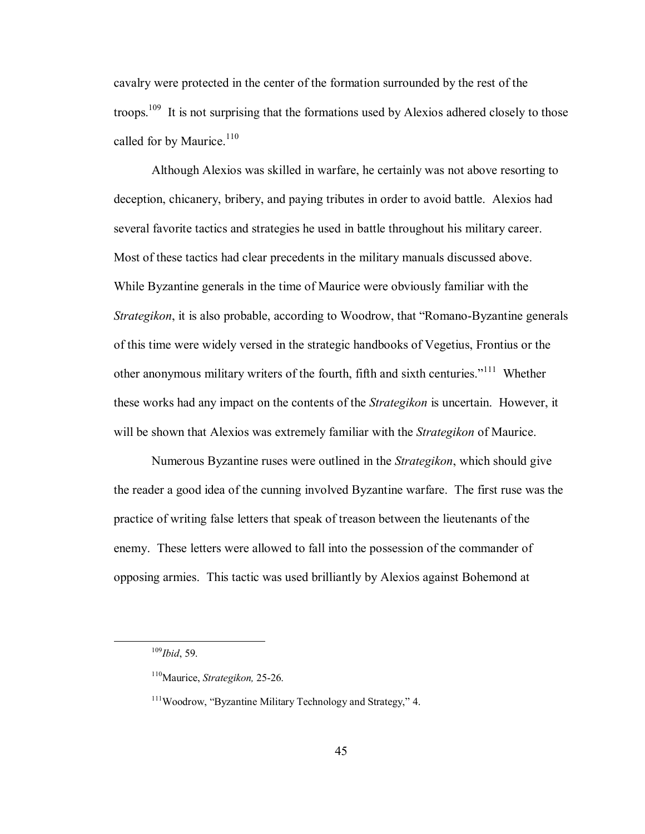cavalry were protected in the center of the formation surrounded by the rest of the troops.<sup>109</sup> It is not surprising that the formations used by Alexios adhered closely to those called for by Maurice. $110$ 

Although Alexios was skilled in warfare, he certainly was not above resorting to deception, chicanery, bribery, and paying tributes in order to avoid battle. Alexios had several favorite tactics and strategies he used in battle throughout his military career. Most of these tactics had clear precedents in the military manuals discussed above. While Byzantine generals in the time of Maurice were obviously familiar with the *Strategikon*, it is also probable, according to Woodrow, that "Romano-Byzantine generals" of this time were widely versed in the strategic handbooks of Vegetius, Frontius or the other anonymous military writers of the fourth, fifth and sixth centuries.<sup> $111$ </sup> Whether these works had any impact on the contents of the *Strategikon* is uncertain. However, it will be shown that Alexios was extremely familiar with the *Strategikon* of Maurice.

Numerous Byzantine ruses were outlined in the *Strategikon*, which should give the reader a good idea of the cunning involved Byzantine warfare. The first ruse was the practice of writing false letters that speak of treason between the lieutenants of the enemy. These letters were allowed to fall into the possession of the commander of opposing armies. This tactic was used brilliantly by Alexios against Bohemond at

 <sup>109</sup>*Ibid*, 59.

<sup>110</sup>Maurice, *Strategikon,* 25-26.

 $111$ Woodrow, "Byzantine Military Technology and Strategy," 4.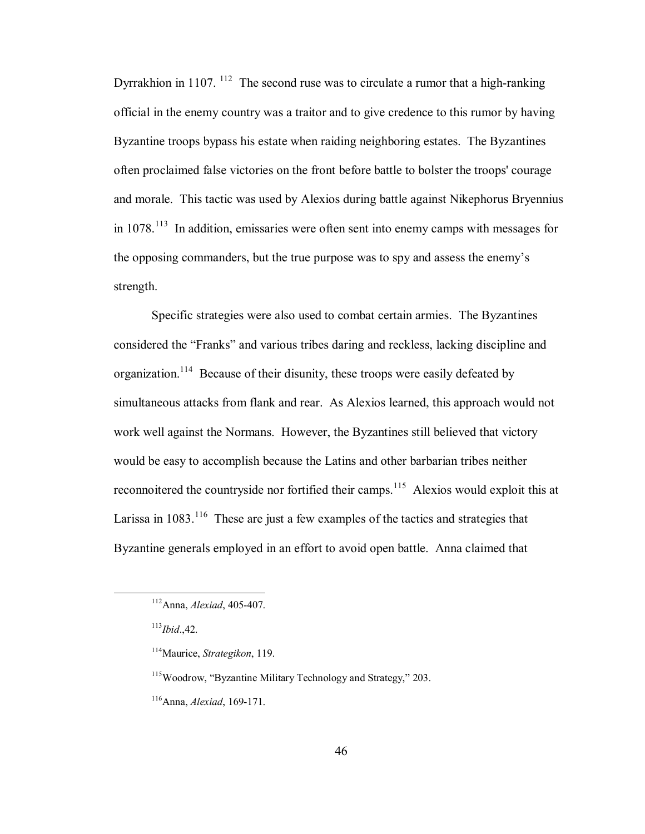Dyrrakhion in  $1107$ . <sup>112</sup> The second ruse was to circulate a rumor that a high-ranking official in the enemy country was a traitor and to give credence to this rumor by having Byzantine troops bypass his estate when raiding neighboring estates. The Byzantines often proclaimed false victories on the front before battle to bolster the troops' courage and morale. This tactic was used by Alexios during battle against Nikephorus Bryennius in  $1078<sup>113</sup>$  In addition, emissaries were often sent into enemy camps with messages for the opposing commanders, but the true purpose was to spy and assess the enemy's strength.

Specific strategies were also used to combat certain armies. The Byzantines considered the "Franks" and various tribes daring and reckless, lacking discipline and organization.114 Because of their disunity, these troops were easily defeated by simultaneous attacks from flank and rear. As Alexios learned, this approach would not work well against the Normans. However, the Byzantines still believed that victory would be easy to accomplish because the Latins and other barbarian tribes neither reconnoitered the countryside nor fortified their camps.<sup>115</sup> Alexios would exploit this at Larissa in  $1083$ <sup>116</sup>. These are just a few examples of the tactics and strategies that Byzantine generals employed in an effort to avoid open battle. Anna claimed that

 <sup>112</sup>Anna, *Alexiad*, 405-407.

 $113$ *Ibid*<sub>.</sub>42.

 <sup>114</sup>Maurice, *Strategikon*, 119.

 $115$ Woodrow, "Byzantine Military Technology and Strategy," 203.

<sup>116</sup>Anna, *Alexiad*, 169-171.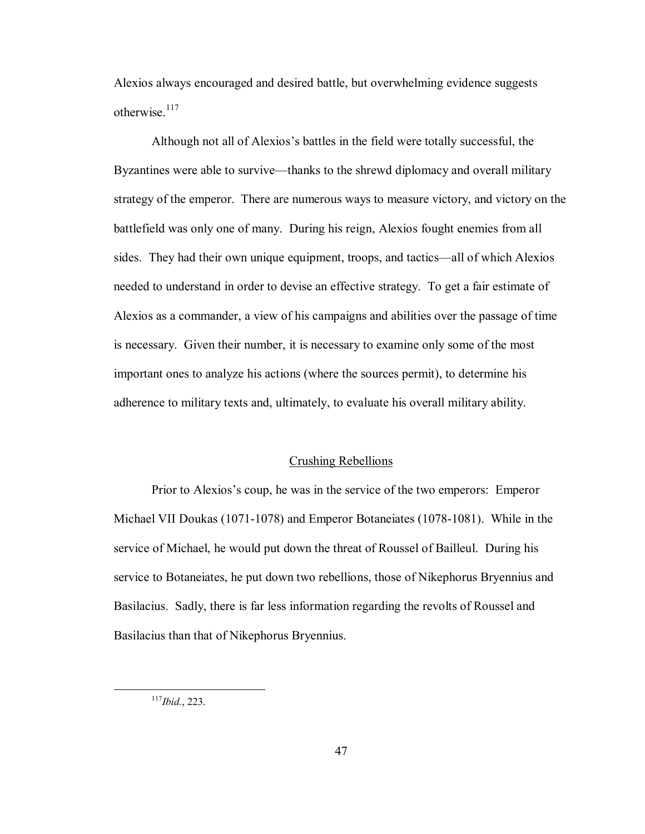Alexios always encouraged and desired battle, but overwhelming evidence suggests otherwise $117$ 

Although not all of Alexios's battles in the field were totally successful, the Byzantines were able to survive—thanks to the shrewd diplomacy and overall military strategy of the emperor. There are numerous ways to measure victory, and victory on the battlefield was only one of many. During his reign, Alexios fought enemies from all sides. They had their own unique equipment, troops, and tactics—all of which Alexios needed to understand in order to devise an effective strategy. To get a fair estimate of Alexios as a commander, a view of his campaigns and abilities over the passage of time is necessary. Given their number, it is necessary to examine only some of the most important ones to analyze his actions (where the sources permit), to determine his adherence to military texts and, ultimately, to evaluate his overall military ability.

#### Crushing Rebellions

Prior to Alexios's coup, he was in the service of the two emperors: Emperor Michael VII Doukas (1071-1078) and Emperor Botaneiates (1078-1081). While in the service of Michael, he would put down the threat of Roussel of Bailleul. During his service to Botaneiates, he put down two rebellions, those of Nikephorus Bryennius and Basilacius. Sadly, there is far less information regarding the revolts of Roussel and Basilacius than that of Nikephorus Bryennius.

 <sup>117</sup>*Ibid.*, 223.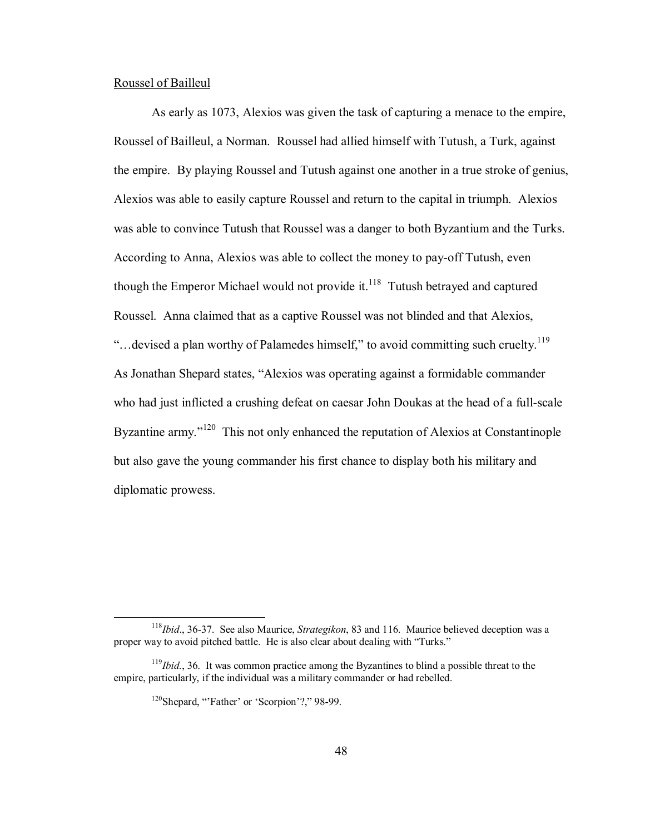## Roussel of Bailleul

As early as 1073, Alexios was given the task of capturing a menace to the empire, Roussel of Bailleul, a Norman. Roussel had allied himself with Tutush, a Turk, against the empire. By playing Roussel and Tutush against one another in a true stroke of genius, Alexios was able to easily capture Roussel and return to the capital in triumph. Alexios was able to convince Tutush that Roussel was a danger to both Byzantium and the Turks. According to Anna, Alexios was able to collect the money to pay-off Tutush, even though the Emperor Michael would not provide it. $118$  Tutush betrayed and captured Roussel. Anna claimed that as a captive Roussel was not blinded and that Alexios, "... devised a plan worthy of Palamedes himself," to avoid committing such cruelty.<sup>119</sup> As Jonathan Shepard states, "Alexios was operating against a formidable commander who had just inflicted a crushing defeat on caesar John Doukas at the head of a full-scale Byzantine army.<sup> $120$ </sup> This not only enhanced the reputation of Alexios at Constantinople but also gave the young commander his first chance to display both his military and diplomatic prowess.

 <sup>118</sup>*Ibid*., 36-37. See also Maurice, *Strategikon*, 83 and 116. Maurice believed deception was a proper way to avoid pitched battle. He is also clear about dealing with "Turks."

 <sup>119</sup>*Ibid.*, 36. It was common practice among the Byzantines to blind a possible threat to the empire, particularly, if the individual was a military commander or had rebelled.

 $120$ Shepard, "Father' or 'Scorpion'?," 98-99.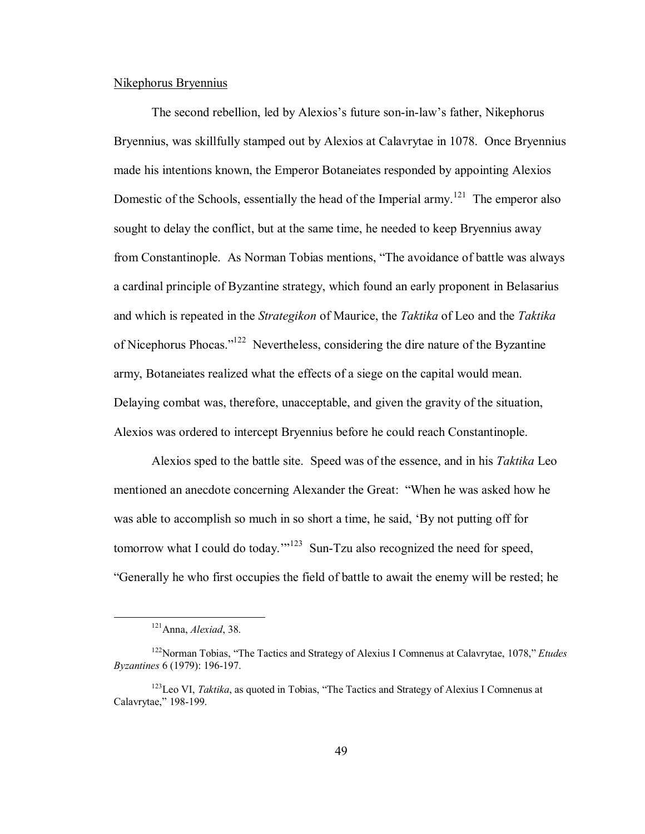# Nikephorus Bryennius

The second rebellion, led by Alexios's future son-in-law's father, Nikephorus Bryennius, was skillfully stamped out by Alexios at Calavrytae in 1078. Once Bryennius made his intentions known, the Emperor Botaneiates responded by appointing Alexios Domestic of the Schools, essentially the head of the Imperial army.<sup>121</sup> The emperor also sought to delay the conflict, but at the same time, he needed to keep Bryennius away from Constantinople. As Norman Tobias mentions, "The avoidance of battle was always a cardinal principle of Byzantine strategy, which found an early proponent in Belasarius and which is repeated in the *Strategikon* of Maurice, the *Taktika* of Leo and the *Taktika*  of Nicephorus Phocas.<sup> $122$ </sup> Nevertheless, considering the dire nature of the Byzantine army, Botaneiates realized what the effects of a siege on the capital would mean. Delaying combat was, therefore, unacceptable, and given the gravity of the situation, Alexios was ordered to intercept Bryennius before he could reach Constantinople.

Alexios sped to the battle site. Speed was of the essence, and in his *Taktika* Leo mentioned an anecdote concerning Alexander the Great: "When he was asked how he was able to accomplish so much in so short a time, he said, 'By not putting off for tomorrow what I could do today.<sup> $123$ </sup> Sun-Tzu also recognized the need for speed, ìGenerally he who first occupies the field of battle to await the enemy will be rested; he

 <sup>121</sup>Anna, *Alexiad*, 38.

<sup>&</sup>lt;sup>122</sup>Norman Tobias, "The Tactics and Strategy of Alexius I Comnenus at Calavrytae, 1078," *Etudes Byzantines* 6 (1979): 196-197.

<sup>&</sup>lt;sup>123</sup>Leo VI, *Taktika*, as quoted in Tobias, "The Tactics and Strategy of Alexius I Comnenus at Calavrytae," 198-199.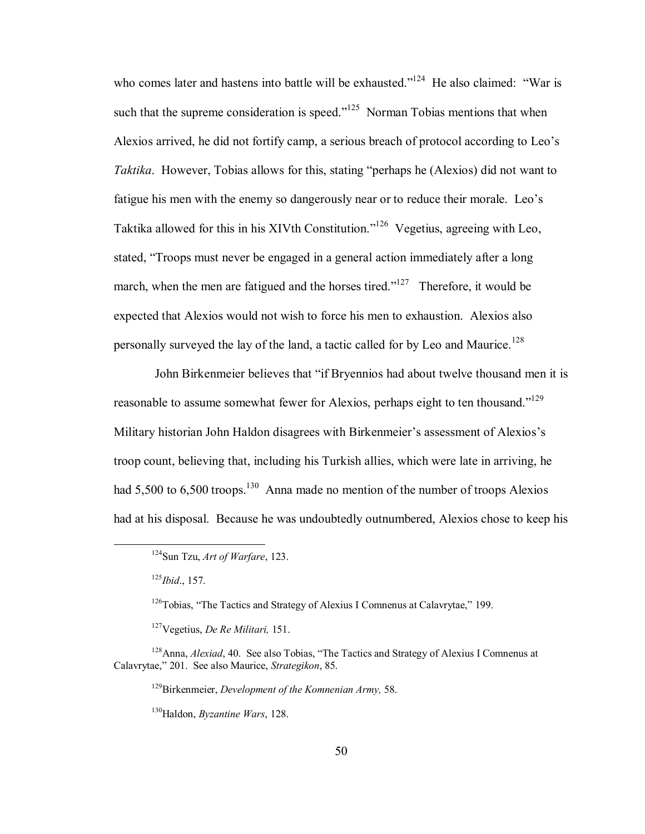who comes later and hastens into battle will be exhausted.<sup> $124$ </sup> He also claimed: "War is such that the supreme consideration is speed.<sup> $125$ </sup> Norman Tobias mentions that when Alexios arrived, he did not fortify camp, a serious breach of protocol according to Leo's *Taktika*. However, Tobias allows for this, stating "perhaps he (Alexios) did not want to fatigue his men with the enemy so dangerously near or to reduce their morale. Leo's Taktika allowed for this in his XIVth Constitution.<sup> $126$ </sup> Vegetius, agreeing with Leo, stated, "Troops must never be engaged in a general action immediately after a long march, when the men are fatigued and the horses tired.<sup> $127$ </sup> Therefore, it would be expected that Alexios would not wish to force his men to exhaustion. Alexios also personally surveyed the lay of the land, a tactic called for by Leo and Maurice.<sup>128</sup>

John Birkenmeier believes that "if Bryennios had about twelve thousand men it is reasonable to assume somewhat fewer for Alexios, perhaps eight to ten thousand.<sup>"129</sup> Military historian John Haldon disagrees with Birkenmeier's assessment of Alexios's troop count, believing that, including his Turkish allies, which were late in arriving, he had 5,500 to 6,500 troops.<sup>130</sup> Anna made no mention of the number of troops Alexios had at his disposal. Because he was undoubtedly outnumbered, Alexios chose to keep his

129Birkenmeier, *Development of the Komnenian Army,* 58.

 <sup>124</sup>Sun Tzu, *Art of Warfare*, 123.

<sup>125</sup>*Ibid*., 157.

 $126$ Tobias, "The Tactics and Strategy of Alexius I Comnenus at Calavrytae," 199.

<sup>127</sup>Vegetius, *De Re Militari,* 151.

<sup>&</sup>lt;sup>128</sup>Anna, *Alexiad*, 40. See also Tobias, "The Tactics and Strategy of Alexius I Comnenus at Calavrytae," 201. See also Maurice, *Strategikon*, 85.

<sup>130</sup>Haldon, *Byzantine Wars*, 128.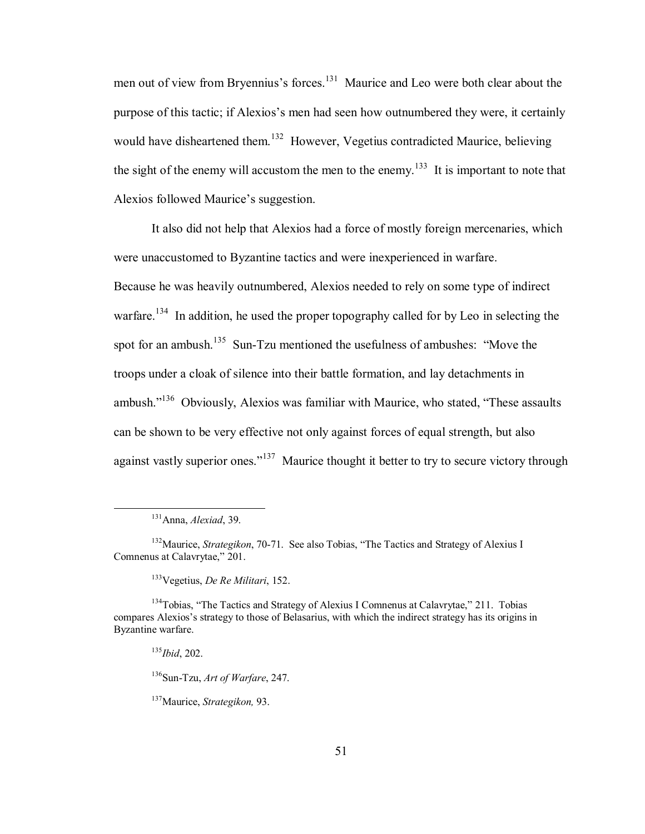men out of view from Bryennius's forces.<sup>131</sup> Maurice and Leo were both clear about the purpose of this tactic; if Alexios's men had seen how outnumbered they were, it certainly would have disheartened them.<sup>132</sup> However, Vegetius contradicted Maurice, believing the sight of the enemy will accustom the men to the enemy.<sup>133</sup> It is important to note that Alexios followed Maurice's suggestion.

It also did not help that Alexios had a force of mostly foreign mercenaries, which were unaccustomed to Byzantine tactics and were inexperienced in warfare. Because he was heavily outnumbered, Alexios needed to rely on some type of indirect warfare.<sup>134</sup> In addition, he used the proper topography called for by Leo in selecting the spot for an ambush.<sup>135</sup> Sun-Tzu mentioned the usefulness of ambushes: "Move the troops under a cloak of silence into their battle formation, and lay detachments in ambush. $i<sup>136</sup>$  Obviously, Alexios was familiar with Maurice, who stated, "These assaults" can be shown to be very effective not only against forces of equal strength, but also against vastly superior ones.<sup> $137$ </sup> Maurice thought it better to try to secure victory through

133Vegetius, *De Re Militari*, 152.

136Sun-Tzu, *Art of Warfare*, 247.

137Maurice, *Strategikon,* 93.

 <sup>131</sup>Anna, *Alexiad*, 39.

<sup>&</sup>lt;sup>132</sup>Maurice, *Strategikon*, 70-71. See also Tobias, "The Tactics and Strategy of Alexius I Comnenus at Calavrytae," 201.

 $134$ Tobias, "The Tactics and Strategy of Alexius I Comnenus at Calavrytae," 211. Tobias compares Alexios's strategy to those of Belasarius, with which the indirect strategy has its origins in Byzantine warfare.

<sup>135</sup>*Ibid*, 202.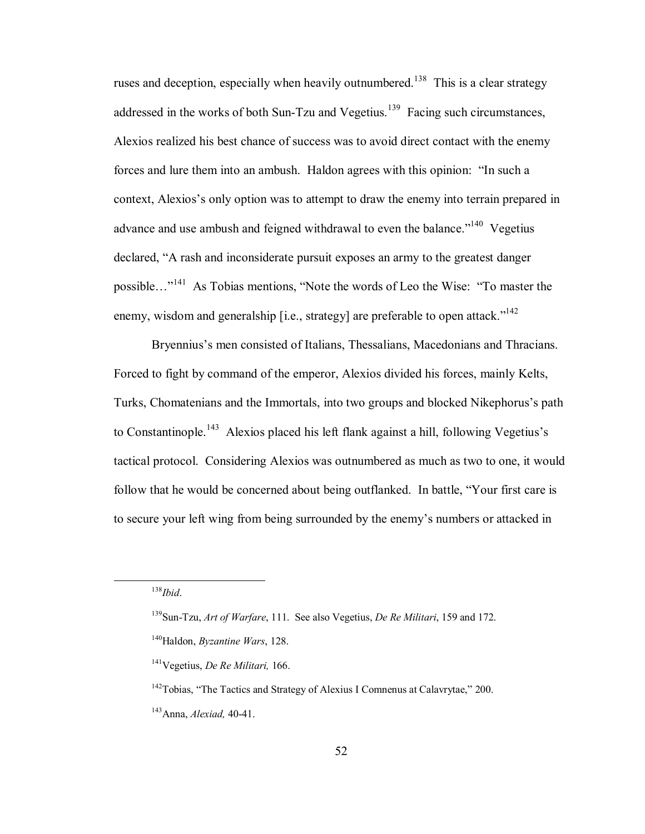ruses and deception, especially when heavily outnumbered.<sup>138</sup> This is a clear strategy addressed in the works of both Sun-Tzu and Vegetius.<sup>139</sup> Facing such circumstances, Alexios realized his best chance of success was to avoid direct contact with the enemy forces and lure them into an ambush. Haldon agrees with this opinion: "In such a context, Alexios's only option was to attempt to draw the enemy into terrain prepared in advance and use ambush and feigned withdrawal to even the balance.<sup> $140$ </sup> Vegetius declared, "A rash and inconsiderate pursuit exposes an army to the greatest danger possible...<sup>"141</sup> As Tobias mentions, "Note the words of Leo the Wise: "To master the enemy, wisdom and generalship  $[i.e., strategy]$  are preferable to open attack.<sup> $142$ </sup>

Bryennius's men consisted of Italians, Thessalians, Macedonians and Thracians. Forced to fight by command of the emperor, Alexios divided his forces, mainly Kelts, Turks, Chomatenians and the Immortals, into two groups and blocked Nikephorus's path to Constantinople.<sup>143</sup> Alexios placed his left flank against a hill, following Vegetius's tactical protocol. Considering Alexios was outnumbered as much as two to one, it would follow that he would be concerned about being outflanked. In battle, "Your first care is to secure your left wing from being surrounded by the enemy's numbers or attacked in

 <sup>138</sup>*Ibid*.

 <sup>139</sup>Sun-Tzu, *Art of Warfare*, 111. See also Vegetius, *De Re Militari*, 159 and 172.

<sup>140</sup>Haldon, *Byzantine Wars*, 128.

<sup>141</sup>Vegetius, *De Re Militari,* 166.

 $142$ Tobias, "The Tactics and Strategy of Alexius I Comnenus at Calavrytae," 200.

<sup>143</sup>Anna, *Alexiad,* 40-41.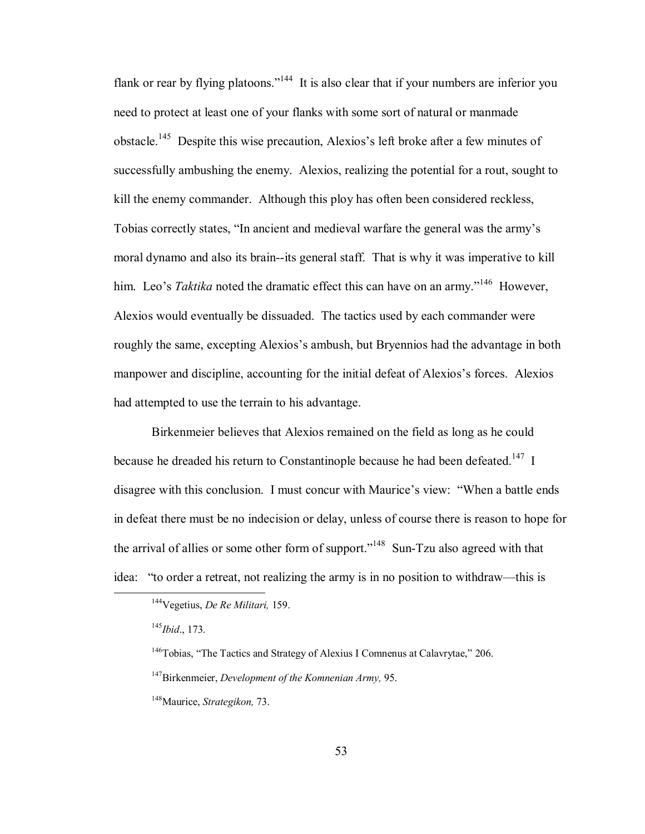flank or rear by flying platoons.<sup> $144$ </sup> It is also clear that if your numbers are inferior you need to protect at least one of your flanks with some sort of natural or manmade obstacle.<sup>145</sup> Despite this wise precaution. Alexios's left broke after a few minutes of successfully ambushing the enemy. Alexios, realizing the potential for a rout, sought to kill the enemy commander. Although this ploy has often been considered reckless, Tobias correctly states, "In ancient and medieval warfare the general was the army's moral dynamo and also its brain--its general staff. That is why it was imperative to kill him. Leo's *Taktika* noted the dramatic effect this can have on an army."<sup>146</sup> However, Alexios would eventually be dissuaded. The tactics used by each commander were roughly the same, excepting Alexios's ambush, but Bryennios had the advantage in both manpower and discipline, accounting for the initial defeat of Alexios's forces. Alexios had attempted to use the terrain to his advantage.

Birkenmeier believes that Alexios remained on the field as long as he could because he dreaded his return to Constantinople because he had been defeated.<sup>147</sup> I disagree with this conclusion. I must concur with Maurice's view: "When a battle ends in defeat there must be no indecision or delay, unless of course there is reason to hope for the arrival of allies or some other form of support."<sup>148</sup> Sun-Tzu also agreed with that idea: "to order a retreat, not realizing the army is in no position to withdraw—this is

<sup>146</sup>Tobias, "The Tactics and Strategy of Alexius I Comnenus at Calavrytae," 206.

147Birkenmeier, *Development of the Komnenian Army,* 95.

 <sup>144</sup>Vegetius, *De Re Militari,* 159.

 <sup>145</sup>*Ibid*., 173.

<sup>148</sup>Maurice, *Strategikon,* 73.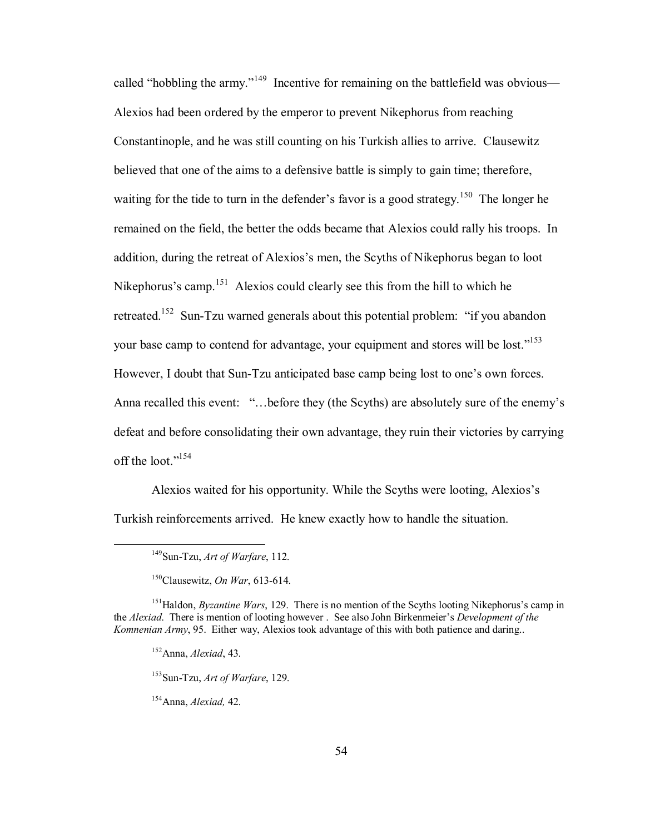called "hobbling the army."<sup>149</sup> Incentive for remaining on the battlefield was obvious— Alexios had been ordered by the emperor to prevent Nikephorus from reaching Constantinople, and he was still counting on his Turkish allies to arrive. Clausewitz believed that one of the aims to a defensive battle is simply to gain time; therefore, waiting for the tide to turn in the defender's favor is a good strategy.<sup>150</sup> The longer he remained on the field, the better the odds became that Alexios could rally his troops. In addition, during the retreat of Alexios's men, the Scyths of Nikephorus began to loot Nikephorus's camp.<sup>151</sup> Alexios could clearly see this from the hill to which he retreated.<sup>152</sup> Sun-Tzu warned generals about this potential problem: "if you abandon your base camp to contend for advantage, your equipment and stores will be lost.<sup>[153]</sup> However, I doubt that Sun-Tzu anticipated base camp being lost to one's own forces. Anna recalled this event: "...before they (the Scyths) are absolutely sure of the enemy's defeat and before consolidating their own advantage, they ruin their victories by carrying off the loot."<sup>154</sup>

Alexios waited for his opportunity. While the Scyths were looting, Alexios's Turkish reinforcements arrived. He knew exactly how to handle the situation.

 <sup>149</sup>Sun-Tzu, *Art of Warfare*, 112.

<sup>150</sup>Clausewitz, *On War*, 613-614.

<sup>&</sup>lt;sup>151</sup>Haldon, *Byzantine Wars*, 129. There is no mention of the Scyths looting Nikephorus's camp in the *Alexiad*. There is mention of looting however. See also John Birkenmeier's *Development of the Komnenian Army*, 95. Either way, Alexios took advantage of this with both patience and daring..

<sup>152</sup>Anna, *Alexiad*, 43.

<sup>153</sup>Sun-Tzu, *Art of Warfare*, 129.

 <sup>154</sup>Anna, *Alexiad,* 42.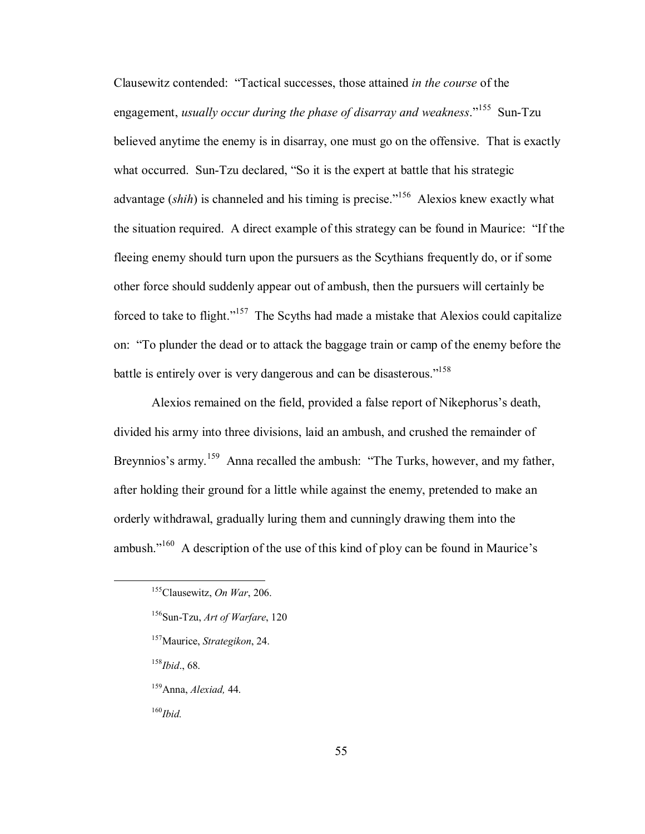Clausewitz contended: "Tactical successes, those attained *in the course* of the engagement, *usually occur during the phase of disarray and weakness*.<sup>7155</sup> Sun-Tzu believed anytime the enemy is in disarray, one must go on the offensive. That is exactly what occurred. Sun-Tzu declared, "So it is the expert at battle that his strategic advantage *(shih)* is channeled and his timing is precise.<sup>7156</sup> Alexios knew exactly what the situation required. A direct example of this strategy can be found in Maurice: "If the fleeing enemy should turn upon the pursuers as the Scythians frequently do, or if some other force should suddenly appear out of ambush, then the pursuers will certainly be forced to take to flight." $157$  The Scyths had made a mistake that Alexios could capitalize on: "To plunder the dead or to attack the baggage train or camp of the enemy before the battle is entirely over is very dangerous and can be disasterous.<sup>7158</sup>

Alexios remained on the field, provided a false report of Nikephorus's death, divided his army into three divisions, laid an ambush, and crushed the remainder of Breynnios's army.<sup>159</sup> Anna recalled the ambush: "The Turks, however, and my father, after holding their ground for a little while against the enemy, pretended to make an orderly withdrawal, gradually luring them and cunningly drawing them into the ambush.<sup> $160$ </sup> A description of the use of this kind of ploy can be found in Maurice's

157Maurice, *Strategikon*, 24.

<sup>158</sup>*Ibid*., 68.

159Anna, *Alexiad,* 44.

<sup>160</sup>*Ibid.*

 <sup>155</sup>Clausewitz, *On War*, 206.

<sup>156</sup>Sun-Tzu, *Art of Warfare*, 120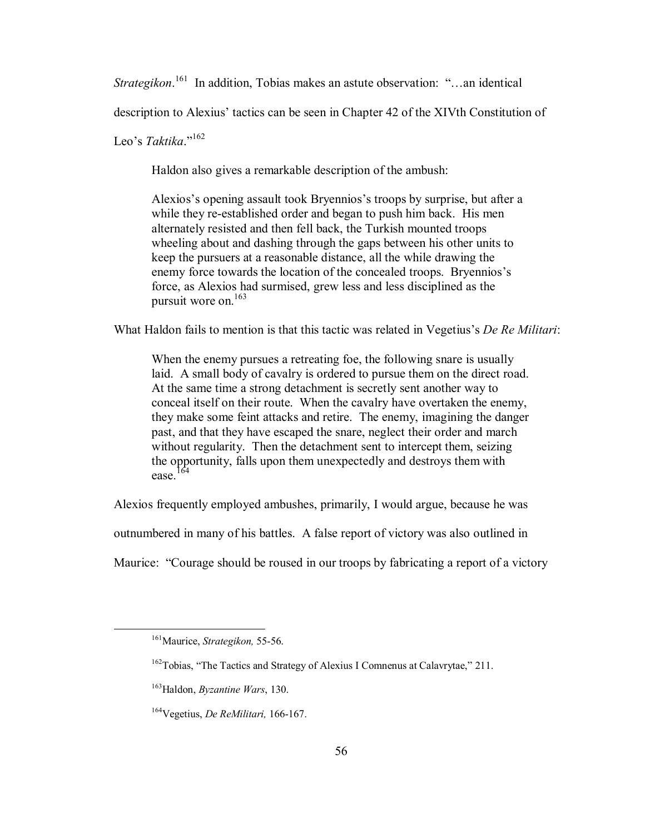*Strategikon*.<sup>161</sup> In addition, Tobias makes an astute observation: "...an identical

description to Alexius' tactics can be seen in Chapter 42 of the XIVth Constitution of

Leo's *Taktika*<sup>"162</sup>

Haldon also gives a remarkable description of the ambush:

Alexios's opening assault took Bryennios's troops by surprise, but after a while they re-established order and began to push him back. His men alternately resisted and then fell back, the Turkish mounted troops wheeling about and dashing through the gaps between his other units to keep the pursuers at a reasonable distance, all the while drawing the enemy force towards the location of the concealed troops. Bryennios's force, as Alexios had surmised, grew less and less disciplined as the pursuit wore on.163

What Haldon fails to mention is that this tactic was related in Vegetius's *De Re Militari*:

 When the enemy pursues a retreating foe, the following snare is usually laid. A small body of cavalry is ordered to pursue them on the direct road. At the same time a strong detachment is secretly sent another way to conceal itself on their route. When the cavalry have overtaken the enemy, they make some feint attacks and retire. The enemy, imagining the danger past, and that they have escaped the snare, neglect their order and march without regularity. Then the detachment sent to intercept them, seizing the opportunity, falls upon them unexpectedly and destroys them with ease.164

Alexios frequently employed ambushes, primarily, I would argue, because he was

outnumbered in many of his battles. A false report of victory was also outlined in

Maurice: "Courage should be roused in our troops by fabricating a report of a victory

 <sup>161</sup>Maurice, *Strategikon,* 55-56.

 $162$ Tobias, "The Tactics and Strategy of Alexius I Comnenus at Calavrytae," 211.

<sup>163</sup>Haldon, *Byzantine Wars*, 130.

<sup>164</sup>Vegetius, *De ReMilitari,* 166-167.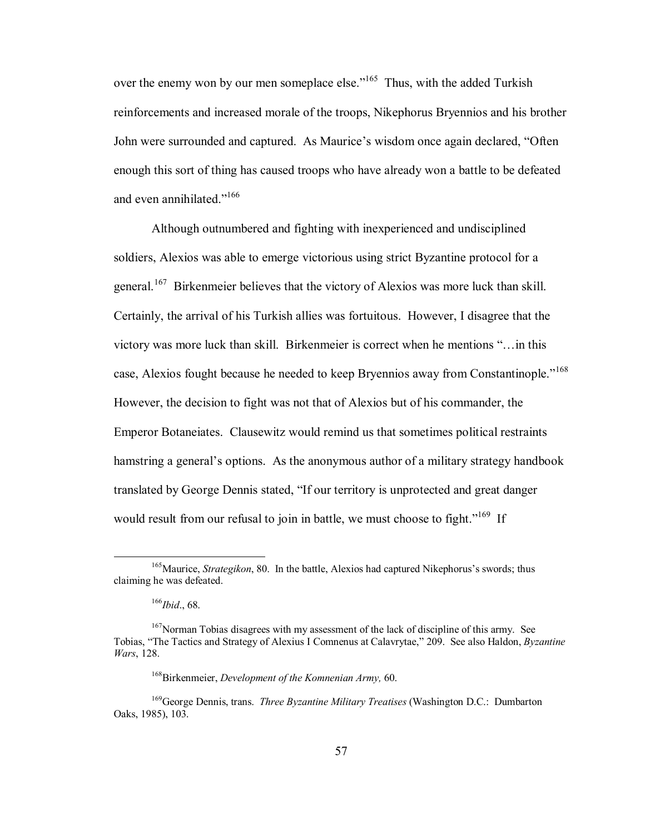over the enemy won by our men someplace else.<sup>"165</sup> Thus, with the added Turkish reinforcements and increased morale of the troops, Nikephorus Bryennios and his brother John were surrounded and captured. As Maurice's wisdom once again declared, "Often enough this sort of thing has caused troops who have already won a battle to be defeated and even annihilated."<sup>166</sup>

 Although outnumbered and fighting with inexperienced and undisciplined soldiers, Alexios was able to emerge victorious using strict Byzantine protocol for a general.<sup>167</sup> Birkenmeier believes that the victory of Alexios was more luck than skill. Certainly, the arrival of his Turkish allies was fortuitous. However, I disagree that the victory was more luck than skill. Birkenmeier is correct when he mentions  $\cdot \cdot \cdot$  in this case, Alexios fought because he needed to keep Bryennios away from Constantinople."<sup>168</sup> However, the decision to fight was not that of Alexios but of his commander, the Emperor Botaneiates. Clausewitz would remind us that sometimes political restraints hamstring a general's options. As the anonymous author of a military strategy handbook translated by George Dennis stated, "If our territory is unprotected and great danger would result from our refusal to join in battle, we must choose to fight.<sup> $169$ </sup> If

<sup>&</sup>lt;sup>165</sup>Maurice, *Strategikon*, 80. In the battle, Alexios had captured Nikephorus's swords; thus claiming he was defeated.

<sup>166</sup>*Ibid*., 68.

<sup>&</sup>lt;sup>167</sup>Norman Tobias disagrees with my assessment of the lack of discipline of this army. See Tobias, "The Tactics and Strategy of Alexius I Comnenus at Calavrytae," 209. See also Haldon, *Byzantine Wars*, 128.

<sup>168</sup>Birkenmeier, *Development of the Komnenian Army,* 60.

<sup>169</sup>George Dennis, trans. *Three Byzantine Military Treatises* (Washington D.C.: Dumbarton Oaks, 1985), 103.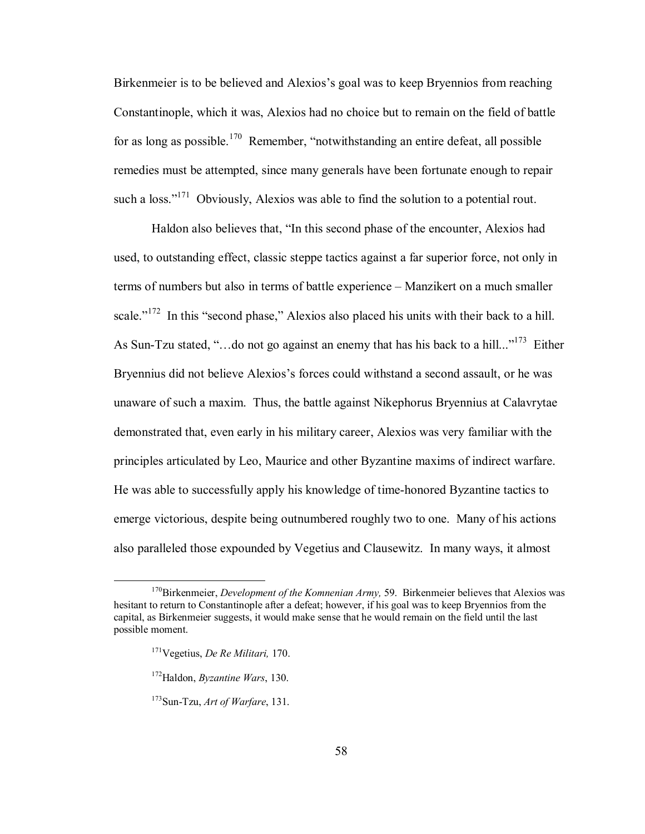Birkenmeier is to be believed and Alexios's goal was to keep Bryennios from reaching Constantinople, which it was, Alexios had no choice but to remain on the field of battle for as long as possible.<sup>170</sup> Remember, "notwithstanding an entire defeat, all possible remedies must be attempted, since many generals have been fortunate enough to repair such a loss." $171$  Obviously, Alexios was able to find the solution to a potential rout.

Haldon also believes that, "In this second phase of the encounter, Alexios had used, to outstanding effect, classic steppe tactics against a far superior force, not only in terms of numbers but also in terms of battle experience – Manzikert on a much smaller scale.<sup> $172$ </sup> In this "second phase," Alexios also placed his units with their back to a hill. As Sun-Tzu stated, "...do not go against an enemy that has his back to a hill..."<sup>173</sup> Either Bryennius did not believe Alexios's forces could withstand a second assault, or he was unaware of such a maxim. Thus, the battle against Nikephorus Bryennius at Calavrytae demonstrated that, even early in his military career, Alexios was very familiar with the principles articulated by Leo, Maurice and other Byzantine maxims of indirect warfare. He was able to successfully apply his knowledge of time-honored Byzantine tactics to emerge victorious, despite being outnumbered roughly two to one. Many of his actions also paralleled those expounded by Vegetius and Clausewitz. In many ways, it almost

 <sup>170</sup>Birkenmeier, *Development of the Komnenian Army,* 59. Birkenmeier believes that Alexios was hesitant to return to Constantinople after a defeat; however, if his goal was to keep Bryennios from the capital, as Birkenmeier suggests, it would make sense that he would remain on the field until the last possible moment.

<sup>171</sup>Vegetius, *De Re Militari,* 170.

<sup>172</sup>Haldon, *Byzantine Wars*, 130.

<sup>173</sup>Sun-Tzu, *Art of Warfare*, 131.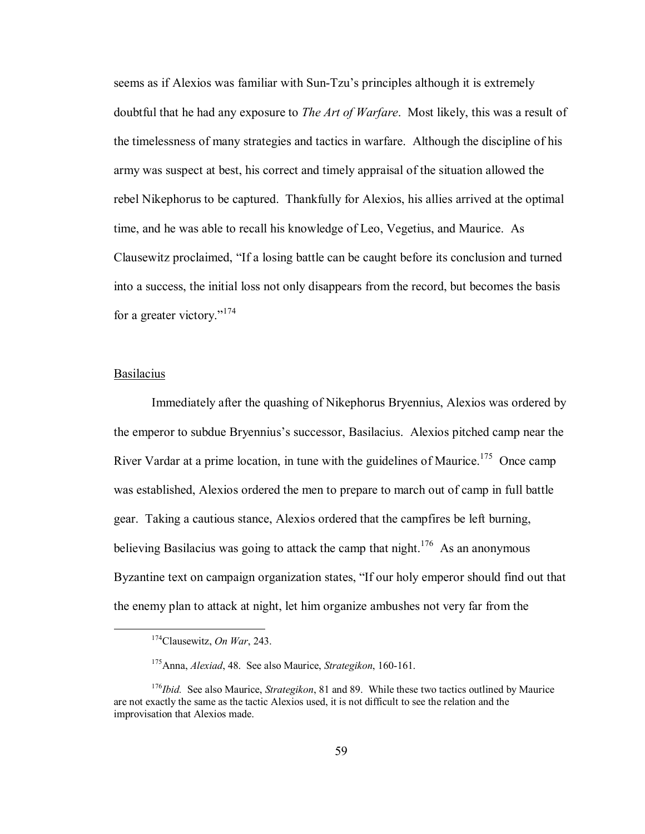seems as if Alexios was familiar with Sun-Tzuís principles although it is extremely doubtful that he had any exposure to *The Art of Warfare*. Most likely, this was a result of the timelessness of many strategies and tactics in warfare. Although the discipline of his army was suspect at best, his correct and timely appraisal of the situation allowed the rebel Nikephorus to be captured. Thankfully for Alexios, his allies arrived at the optimal time, and he was able to recall his knowledge of Leo, Vegetius, and Maurice. As Clausewitz proclaimed, "If a losing battle can be caught before its conclusion and turned into a success, the initial loss not only disappears from the record, but becomes the basis for a greater victory."<sup>174</sup>

# Basilacius

 Immediately after the quashing of Nikephorus Bryennius, Alexios was ordered by the emperor to subdue Bryenniusís successor, Basilacius. Alexios pitched camp near the River Vardar at a prime location, in tune with the guidelines of Maurice.<sup>175</sup> Once camp was established, Alexios ordered the men to prepare to march out of camp in full battle gear. Taking a cautious stance, Alexios ordered that the campfires be left burning, believing Basilacius was going to attack the camp that night.<sup>176</sup> As an anonymous Byzantine text on campaign organization states, "If our holy emperor should find out that the enemy plan to attack at night, let him organize ambushes not very far from the

 <sup>174</sup>Clausewitz, *On War*, 243.

<sup>175</sup>Anna, *Alexiad*, 48. See also Maurice, *Strategikon*, 160-161.

 <sup>176</sup>*Ibid.* See also Maurice, *Strategikon*, 81 and 89. While these two tactics outlined by Maurice are not exactly the same as the tactic Alexios used, it is not difficult to see the relation and the improvisation that Alexios made.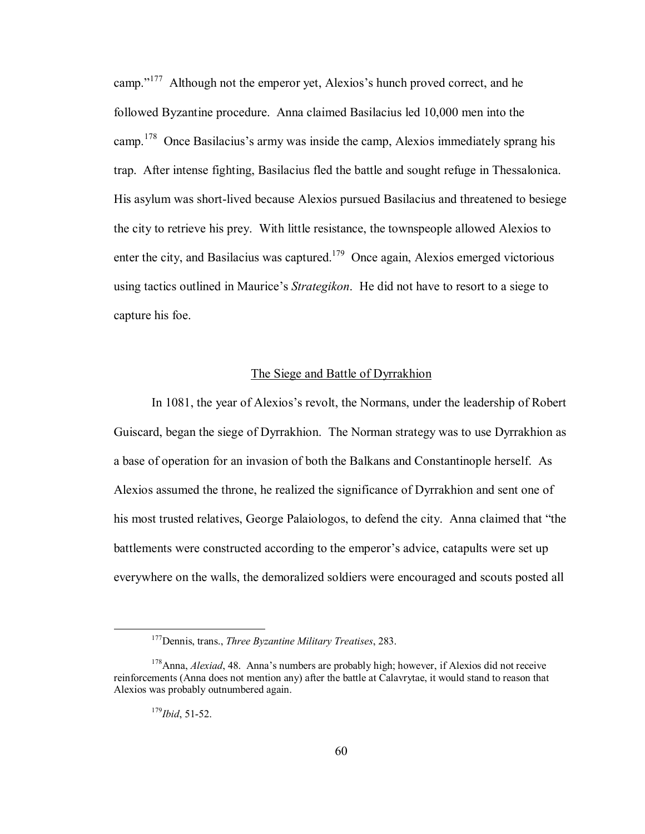camp. $i<sup>177</sup>$  Although not the emperor yet, Alexios's hunch proved correct, and he followed Byzantine procedure. Anna claimed Basilacius led 10,000 men into the camp.<sup>178</sup> Once Basilacius's army was inside the camp, Alexios immediately sprang his trap. After intense fighting, Basilacius fled the battle and sought refuge in Thessalonica. His asylum was short-lived because Alexios pursued Basilacius and threatened to besiege the city to retrieve his prey. With little resistance, the townspeople allowed Alexios to enter the city, and Basilacius was captured.<sup>179</sup> Once again, Alexios emerged victorious using tactics outlined in Maurice's *Strategikon*. He did not have to resort to a siege to capture his foe.

# The Siege and Battle of Dyrrakhion

In 1081, the year of Alexios's revolt, the Normans, under the leadership of Robert Guiscard, began the siege of Dyrrakhion. The Norman strategy was to use Dyrrakhion as a base of operation for an invasion of both the Balkans and Constantinople herself. As Alexios assumed the throne, he realized the significance of Dyrrakhion and sent one of his most trusted relatives, George Palaiologos, to defend the city. Anna claimed that "the battlements were constructed according to the emperor's advice, catapults were set up everywhere on the walls, the demoralized soldiers were encouraged and scouts posted all

 <sup>177</sup>Dennis, trans., *Three Byzantine Military Treatises*, 283.

<sup>&</sup>lt;sup>178</sup>Anna, *Alexiad*, 48. Anna's numbers are probably high; however, if Alexios did not receive reinforcements (Anna does not mention any) after the battle at Calavrytae, it would stand to reason that Alexios was probably outnumbered again.

<sup>179</sup>*Ibid*, 51-52.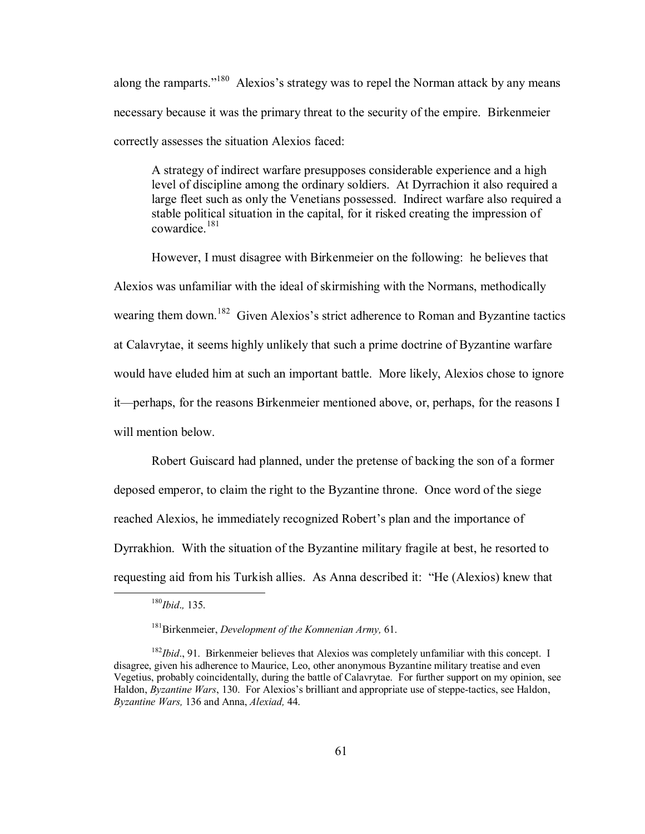along the ramparts.<sup> $180$ </sup> Alexios's strategy was to repel the Norman attack by any means necessary because it was the primary threat to the security of the empire. Birkenmeier correctly assesses the situation Alexios faced:

A strategy of indirect warfare presupposes considerable experience and a high level of discipline among the ordinary soldiers. At Dyrrachion it also required a large fleet such as only the Venetians possessed. Indirect warfare also required a stable political situation in the capital, for it risked creating the impression of cowardice.<sup>181</sup>

However, I must disagree with Birkenmeier on the following: he believes that Alexios was unfamiliar with the ideal of skirmishing with the Normans, methodically wearing them down.<sup>182</sup> Given Alexios's strict adherence to Roman and Byzantine tactics at Calavrytae, it seems highly unlikely that such a prime doctrine of Byzantine warfare would have eluded him at such an important battle. More likely, Alexios chose to ignore it—perhaps, for the reasons Birkenmeier mentioned above, or, perhaps, for the reasons I will mention below.

Robert Guiscard had planned, under the pretense of backing the son of a former deposed emperor, to claim the right to the Byzantine throne. Once word of the siege reached Alexios, he immediately recognized Robert's plan and the importance of Dyrrakhion. With the situation of the Byzantine military fragile at best, he resorted to requesting aid from his Turkish allies. As Anna described it: "He (Alexios) knew that

 <sup>180</sup>*Ibid*.*,* 135.

<sup>181</sup>Birkenmeier, *Development of the Komnenian Army,* 61.

<sup>&</sup>lt;sup>182</sup>*Ibid.*, 91. Birkenmeier believes that Alexios was completely unfamiliar with this concept. I disagree, given his adherence to Maurice, Leo, other anonymous Byzantine military treatise and even Vegetius, probably coincidentally, during the battle of Calavrytae. For further support on my opinion, see Haldon, *Byzantine Wars*, 130. For Alexios's brilliant and appropriate use of steppe-tactics, see Haldon, *Byzantine Wars,* 136 and Anna, *Alexiad,* 44.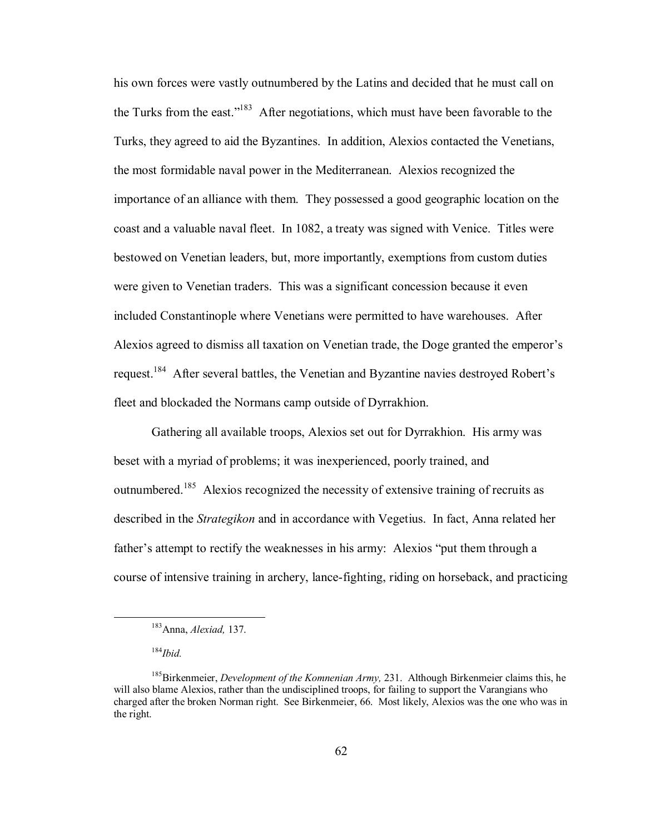his own forces were vastly outnumbered by the Latins and decided that he must call on the Turks from the east.<sup> $183$ </sup> After negotiations, which must have been favorable to the Turks, they agreed to aid the Byzantines. In addition, Alexios contacted the Venetians, the most formidable naval power in the Mediterranean. Alexios recognized the importance of an alliance with them. They possessed a good geographic location on the coast and a valuable naval fleet. In 1082, a treaty was signed with Venice. Titles were bestowed on Venetian leaders, but, more importantly, exemptions from custom duties were given to Venetian traders. This was a significant concession because it even included Constantinople where Venetians were permitted to have warehouses. After Alexios agreed to dismiss all taxation on Venetian trade, the Doge granted the emperor's request.<sup>184</sup> After several battles, the Venetian and Byzantine navies destroyed Robert's fleet and blockaded the Normans camp outside of Dyrrakhion.

Gathering all available troops, Alexios set out for Dyrrakhion. His army was beset with a myriad of problems; it was inexperienced, poorly trained, and outnumbered.<sup>185</sup> Alexios recognized the necessity of extensive training of recruits as described in the *Strategikon* and in accordance with Vegetius. In fact, Anna related her father's attempt to rectify the weaknesses in his army: Alexios "put them through a course of intensive training in archery, lance-fighting, riding on horseback, and practicing

 <sup>183</sup>Anna, *Alexiad,* 137.

<sup>184</sup>*Ibid.*

<sup>185</sup>Birkenmeier, *Development of the Komnenian Army,* 231. Although Birkenmeier claims this, he will also blame Alexios, rather than the undisciplined troops, for failing to support the Varangians who charged after the broken Norman right. See Birkenmeier, 66. Most likely, Alexios was the one who was in the right.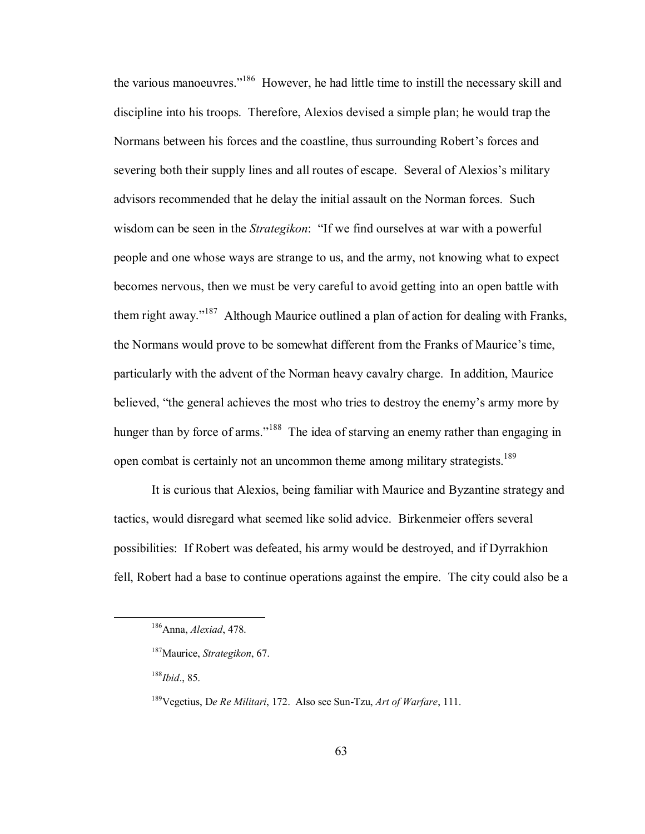the various manoeuvres.<sup>[186]</sup> However, he had little time to instill the necessary skill and discipline into his troops. Therefore, Alexios devised a simple plan; he would trap the Normans between his forces and the coastline, thus surrounding Robert's forces and severing both their supply lines and all routes of escape. Several of Alexios's military advisors recommended that he delay the initial assault on the Norman forces. Such wisdom can be seen in the *Strategikon*: "If we find ourselves at war with a powerful people and one whose ways are strange to us, and the army, not knowing what to expect becomes nervous, then we must be very careful to avoid getting into an open battle with them right away.<sup> $187$ </sup> Although Maurice outlined a plan of action for dealing with Franks, the Normans would prove to be somewhat different from the Franks of Maurice's time, particularly with the advent of the Norman heavy cavalry charge. In addition, Maurice believed, "the general achieves the most who tries to destroy the enemy's army more by hunger than by force of arms."<sup>188</sup> The idea of starving an enemy rather than engaging in open combat is certainly not an uncommon theme among military strategists.<sup>189</sup>

It is curious that Alexios, being familiar with Maurice and Byzantine strategy and tactics, would disregard what seemed like solid advice. Birkenmeier offers several possibilities: If Robert was defeated, his army would be destroyed, and if Dyrrakhion fell, Robert had a base to continue operations against the empire. The city could also be a

 <sup>186</sup>Anna, *Alexiad*, 478.

<sup>187</sup>Maurice, *Strategikon*, 67.

<sup>188</sup>*Ibid*., 85.

<sup>189</sup>Vegetius, D*e Re Militari*, 172. Also see Sun-Tzu, *Art of Warfare*, 111.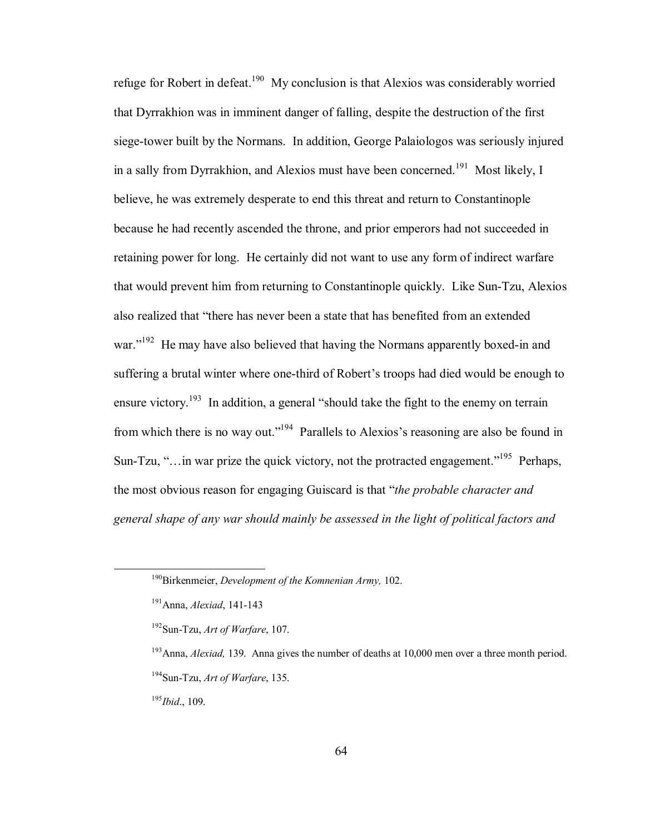refuge for Robert in defeat.<sup>190</sup> My conclusion is that Alexios was considerably worried that Dyrrakhion was in imminent danger of falling, despite the destruction of the first siege-tower built by the Normans. In addition, George Palaiologos was seriously injured in a sally from Dyrrakhion, and Alexios must have been concerned.<sup>191</sup> Most likely, I believe, he was extremely desperate to end this threat and return to Constantinople because he had recently ascended the throne, and prior emperors had not succeeded in retaining power for long. He certainly did not want to use any form of indirect warfare that would prevent him from returning to Constantinople quickly. Like Sun-Tzu, Alexios also realized that "there has never been a state that has benefited from an extended war.<sup> $192$ </sup> He may have also believed that having the Normans apparently boxed-in and suffering a brutal winter where one-third of Robert's troops had died would be enough to ensure victory.<sup>193</sup> In addition, a general "should take the fight to the enemy on terrain from which there is no way out.<sup> $194$ </sup> Parallels to Alexios's reasoning are also be found in Sun-Tzu, " $\ldots$  in war prize the quick victory, not the protracted engagement.<sup> $195$ </sup> Perhaps, the most obvious reason for engaging Guiscard is that *"the probable character and general shape of any war should mainly be assessed in the light of political factors and* 

<sup>195</sup>*Ibid*., 109.

 <sup>190</sup>Birkenmeier, *Development of the Komnenian Army,* 102.

<sup>191</sup>Anna, *Alexiad*, 141-143

<sup>192</sup>Sun-Tzu, *Art of Warfare*, 107.

<sup>&</sup>lt;sup>193</sup>Anna, *Alexiad*, 139. Anna gives the number of deaths at 10,000 men over a three month period. 194Sun-Tzu, *Art of Warfare*, 135.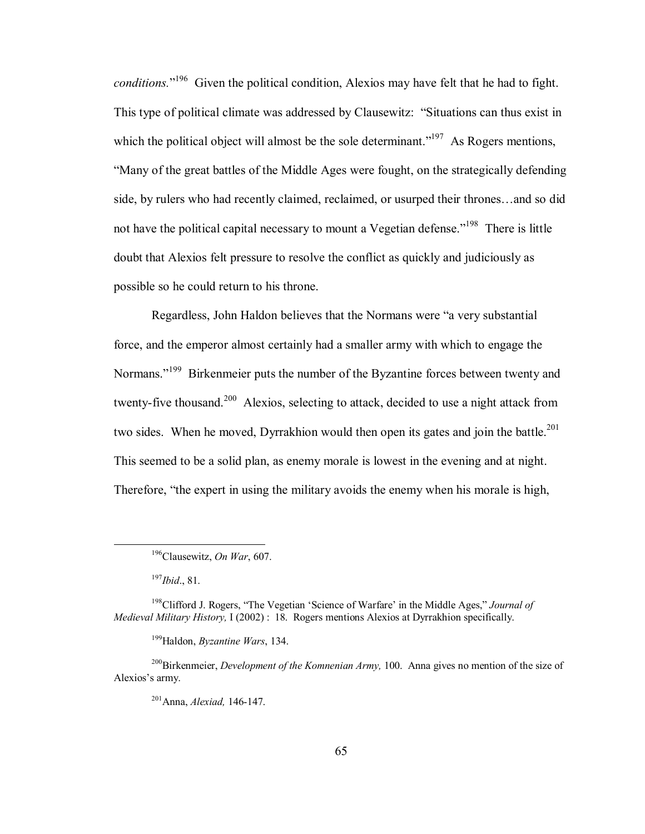conditions.<sup>"196</sup> Given the political condition, Alexios may have felt that he had to fight. This type of political climate was addressed by Clausewitz: "Situations can thus exist in which the political object will almost be the sole determinant.<sup> $197$ </sup> As Rogers mentions, ìMany of the great battles of the Middle Ages were fought, on the strategically defending side, by rulers who had recently claimed, reclaimed, or usurped their thrones...and so did not have the political capital necessary to mount a Vegetian defense.<sup>7198</sup> There is little doubt that Alexios felt pressure to resolve the conflict as quickly and judiciously as possible so he could return to his throne.

Regardless, John Haldon believes that the Normans were "a very substantial force, and the emperor almost certainly had a smaller army with which to engage the Normans.<sup>"199</sup> Birkenmeier puts the number of the Byzantine forces between twenty and twenty-five thousand.<sup>200</sup> Alexios, selecting to attack, decided to use a night attack from two sides. When he moved, Dyrrakhion would then open its gates and join the battle.<sup>201</sup> This seemed to be a solid plan, as enemy morale is lowest in the evening and at night. Therefore, "the expert in using the military avoids the enemy when his morale is high,

 <sup>196</sup>Clausewitz, *On War*, 607.

<sup>197</sup>*Ibid*., 81.

<sup>&</sup>lt;sup>198</sup>Clifford J. Rogers, "The Vegetian 'Science of Warfare' in the Middle Ages," *Journal of Medieval Military History,* I (2002) : 18. Rogers mentions Alexios at Dyrrakhion specifically.

<sup>199</sup>Haldon, *Byzantine Wars*, 134.

<sup>200</sup>Birkenmeier, *Development of the Komnenian Army,* 100. Anna gives no mention of the size of Alexios's army.

<sup>201</sup>Anna, *Alexiad,* 146-147.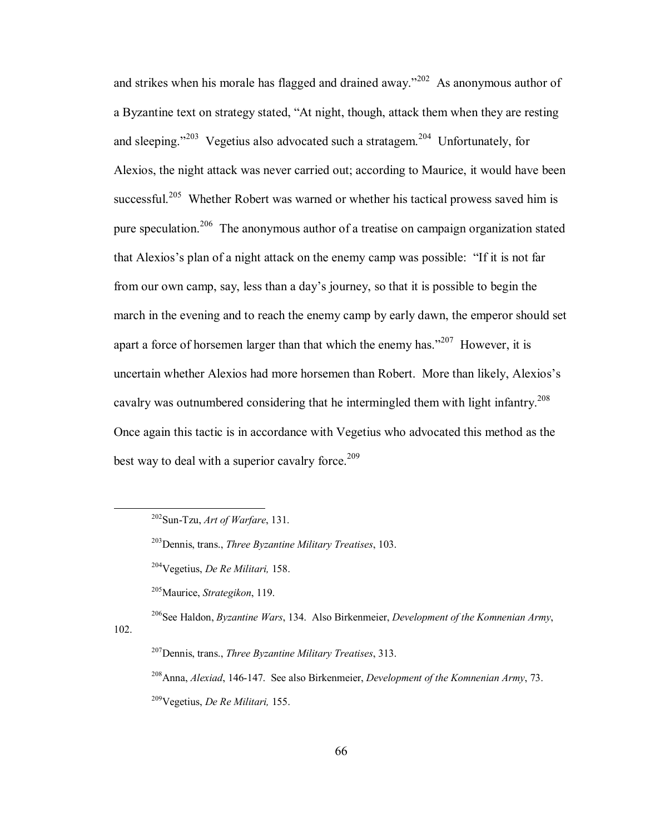and strikes when his morale has flagged and drained away.<sup> $202$ </sup> As anonymous author of a Byzantine text on strategy stated, "At night, though, attack them when they are resting and sleeping.<sup> $203$ </sup> Vegetius also advocated such a stratagem.<sup>204</sup> Unfortunately, for Alexios, the night attack was never carried out; according to Maurice, it would have been successful.<sup>205</sup> Whether Robert was warned or whether his tactical prowess saved him is pure speculation.<sup>206</sup> The anonymous author of a treatise on campaign organization stated that Alexios's plan of a night attack on the enemy camp was possible: "If it is not far from our own camp, say, less than a day's journey, so that it is possible to begin the march in the evening and to reach the enemy camp by early dawn, the emperor should set apart a force of horsemen larger than that which the enemy has.<sup> $207$ </sup> However, it is uncertain whether Alexios had more horsemen than Robert. More than likely, Alexios's cavalry was outnumbered considering that he intermingled them with light infantry.<sup>208</sup> Once again this tactic is in accordance with Vegetius who advocated this method as the best way to deal with a superior cavalry force.<sup>209</sup>

205Maurice, *Strategikon*, 119.

102.

206See Haldon, *Byzantine Wars*, 134. Also Birkenmeier, *Development of the Komnenian Army*,

207Dennis, trans., *Three Byzantine Military Treatises*, 313.

208Anna, *Alexiad*, 146-147. See also Birkenmeier, *Development of the Komnenian Army*, 73. 209Vegetius, *De Re Militari,* 155.

 <sup>202</sup>Sun-Tzu, *Art of Warfare*, 131.

<sup>203</sup>Dennis, trans., *Three Byzantine Military Treatises*, 103.

 <sup>204</sup>Vegetius, *De Re Militari,* 158.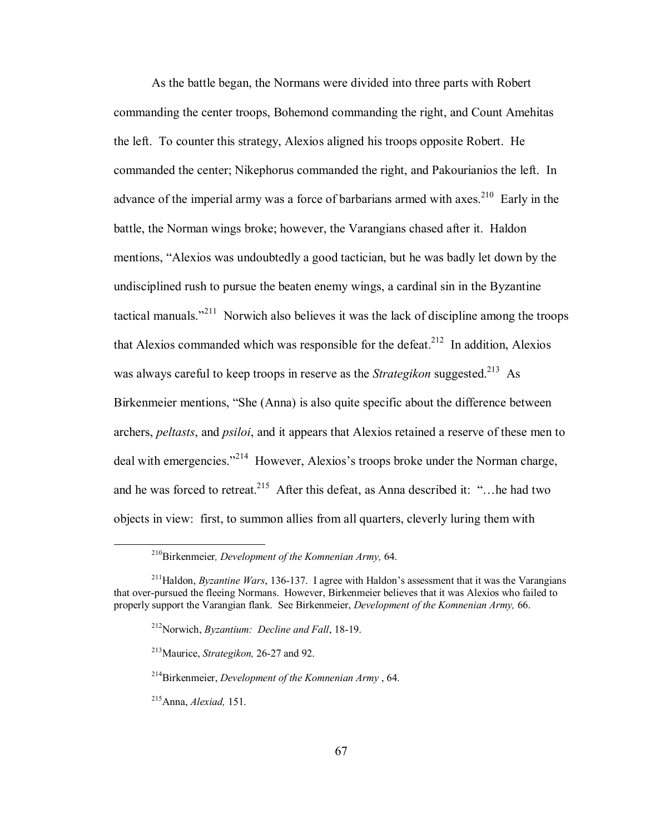As the battle began, the Normans were divided into three parts with Robert commanding the center troops, Bohemond commanding the right, and Count Amehitas the left. To counter this strategy, Alexios aligned his troops opposite Robert. He commanded the center; Nikephorus commanded the right, and Pakourianios the left. In advance of the imperial army was a force of barbarians armed with axes.<sup>210</sup> Early in the battle, the Norman wings broke; however, the Varangians chased after it. Haldon mentions, "Alexios was undoubtedly a good tactician, but he was badly let down by the undisciplined rush to pursue the beaten enemy wings, a cardinal sin in the Byzantine tactical manuals. $i^{211}$  Norwich also believes it was the lack of discipline among the troops that Alexios commanded which was responsible for the defeat.<sup>212</sup> In addition, Alexios was always careful to keep troops in reserve as the *Strategikon* suggested.<sup>213</sup> As Birkenmeier mentions, "She (Anna) is also quite specific about the difference between archers, *peltasts*, and *psiloi*, and it appears that Alexios retained a reserve of these men to deal with emergencies.<sup> $214$ </sup> However, Alexios's troops broke under the Norman charge, and he was forced to retreat.<sup>215</sup> After this defeat, as Anna described it:  $\cdot\cdot\cdot$ ... he had two objects in view: first, to summon allies from all quarters, cleverly luring them with

 <sup>210</sup>Birkenmeier*, Development of the Komnenian Army,* 64.

 $^{211}$ Haldon, *Byzantine Wars*, 136-137. I agree with Haldon's assessment that it was the Varangians that over-pursued the fleeing Normans. However, Birkenmeier believes that it was Alexios who failed to properly support the Varangian flank. See Birkenmeier, *Development of the Komnenian Army,* 66.

<sup>212</sup>Norwich, *Byzantium: Decline and Fall*, 18-19.

 <sup>213</sup>Maurice, *Strategikon,* 26-27 and 92.

<sup>214</sup>Birkenmeier, *Development of the Komnenian Army* , 64.

<sup>215</sup>Anna, *Alexiad,* 151.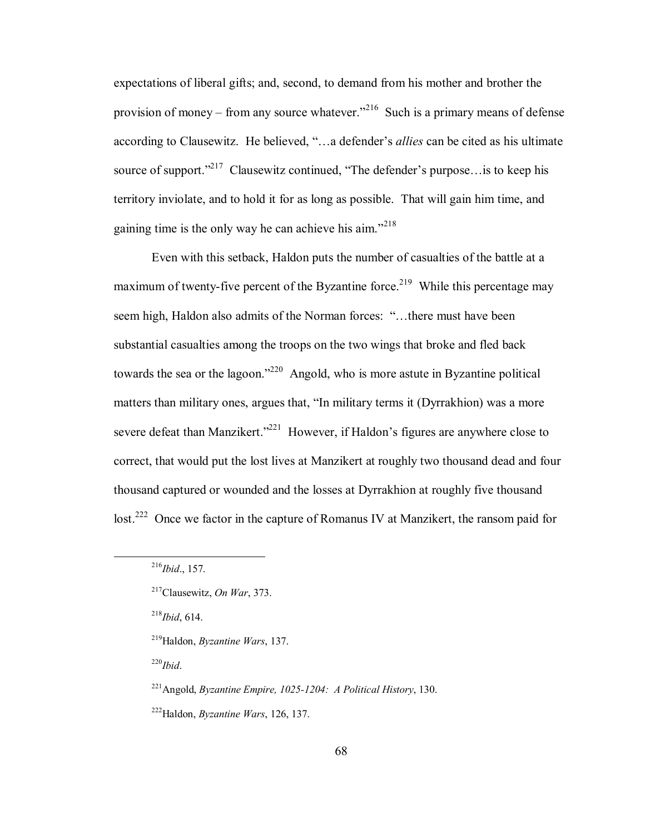expectations of liberal gifts; and, second, to demand from his mother and brother the provision of money – from any source whatever.<sup> $216$ </sup> Such is a primary means of defense according to Clausewitz. He believed, "...a defender's *allies* can be cited as his ultimate source of support.<sup> $217$ </sup> Clausewitz continued, "The defender's purpose... is to keep his territory inviolate, and to hold it for as long as possible. That will gain him time, and gaining time is the only way he can achieve his aim.<sup> $218$ </sup>

Even with this setback, Haldon puts the number of casualties of the battle at a maximum of twenty-five percent of the Byzantine force.<sup>219</sup> While this percentage may seem high, Haldon also admits of the Norman forces: "...there must have been substantial casualties among the troops on the two wings that broke and fled back towards the sea or the lagoon.<sup> $220$ </sup> Angold, who is more astute in Byzantine political matters than military ones, argues that, "In military terms it (Dyrrakhion) was a more severe defeat than Manzikert.<sup> $221$ </sup> However, if Haldon's figures are anywhere close to correct, that would put the lost lives at Manzikert at roughly two thousand dead and four thousand captured or wounded and the losses at Dyrrakhion at roughly five thousand lost.<sup>222</sup> Once we factor in the capture of Romanus IV at Manzikert, the ransom paid for

218*Ibid*, 614.

219Haldon, *Byzantine Wars*, 137.

220*Ibid*.

 <sup>216</sup>*Ibid*., 157.

<sup>217</sup>Clausewitz, *On War*, 373.

<sup>221</sup>Angold, *Byzantine Empire, 1025-1204: A Political History*, 130.

<sup>222</sup>Haldon, *Byzantine Wars*, 126, 137.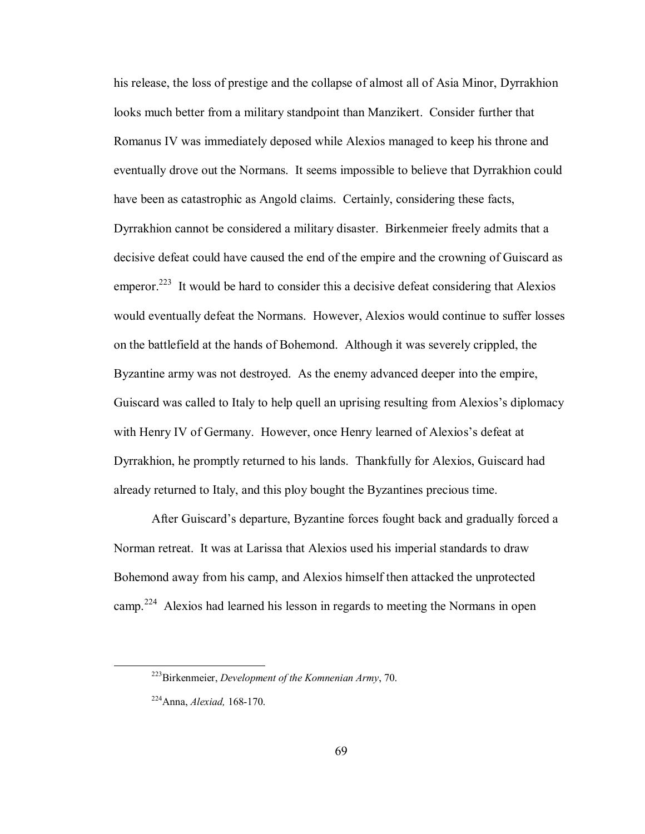his release, the loss of prestige and the collapse of almost all of Asia Minor, Dyrrakhion looks much better from a military standpoint than Manzikert. Consider further that Romanus IV was immediately deposed while Alexios managed to keep his throne and eventually drove out the Normans. It seems impossible to believe that Dyrrakhion could have been as catastrophic as Angold claims. Certainly, considering these facts, Dyrrakhion cannot be considered a military disaster. Birkenmeier freely admits that a decisive defeat could have caused the end of the empire and the crowning of Guiscard as emperor.<sup>223</sup> It would be hard to consider this a decisive defeat considering that Alexios would eventually defeat the Normans. However, Alexios would continue to suffer losses on the battlefield at the hands of Bohemond. Although it was severely crippled, the Byzantine army was not destroyed. As the enemy advanced deeper into the empire, Guiscard was called to Italy to help quell an uprising resulting from Alexios's diplomacy with Henry IV of Germany. However, once Henry learned of Alexios's defeat at Dyrrakhion, he promptly returned to his lands. Thankfully for Alexios, Guiscard had already returned to Italy, and this ploy bought the Byzantines precious time.

After Guiscard's departure, Byzantine forces fought back and gradually forced a Norman retreat. It was at Larissa that Alexios used his imperial standards to draw Bohemond away from his camp, and Alexios himself then attacked the unprotected camp.224 Alexios had learned his lesson in regards to meeting the Normans in open

 <sup>223</sup>Birkenmeier, *Development of the Komnenian Army*, 70.

<sup>224</sup>Anna, *Alexiad,* 168-170.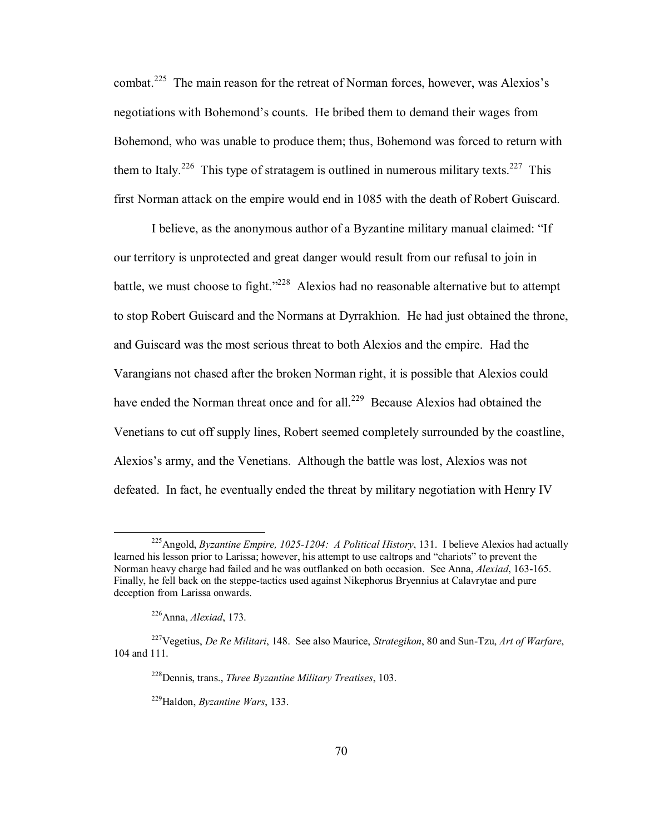combat.<sup>225</sup> The main reason for the retreat of Norman forces, however, was Alexios's negotiations with Bohemond's counts. He bribed them to demand their wages from Bohemond, who was unable to produce them; thus, Bohemond was forced to return with them to Italy.<sup>226</sup> This type of stratagem is outlined in numerous military texts.<sup>227</sup> This first Norman attack on the empire would end in 1085 with the death of Robert Guiscard.

I believe, as the anonymous author of a Byzantine military manual claimed: "If our territory is unprotected and great danger would result from our refusal to join in battle, we must choose to fight.<sup> $228$ </sup> Alexios had no reasonable alternative but to attempt to stop Robert Guiscard and the Normans at Dyrrakhion. He had just obtained the throne, and Guiscard was the most serious threat to both Alexios and the empire. Had the Varangians not chased after the broken Norman right, it is possible that Alexios could have ended the Norman threat once and for all.<sup>229</sup> Because Alexios had obtained the Venetians to cut off supply lines, Robert seemed completely surrounded by the coastline, Alexios's army, and the Venetians. Although the battle was lost, Alexios was not defeated. In fact, he eventually ended the threat by military negotiation with Henry IV

 <sup>225</sup>Angold, *Byzantine Empire, 1025-1204: A Political History*, 131. I believe Alexios had actually learned his lesson prior to Larissa; however, his attempt to use caltrops and "chariots" to prevent the Norman heavy charge had failed and he was outflanked on both occasion. See Anna, *Alexiad*, 163-165. Finally, he fell back on the steppe-tactics used against Nikephorus Bryennius at Calavrytae and pure deception from Larissa onwards.

 <sup>226</sup>Anna, *Alexiad*, 173.

<sup>227</sup>Vegetius, *De Re Militari*, 148. See also Maurice, *Strategikon*, 80 and Sun-Tzu, *Art of Warfare*, 104 and 111.

<sup>228</sup>Dennis, trans., *Three Byzantine Military Treatises*, 103.

<sup>229</sup>Haldon, *Byzantine Wars*, 133.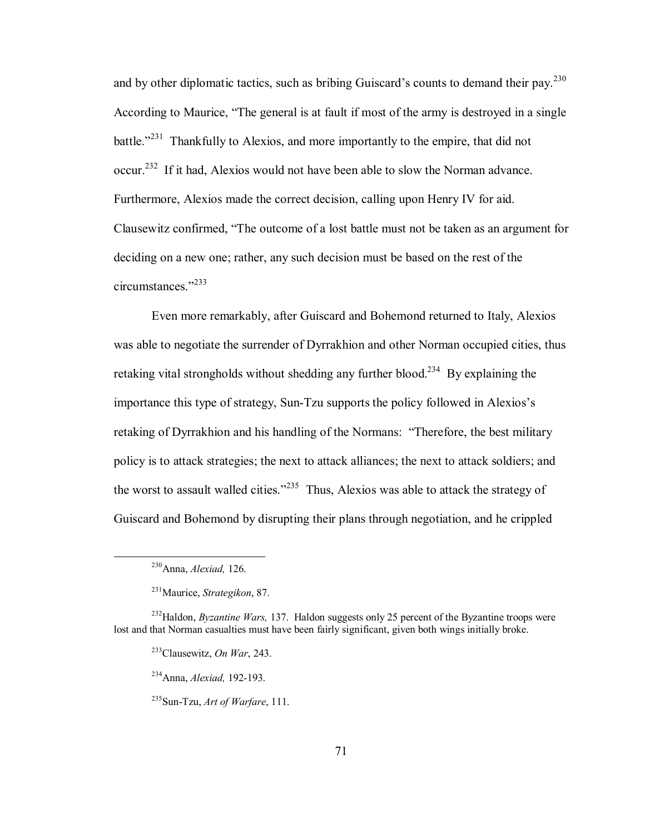and by other diplomatic tactics, such as bribing Guiscard's counts to demand their pay.<sup>230</sup> According to Maurice, "The general is at fault if most of the army is destroyed in a single battle.<sup> $231$ </sup> Thankfully to Alexios, and more importantly to the empire, that did not occur.<sup>232</sup> If it had, Alexios would not have been able to slow the Norman advance. Furthermore, Alexios made the correct decision, calling upon Henry IV for aid. Clausewitz confirmed, "The outcome of a lost battle must not be taken as an argument for deciding on a new one; rather, any such decision must be based on the rest of the circumstances $\frac{1233}{2}$ 

Even more remarkably, after Guiscard and Bohemond returned to Italy, Alexios was able to negotiate the surrender of Dyrrakhion and other Norman occupied cities, thus retaking vital strongholds without shedding any further blood.<sup>234</sup> By explaining the importance this type of strategy, Sun-Tzu supports the policy followed in Alexios's retaking of Dyrrakhion and his handling of the Normans: "Therefore, the best military policy is to attack strategies; the next to attack alliances; the next to attack soldiers; and the worst to assault walled cities.<sup> $235$ </sup> Thus, Alexios was able to attack the strategy of Guiscard and Bohemond by disrupting their plans through negotiation, and he crippled

 <sup>230</sup>Anna, *Alexiad,* 126.

<sup>231</sup>Maurice, *Strategikon*, 87.

<sup>&</sup>lt;sup>232</sup>Haldon, *Byzantine Wars*, 137. Haldon suggests only 25 percent of the Byzantine troops were lost and that Norman casualties must have been fairly significant, given both wings initially broke.

<sup>233</sup>Clausewitz, *On War*, 243.

<sup>234</sup>Anna, *Alexiad,* 192-193.

<sup>235</sup>Sun-Tzu, *Art of Warfare*, 111.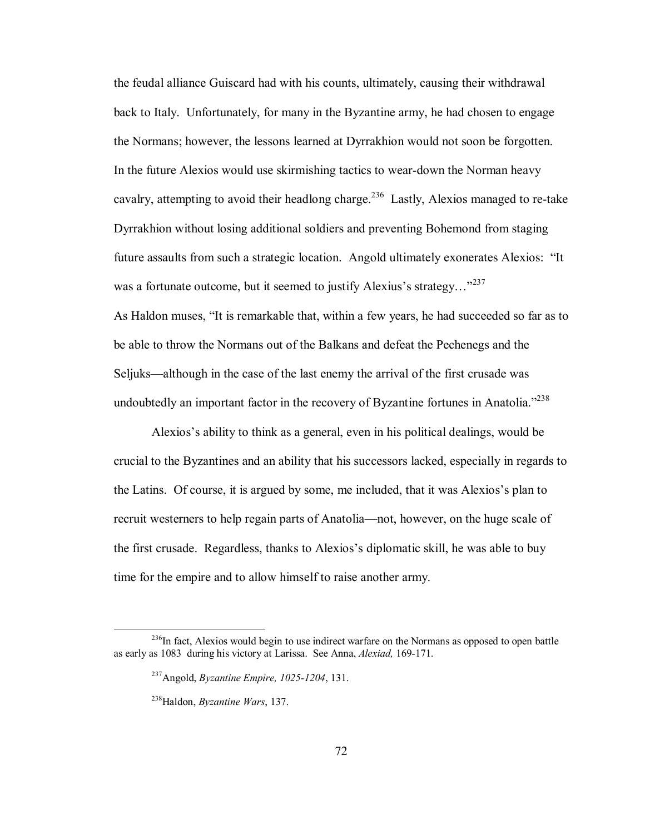the feudal alliance Guiscard had with his counts, ultimately, causing their withdrawal back to Italy. Unfortunately, for many in the Byzantine army, he had chosen to engage the Normans; however, the lessons learned at Dyrrakhion would not soon be forgotten. In the future Alexios would use skirmishing tactics to wear-down the Norman heavy cavalry, attempting to avoid their headlong charge.<sup>236</sup> Lastly, Alexios managed to re-take Dyrrakhion without losing additional soldiers and preventing Bohemond from staging future assaults from such a strategic location. Angold ultimately exonerates Alexios: "It was a fortunate outcome, but it seemed to justify Alexius's strategy... $^{3237}$ As Haldon muses, "It is remarkable that, within a few years, he had succeeded so far as to be able to throw the Normans out of the Balkans and defeat the Pechenegs and the

Seljuks—although in the case of the last enemy the arrival of the first crusade was undoubtedly an important factor in the recovery of Byzantine fortunes in Anatolia.<sup>7238</sup>

Alexios's ability to think as a general, even in his political dealings, would be crucial to the Byzantines and an ability that his successors lacked, especially in regards to the Latins. Of course, it is argued by some, me included, that it was Alexios's plan to recruit westerners to help regain parts of Anatolia—not, however, on the huge scale of the first crusade. Regardless, thanks to Alexios's diplomatic skill, he was able to buy time for the empire and to allow himself to raise another army.

<sup>&</sup>lt;sup>236</sup>In fact, Alexios would begin to use indirect warfare on the Normans as opposed to open battle as early as 1083 during his victory at Larissa. See Anna, *Alexiad,* 169-171.

 <sup>237</sup>Angold, *Byzantine Empire, 1025-1204*, 131.

 <sup>238</sup>Haldon, *Byzantine Wars*, 137.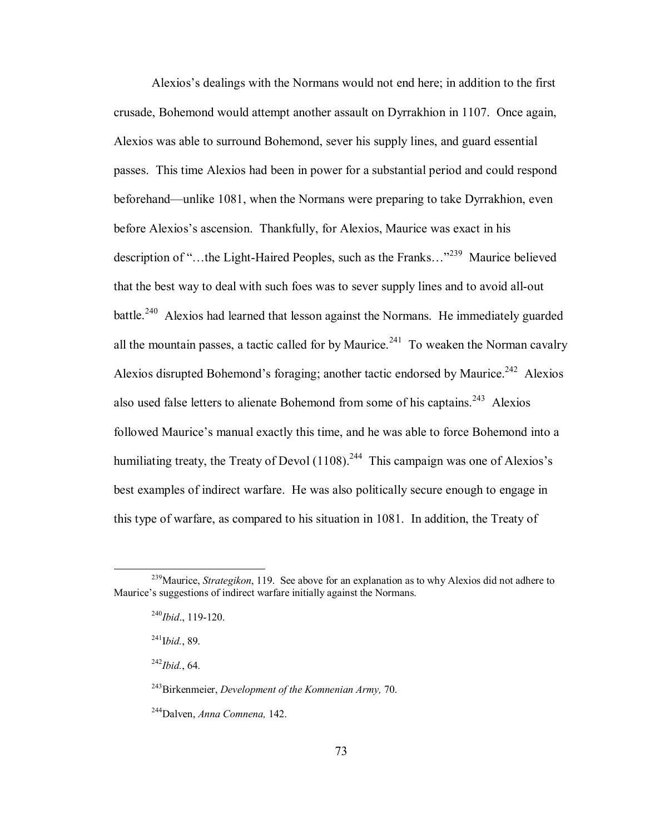Alexios's dealings with the Normans would not end here; in addition to the first crusade, Bohemond would attempt another assault on Dyrrakhion in 1107. Once again, Alexios was able to surround Bohemond, sever his supply lines, and guard essential passes. This time Alexios had been in power for a substantial period and could respond beforehand—unlike 1081, when the Normans were preparing to take Dyrrakhion, even before Alexios's ascension. Thankfully, for Alexios, Maurice was exact in his description of "...the Light-Haired Peoples, such as the Franks..."<sup>239</sup> Maurice believed that the best way to deal with such foes was to sever supply lines and to avoid all-out battle.<sup>240</sup> Alexios had learned that lesson against the Normans. He immediately guarded all the mountain passes, a tactic called for by Maurice.<sup>241</sup> To weaken the Norman cavalry Alexios disrupted Bohemond's foraging; another tactic endorsed by Maurice.<sup>242</sup> Alexios also used false letters to alienate Bohemond from some of his captains.<sup>243</sup> Alexios followed Maurice's manual exactly this time, and he was able to force Bohemond into a humiliating treaty, the Treaty of Devol  $(1108)$ <sup>244</sup> This campaign was one of Alexios's best examples of indirect warfare. He was also politically secure enough to engage in this type of warfare, as compared to his situation in 1081. In addition, the Treaty of

242*Ibid.*, 64.

 <sup>239</sup>Maurice, *Strategikon*, 119. See above for an explanation as to why Alexios did not adhere to Maurice's suggestions of indirect warfare initially against the Normans.

<sup>240</sup>*Ibid*., 119-120.

<sup>241</sup>I*bid.*, 89.

 <sup>243</sup>Birkenmeier, *Development of the Komnenian Army,* 70.

 <sup>244</sup>Dalven, *Anna Comnena,* 142.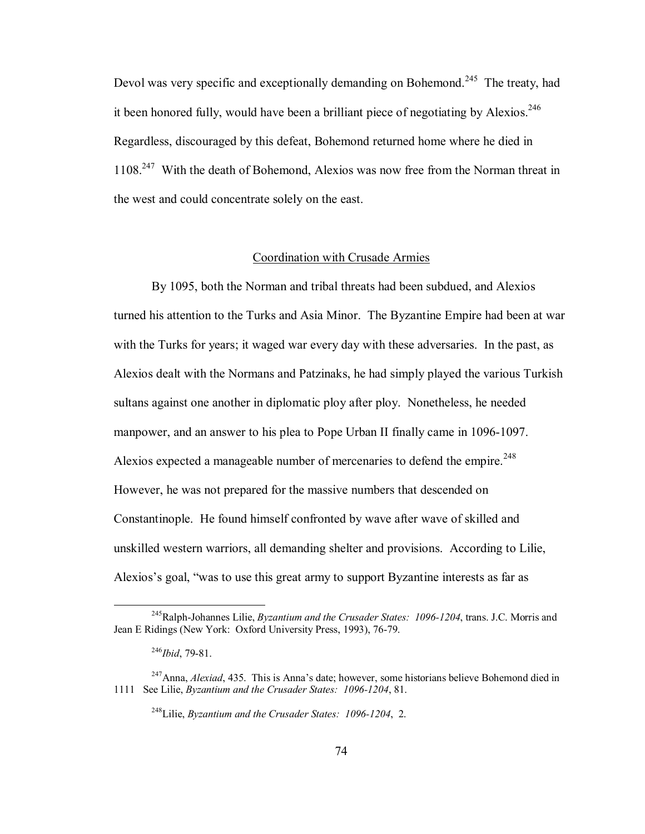Devol was very specific and exceptionally demanding on Bohemond.<sup>245</sup> The treaty, had it been honored fully, would have been a brilliant piece of negotiating by Alexios.<sup>246</sup> Regardless, discouraged by this defeat, Bohemond returned home where he died in 1108.247 With the death of Bohemond, Alexios was now free from the Norman threat in the west and could concentrate solely on the east.

# Coordination with Crusade Armies

By 1095, both the Norman and tribal threats had been subdued, and Alexios turned his attention to the Turks and Asia Minor. The Byzantine Empire had been at war with the Turks for years; it waged war every day with these adversaries. In the past, as Alexios dealt with the Normans and Patzinaks, he had simply played the various Turkish sultans against one another in diplomatic ploy after ploy. Nonetheless, he needed manpower, and an answer to his plea to Pope Urban II finally came in 1096-1097. Alexios expected a manageable number of mercenaries to defend the empire.<sup>248</sup> However, he was not prepared for the massive numbers that descended on Constantinople. He found himself confronted by wave after wave of skilled and unskilled western warriors, all demanding shelter and provisions. According to Lilie, Alexios's goal, "was to use this great army to support Byzantine interests as far as

 <sup>245</sup>Ralph-Johannes Lilie, *Byzantium and the Crusader States: 1096-1204*, trans. J.C. Morris and Jean E Ridings (New York: Oxford University Press, 1993), 76-79.

<sup>246</sup>*Ibid*, 79-81.

<sup>&</sup>lt;sup>247</sup>Anna, *Alexiad*, 435. This is Anna's date; however, some historians believe Bohemond died in 1111 See Lilie, *Byzantium and the Crusader States: 1096-1204*, 81.

<sup>248</sup>Lilie, *Byzantium and the Crusader States: 1096-1204*, 2.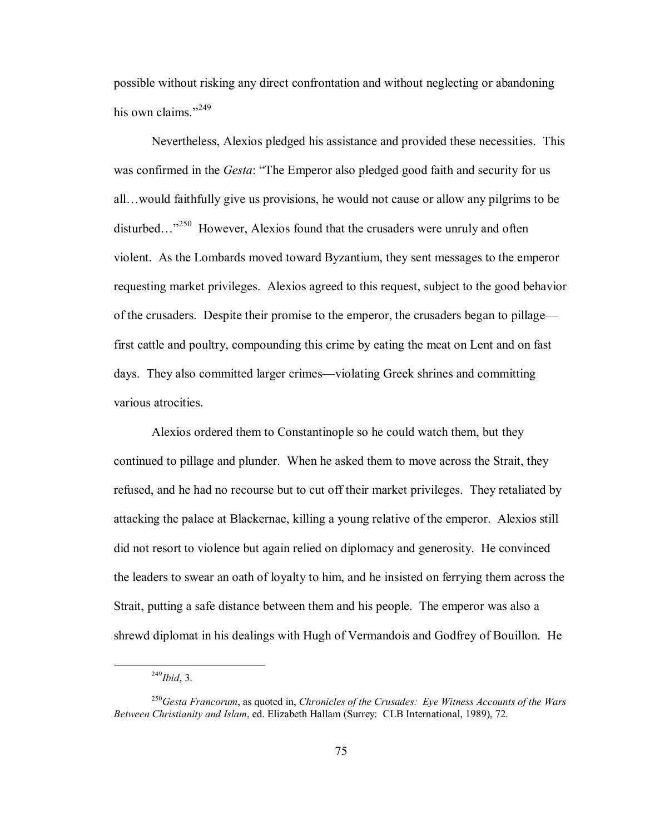possible without risking any direct confrontation and without neglecting or abandoning his own claims."<sup>249</sup>

Nevertheless, Alexios pledged his assistance and provided these necessities. This was confirmed in the *Gesta*: "The Emperor also pledged good faith and security for us all... would faithfully give us provisions, he would not cause or allow any pilgrims to be disturbed..."<sup>250</sup> However, Alexios found that the crusaders were unruly and often violent. As the Lombards moved toward Byzantium, they sent messages to the emperor requesting market privileges. Alexios agreed to this request, subject to the good behavior of the crusaders. Despite their promise to the emperor, the crusaders began to pillage first cattle and poultry, compounding this crime by eating the meat on Lent and on fast days. They also committed larger crimes—violating Greek shrines and committing various atrocities.

Alexios ordered them to Constantinople so he could watch them, but they continued to pillage and plunder. When he asked them to move across the Strait, they refused, and he had no recourse but to cut off their market privileges. They retaliated by attacking the palace at Blackernae, killing a young relative of the emperor. Alexios still did not resort to violence but again relied on diplomacy and generosity. He convinced the leaders to swear an oath of loyalty to him, and he insisted on ferrying them across the Strait, putting a safe distance between them and his people. The emperor was also a shrewd diplomat in his dealings with Hugh of Vermandois and Godfrey of Bouillon. He

 <sup>249</sup>*Ibid*, 3.

<sup>250</sup>*Gesta Francorum*, as quoted in, *Chronicles of the Crusades: Eye Witness Accounts of the Wars Between Christianity and Islam*, ed. Elizabeth Hallam (Surrey: CLB International, 1989), 72.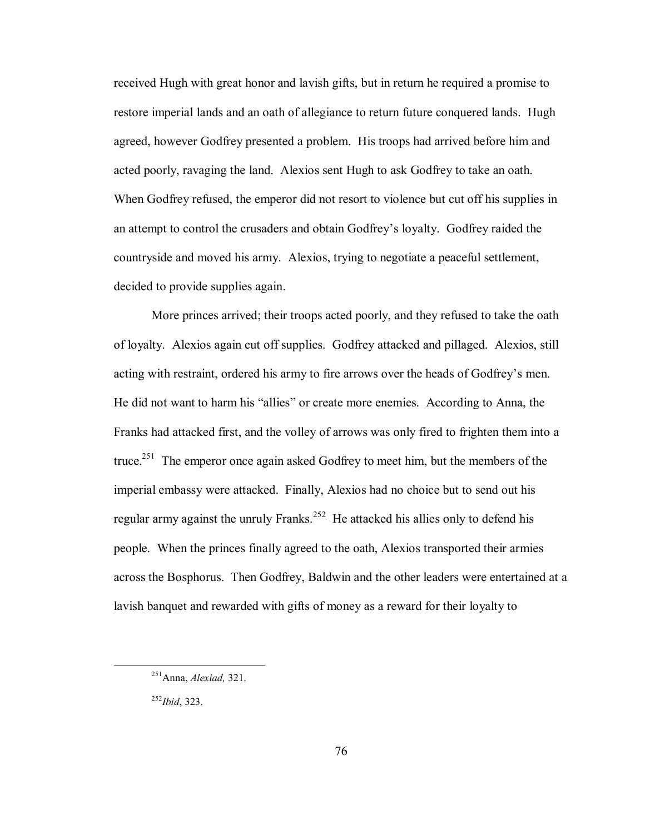received Hugh with great honor and lavish gifts, but in return he required a promise to restore imperial lands and an oath of allegiance to return future conquered lands. Hugh agreed, however Godfrey presented a problem. His troops had arrived before him and acted poorly, ravaging the land. Alexios sent Hugh to ask Godfrey to take an oath. When Godfrey refused, the emperor did not resort to violence but cut off his supplies in an attempt to control the crusaders and obtain Godfrey's loyalty. Godfrey raided the countryside and moved his army. Alexios, trying to negotiate a peaceful settlement, decided to provide supplies again.

More princes arrived; their troops acted poorly, and they refused to take the oath of loyalty. Alexios again cut off supplies. Godfrey attacked and pillaged. Alexios, still acting with restraint, ordered his army to fire arrows over the heads of Godfrey's men. He did not want to harm his "allies" or create more enemies. According to Anna, the Franks had attacked first, and the volley of arrows was only fired to frighten them into a truce.<sup>251</sup> The emperor once again asked Godfrey to meet him, but the members of the imperial embassy were attacked. Finally, Alexios had no choice but to send out his regular army against the unruly Franks.<sup>252</sup> He attacked his allies only to defend his people. When the princes finally agreed to the oath, Alexios transported their armies across the Bosphorus. Then Godfrey, Baldwin and the other leaders were entertained at a lavish banquet and rewarded with gifts of money as a reward for their loyalty to

<sup>252</sup>*Ibid*, 323.

 <sup>251</sup>Anna, *Alexiad,* 321.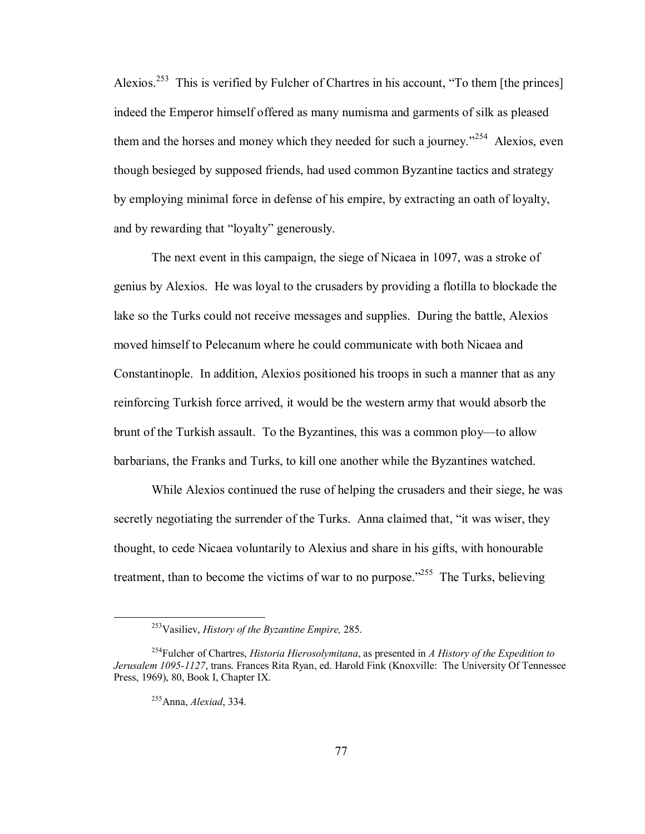Alexios.<sup>253</sup> This is verified by Fulcher of Chartres in his account, "To them [the princes] indeed the Emperor himself offered as many numisma and garments of silk as pleased them and the horses and money which they needed for such a journey.<sup> $254$ </sup> Alexios, even though besieged by supposed friends, had used common Byzantine tactics and strategy by employing minimal force in defense of his empire, by extracting an oath of loyalty, and by rewarding that "loyalty" generously.

The next event in this campaign, the siege of Nicaea in 1097, was a stroke of genius by Alexios. He was loyal to the crusaders by providing a flotilla to blockade the lake so the Turks could not receive messages and supplies. During the battle, Alexios moved himself to Pelecanum where he could communicate with both Nicaea and Constantinople. In addition, Alexios positioned his troops in such a manner that as any reinforcing Turkish force arrived, it would be the western army that would absorb the brunt of the Turkish assault. To the Byzantines, this was a common ploy—to allow barbarians, the Franks and Turks, to kill one another while the Byzantines watched.

While Alexios continued the ruse of helping the crusaders and their siege, he was secretly negotiating the surrender of the Turks. Anna claimed that, "it was wiser, they thought, to cede Nicaea voluntarily to Alexius and share in his gifts, with honourable treatment, than to become the victims of war to no purpose.<sup> $255$ </sup> The Turks, believing

 <sup>253</sup>Vasiliev, *History of the Byzantine Empire,* 285.

<sup>254</sup>Fulcher of Chartres, *Historia Hierosolymitana*, as presented in *A History of the Expedition to Jerusalem 1095-1127*, trans. Frances Rita Ryan, ed. Harold Fink (Knoxville: The University Of Tennessee Press, 1969), 80, Book I, Chapter IX.

<sup>255</sup>Anna, *Alexiad*, 334.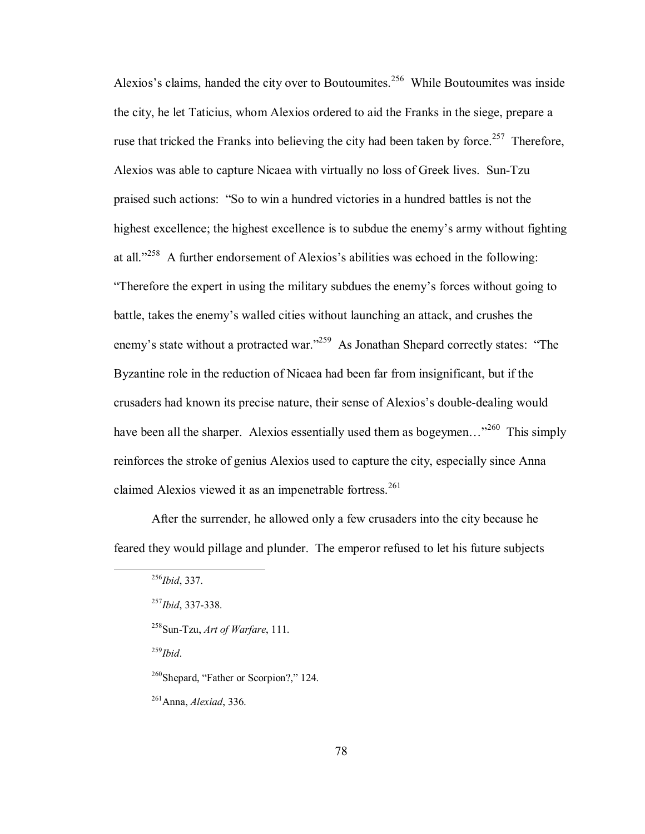Alexios's claims, handed the city over to Boutoumites.<sup>256</sup> While Boutoumites was inside the city, he let Taticius, whom Alexios ordered to aid the Franks in the siege, prepare a ruse that tricked the Franks into believing the city had been taken by force.<sup>257</sup> Therefore, Alexios was able to capture Nicaea with virtually no loss of Greek lives. Sun-Tzu praised such actions: "So to win a hundred victories in a hundred battles is not the highest excellence; the highest excellence is to subdue the enemy's army without fighting at all.<sup> $1258$ </sup> A further endorsement of Alexios's abilities was echoed in the following: ìTherefore the expert in using the military subdues the enemyís forces without going to battle, takes the enemy's walled cities without launching an attack, and crushes the enemy's state without a protracted war.<sup>7259</sup> As Jonathan Shepard correctly states: "The Byzantine role in the reduction of Nicaea had been far from insignificant, but if the crusaders had known its precise nature, their sense of Alexios's double-dealing would have been all the sharper. Alexios essentially used them as bogeymen... $^{3260}$  This simply reinforces the stroke of genius Alexios used to capture the city, especially since Anna claimed Alexios viewed it as an impenetrable fortress.<sup>261</sup>

After the surrender, he allowed only a few crusaders into the city because he feared they would pillage and plunder. The emperor refused to let his future subjects

<sup>259</sup>*Ibid*.

 $260$ Shepard, "Father or Scorpion?," 124.

261Anna, *Alexiad*, 336.

 <sup>256</sup>*Ibid*, 337.

 <sup>257</sup>*Ibid*, 337-338.

 <sup>258</sup>Sun-Tzu, *Art of Warfare*, 111.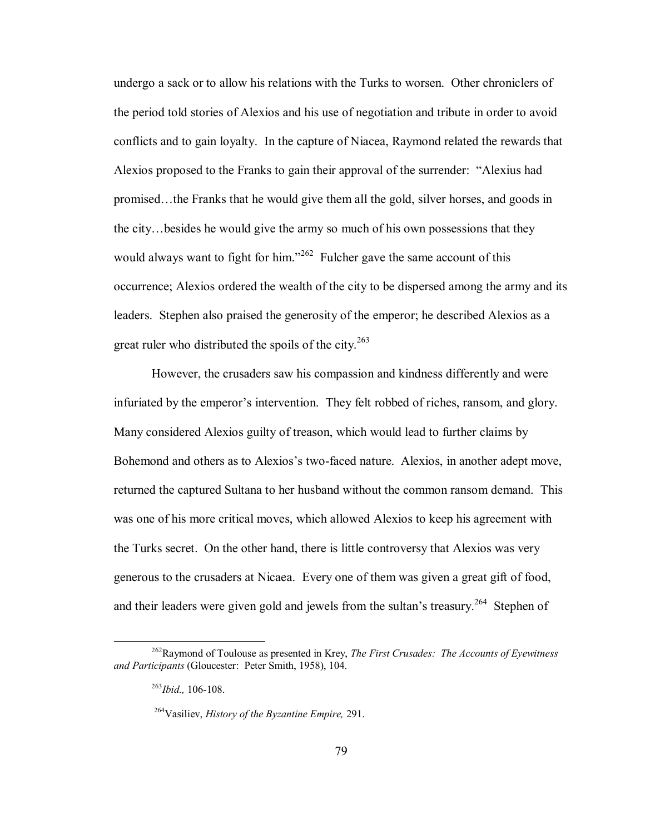undergo a sack or to allow his relations with the Turks to worsen. Other chroniclers of the period told stories of Alexios and his use of negotiation and tribute in order to avoid conflicts and to gain loyalty. In the capture of Niacea, Raymond related the rewards that Alexios proposed to the Franks to gain their approval of the surrender: "Alexius had promised...the Franks that he would give them all the gold, silver horses, and goods in the city...besides he would give the army so much of his own possessions that they would always want to fight for him.<sup>7262</sup> Fulcher gave the same account of this occurrence; Alexios ordered the wealth of the city to be dispersed among the army and its leaders. Stephen also praised the generosity of the emperor; he described Alexios as a great ruler who distributed the spoils of the city.<sup>263</sup>

However, the crusaders saw his compassion and kindness differently and were infuriated by the emperor's intervention. They felt robbed of riches, ransom, and glory. Many considered Alexios guilty of treason, which would lead to further claims by Bohemond and others as to Alexios's two-faced nature. Alexios, in another adept move, returned the captured Sultana to her husband without the common ransom demand. This was one of his more critical moves, which allowed Alexios to keep his agreement with the Turks secret. On the other hand, there is little controversy that Alexios was very generous to the crusaders at Nicaea. Every one of them was given a great gift of food, and their leaders were given gold and jewels from the sultan's treasury.<sup>264</sup> Stephen of

 <sup>262</sup>Raymond of Toulouse as presented in Krey, *The First Crusades: The Accounts of Eyewitness and Participants* (Gloucester: Peter Smith, 1958), 104.

<sup>263</sup>*Ibid.,* 106-108.

<sup>264</sup>Vasiliev, *History of the Byzantine Empire,* 291.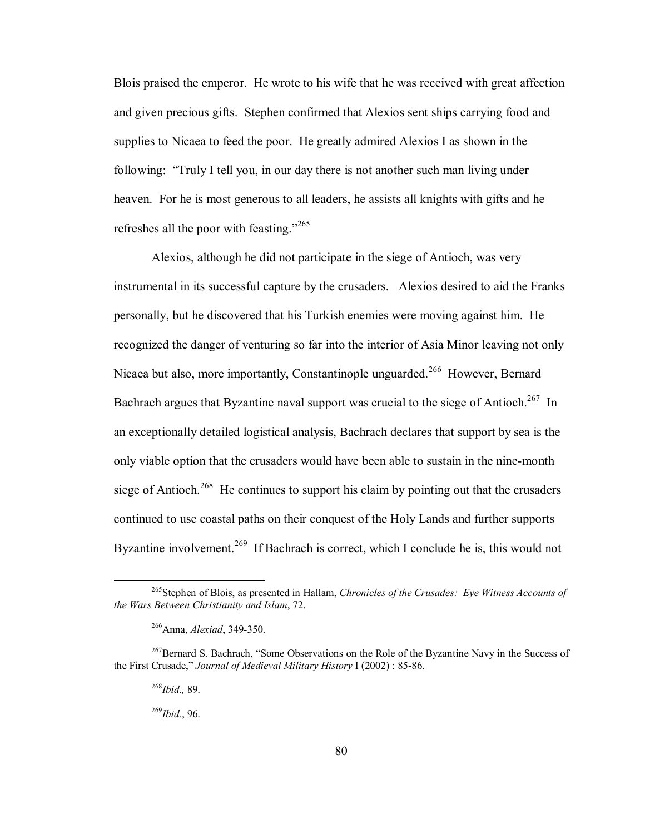Blois praised the emperor. He wrote to his wife that he was received with great affection and given precious gifts. Stephen confirmed that Alexios sent ships carrying food and supplies to Nicaea to feed the poor. He greatly admired Alexios I as shown in the following: "Truly I tell you, in our day there is not another such man living under heaven. For he is most generous to all leaders, he assists all knights with gifts and he refreshes all the poor with feasting.<sup> $265$ </sup>

Alexios, although he did not participate in the siege of Antioch, was very instrumental in its successful capture by the crusaders. Alexios desired to aid the Franks personally, but he discovered that his Turkish enemies were moving against him. He recognized the danger of venturing so far into the interior of Asia Minor leaving not only Nicaea but also, more importantly, Constantinople unguarded.<sup>266</sup> However, Bernard Bachrach argues that Byzantine naval support was crucial to the siege of Antioch.<sup>267</sup> In an exceptionally detailed logistical analysis, Bachrach declares that support by sea is the only viable option that the crusaders would have been able to sustain in the nine-month siege of Antioch.<sup>268</sup> He continues to support his claim by pointing out that the crusaders continued to use coastal paths on their conquest of the Holy Lands and further supports Byzantine involvement.<sup>269</sup> If Bachrach is correct, which I conclude he is, this would not

 <sup>265</sup>Stephen of Blois, as presented in Hallam, *Chronicles of the Crusades: Eye Witness Accounts of the Wars Between Christianity and Islam*, 72.

<sup>266</sup>Anna, *Alexiad*, 349-350.

 $^{267}$ Bernard S. Bachrach, "Some Observations on the Role of the Byzantine Navy in the Success of the First Crusade," *Journal of Medieval Military History I* (2002) : 85-86.

 <sup>268</sup>*Ibid.,* 89.

<sup>269</sup>*Ibid.*, 96.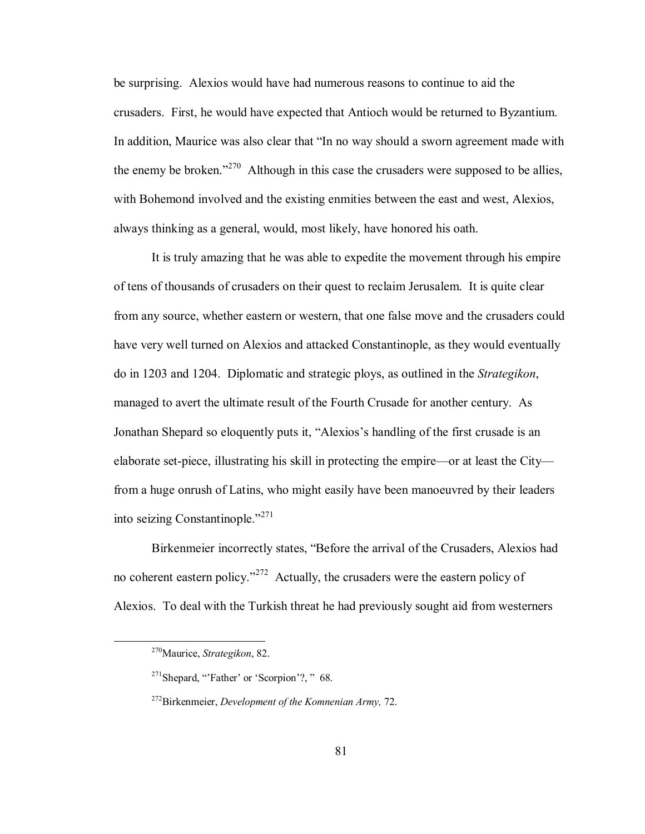be surprising. Alexios would have had numerous reasons to continue to aid the crusaders. First, he would have expected that Antioch would be returned to Byzantium. In addition, Maurice was also clear that "In no way should a sworn agreement made with the enemy be broken.<sup> $270$ </sup> Although in this case the crusaders were supposed to be allies, with Bohemond involved and the existing enmities between the east and west, Alexios, always thinking as a general, would, most likely, have honored his oath.

It is truly amazing that he was able to expedite the movement through his empire of tens of thousands of crusaders on their quest to reclaim Jerusalem. It is quite clear from any source, whether eastern or western, that one false move and the crusaders could have very well turned on Alexios and attacked Constantinople, as they would eventually do in 1203 and 1204. Diplomatic and strategic ploys, as outlined in the *Strategikon*, managed to avert the ultimate result of the Fourth Crusade for another century. As Jonathan Shepard so eloquently puts it, "Alexios's handling of the first crusade is an elaborate set-piece, illustrating his skill in protecting the empire—or at least the City from a huge onrush of Latins, who might easily have been manoeuvred by their leaders into seizing Constantinople.<sup> $271$ </sup>

Birkenmeier incorrectly states, "Before the arrival of the Crusaders, Alexios had no coherent eastern policy.<sup> $272$ </sup> Actually, the crusaders were the eastern policy of Alexios. To deal with the Turkish threat he had previously sought aid from westerners

 <sup>270</sup>Maurice, *Strategikon*, 82.

 $271$ Shepard, "Father' or 'Scorpion'?, "68.

<sup>272</sup>Birkenmeier, *Development of the Komnenian Army,* 72.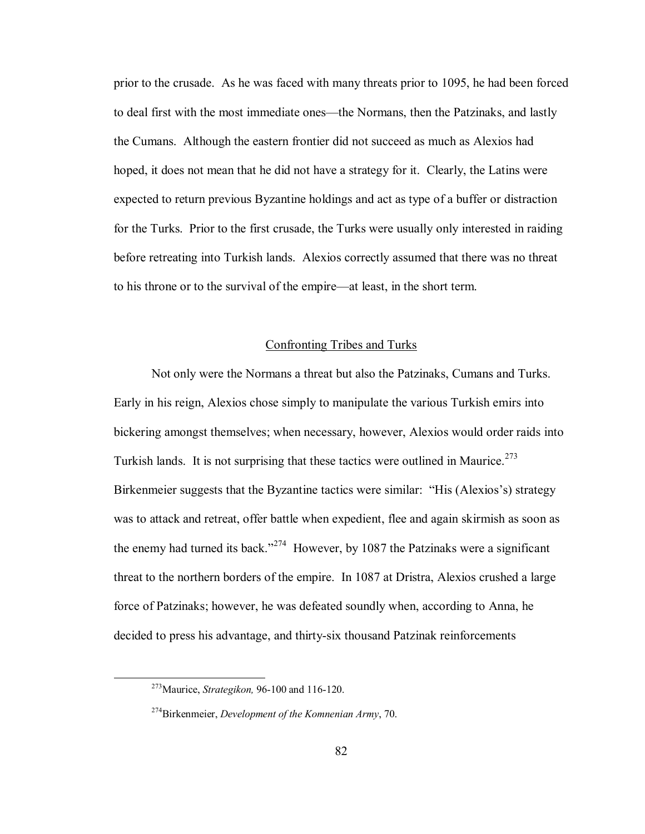prior to the crusade. As he was faced with many threats prior to 1095, he had been forced to deal first with the most immediate ones—the Normans, then the Patzinaks, and lastly the Cumans. Although the eastern frontier did not succeed as much as Alexios had hoped, it does not mean that he did not have a strategy for it. Clearly, the Latins were expected to return previous Byzantine holdings and act as type of a buffer or distraction for the Turks. Prior to the first crusade, the Turks were usually only interested in raiding before retreating into Turkish lands. Alexios correctly assumed that there was no threat to his throne or to the survival of the empire—at least, in the short term.

## Confronting Tribes and Turks

Not only were the Normans a threat but also the Patzinaks, Cumans and Turks. Early in his reign, Alexios chose simply to manipulate the various Turkish emirs into bickering amongst themselves; when necessary, however, Alexios would order raids into Turkish lands. It is not surprising that these tactics were outlined in Maurice.<sup>273</sup> Birkenmeier suggests that the Byzantine tactics were similar: "His (Alexios's) strategy was to attack and retreat, offer battle when expedient, flee and again skirmish as soon as the enemy had turned its back.<sup>2274</sup> However, by 1087 the Patzinaks were a significant threat to the northern borders of the empire. In 1087 at Dristra, Alexios crushed a large force of Patzinaks; however, he was defeated soundly when, according to Anna, he decided to press his advantage, and thirty-six thousand Patzinak reinforcements

 <sup>273</sup>Maurice, *Strategikon,* 96-100 and 116-120.

 <sup>274</sup>Birkenmeier, *Development of the Komnenian Army*, 70.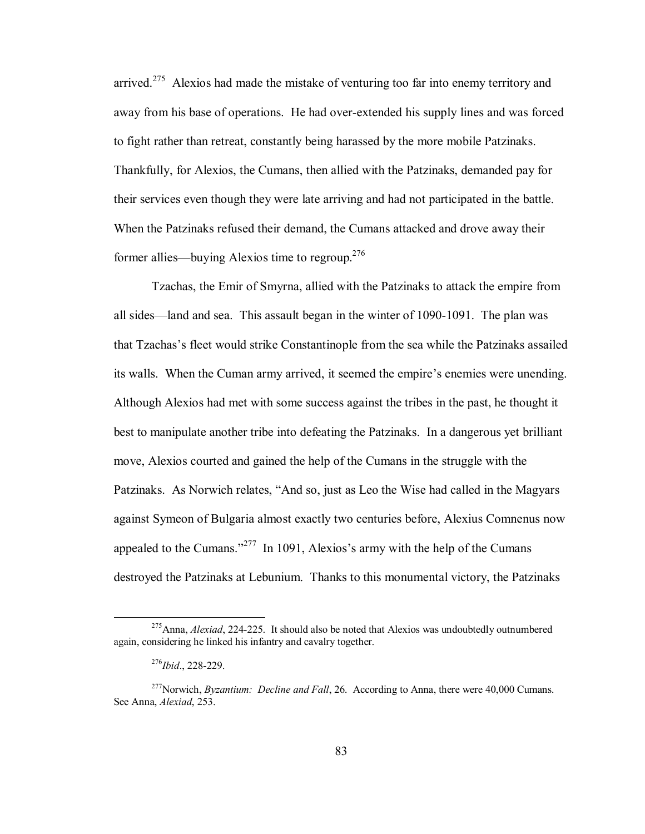arrived.<sup>275</sup> Alexios had made the mistake of venturing too far into enemy territory and away from his base of operations. He had over-extended his supply lines and was forced to fight rather than retreat, constantly being harassed by the more mobile Patzinaks. Thankfully, for Alexios, the Cumans, then allied with the Patzinaks, demanded pay for their services even though they were late arriving and had not participated in the battle. When the Patzinaks refused their demand, the Cumans attacked and drove away their former allies—buying Alexios time to regroup.<sup>276</sup>

Tzachas, the Emir of Smyrna, allied with the Patzinaks to attack the empire from all sides—land and sea. This assault began in the winter of  $1090-1091$ . The plan was that Tzachasís fleet would strike Constantinople from the sea while the Patzinaks assailed its walls. When the Cuman army arrived, it seemed the empire's enemies were unending. Although Alexios had met with some success against the tribes in the past, he thought it best to manipulate another tribe into defeating the Patzinaks. In a dangerous yet brilliant move, Alexios courted and gained the help of the Cumans in the struggle with the Patzinaks. As Norwich relates, "And so, just as Leo the Wise had called in the Magyars against Symeon of Bulgaria almost exactly two centuries before, Alexius Comnenus now appealed to the Cumans.<sup>277</sup> In 1091, Alexios's army with the help of the Cumans destroyed the Patzinaks at Lebunium. Thanks to this monumental victory, the Patzinaks

 <sup>275</sup>Anna, *Alexiad*, 224-225. It should also be noted that Alexios was undoubtedly outnumbered again, considering he linked his infantry and cavalry together.

<sup>276</sup>*Ibid*., 228-229.

<sup>&</sup>lt;sup>277</sup>Norwich, *Byzantium: Decline and Fall*, 26. According to Anna, there were 40,000 Cumans. See Anna, *Alexiad*, 253.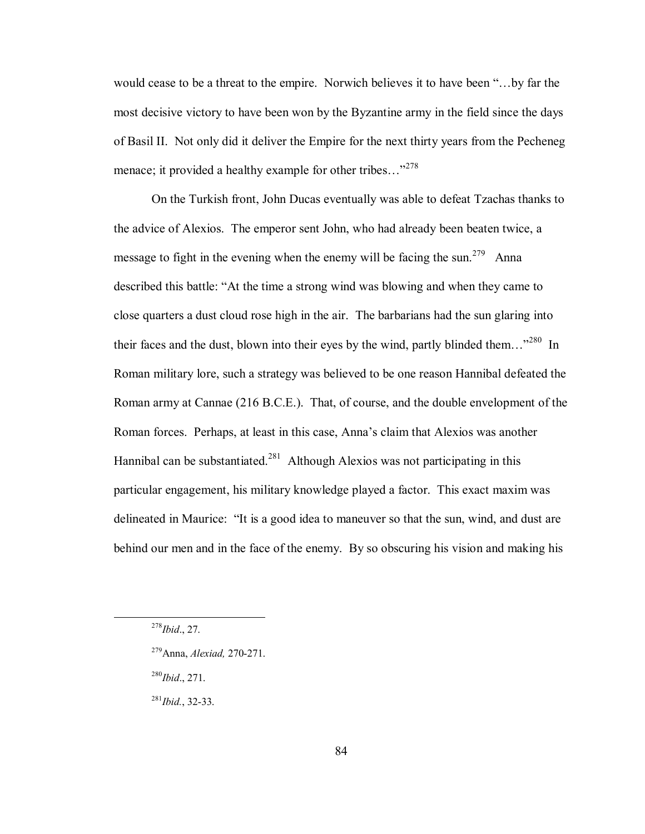would cease to be a threat to the empire. Norwich believes it to have been "... by far the most decisive victory to have been won by the Byzantine army in the field since the days of Basil II. Not only did it deliver the Empire for the next thirty years from the Pecheneg menace; it provided a healthy example for other tribes... $^{278}$ 

On the Turkish front, John Ducas eventually was able to defeat Tzachas thanks to the advice of Alexios. The emperor sent John, who had already been beaten twice, a message to fight in the evening when the enemy will be facing the sun.<sup>279</sup> Anna described this battle: "At the time a strong wind was blowing and when they came to close quarters a dust cloud rose high in the air. The barbarians had the sun glaring into their faces and the dust, blown into their eyes by the wind, partly blinded them...<sup>2280</sup> In Roman military lore, such a strategy was believed to be one reason Hannibal defeated the Roman army at Cannae (216 B.C.E.). That, of course, and the double envelopment of the Roman forces. Perhaps, at least in this case, Anna's claim that Alexios was another Hannibal can be substantiated.<sup>281</sup> Although Alexios was not participating in this particular engagement, his military knowledge played a factor. This exact maxim was delineated in Maurice: "It is a good idea to maneuver so that the sun, wind, and dust are behind our men and in the face of the enemy. By so obscuring his vision and making his

- 279Anna, *Alexiad,* 270-271.
- <sup>280</sup>*Ibid*., 271.

<sup>281</sup>*Ibid.*, 32-33.

 <sup>278</sup>*Ibid*., 27.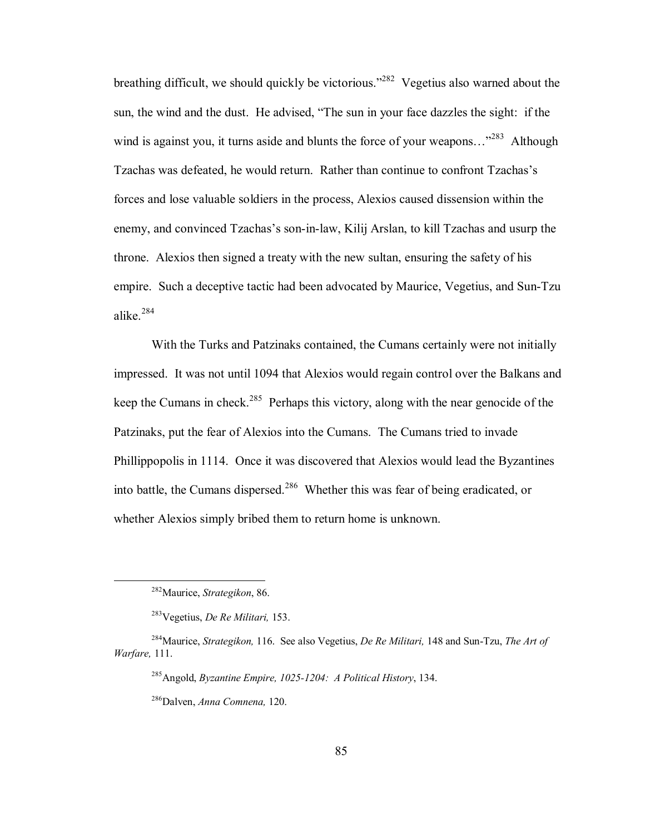breathing difficult, we should quickly be victorious.<sup> $282$ </sup> Vegetius also warned about the sun, the wind and the dust. He advised, "The sun in your face dazzles the sight: if the wind is against you, it turns aside and blunts the force of your weapons... $^{283}$  Although Tzachas was defeated, he would return. Rather than continue to confront Tzachas's forces and lose valuable soldiers in the process, Alexios caused dissension within the enemy, and convinced Tzachas's son-in-law, Kilij Arslan, to kill Tzachas and usurp the throne. Alexios then signed a treaty with the new sultan, ensuring the safety of his empire. Such a deceptive tactic had been advocated by Maurice, Vegetius, and Sun-Tzu alike<sup>284</sup>

With the Turks and Patzinaks contained, the Cumans certainly were not initially impressed. It was not until 1094 that Alexios would regain control over the Balkans and keep the Cumans in check.<sup>285</sup> Perhaps this victory, along with the near genocide of the Patzinaks, put the fear of Alexios into the Cumans. The Cumans tried to invade Phillippopolis in 1114. Once it was discovered that Alexios would lead the Byzantines into battle, the Cumans dispersed.<sup>286</sup> Whether this was fear of being eradicated, or whether Alexios simply bribed them to return home is unknown.

 <sup>282</sup>Maurice, *Strategikon*, 86.

<sup>283</sup>Vegetius, *De Re Militari,* 153.

<sup>284</sup>Maurice, *Strategikon,* 116. See also Vegetius, *De Re Militari,* 148 and Sun-Tzu, *The Art of Warfare,* 111.

<sup>285</sup>Angold, *Byzantine Empire, 1025-1204: A Political History*, 134.

 <sup>286</sup>Dalven, *Anna Comnena,* 120.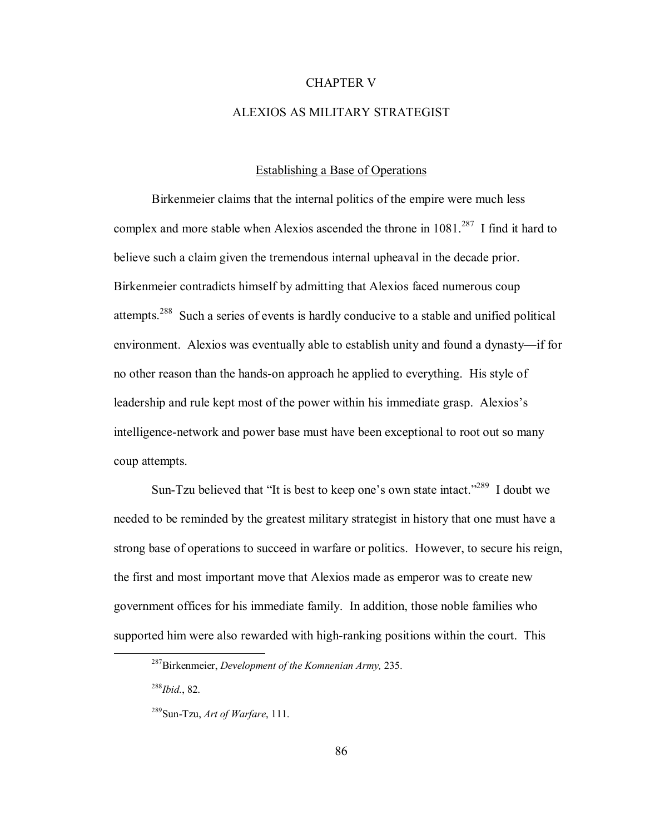# CHAPTER V

## ALEXIOS AS MILITARY STRATEGIST

## Establishing a Base of Operations

Birkenmeier claims that the internal politics of the empire were much less complex and more stable when Alexios ascended the throne in  $1081<sup>287</sup>$  I find it hard to believe such a claim given the tremendous internal upheaval in the decade prior. Birkenmeier contradicts himself by admitting that Alexios faced numerous coup attempts.288 Such a series of events is hardly conducive to a stable and unified political environment. Alexios was eventually able to establish unity and found a dynasty—if for no other reason than the hands-on approach he applied to everything. His style of leadership and rule kept most of the power within his immediate grasp. Alexios's intelligence-network and power base must have been exceptional to root out so many coup attempts.

Sun-Tzu believed that "It is best to keep one's own state intact."<sup>289</sup> I doubt we needed to be reminded by the greatest military strategist in history that one must have a strong base of operations to succeed in warfare or politics. However, to secure his reign, the first and most important move that Alexios made as emperor was to create new government offices for his immediate family. In addition, those noble families who supported him were also rewarded with high-ranking positions within the court. This

288*Ibid.*, 82.

 <sup>287</sup>Birkenmeier, *Development of the Komnenian Army,* 235.

 <sup>289</sup>Sun-Tzu, *Art of Warfare*, 111.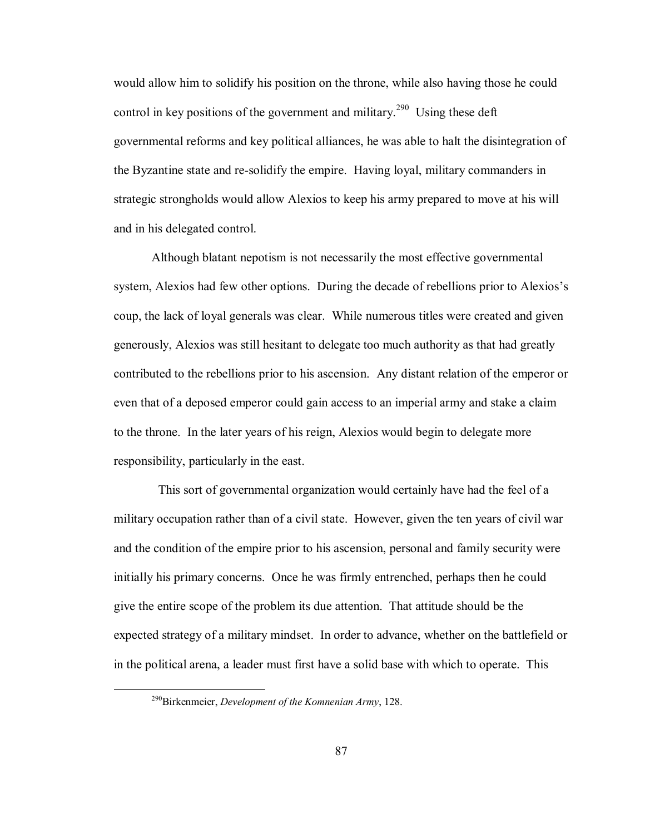would allow him to solidify his position on the throne, while also having those he could control in key positions of the government and military.<sup>290</sup> Using these deft governmental reforms and key political alliances, he was able to halt the disintegration of the Byzantine state and re-solidify the empire. Having loyal, military commanders in strategic strongholds would allow Alexios to keep his army prepared to move at his will and in his delegated control.

Although blatant nepotism is not necessarily the most effective governmental system, Alexios had few other options. During the decade of rebellions prior to Alexios's coup, the lack of loyal generals was clear. While numerous titles were created and given generously, Alexios was still hesitant to delegate too much authority as that had greatly contributed to the rebellions prior to his ascension. Any distant relation of the emperor or even that of a deposed emperor could gain access to an imperial army and stake a claim to the throne. In the later years of his reign, Alexios would begin to delegate more responsibility, particularly in the east.

 This sort of governmental organization would certainly have had the feel of a military occupation rather than of a civil state. However, given the ten years of civil war and the condition of the empire prior to his ascension, personal and family security were initially his primary concerns. Once he was firmly entrenched, perhaps then he could give the entire scope of the problem its due attention. That attitude should be the expected strategy of a military mindset. In order to advance, whether on the battlefield or in the political arena, a leader must first have a solid base with which to operate. This

 <sup>290</sup>Birkenmeier, *Development of the Komnenian Army*, 128.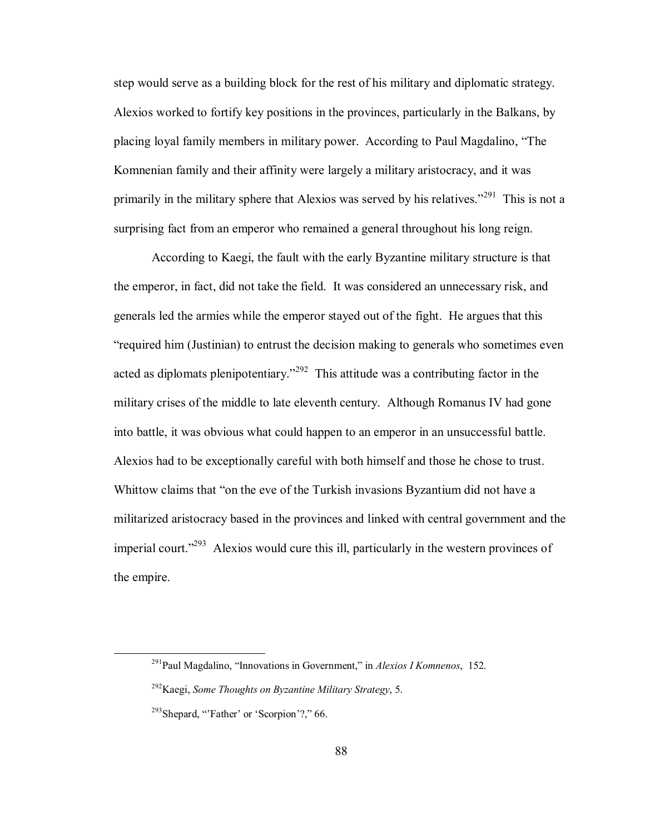step would serve as a building block for the rest of his military and diplomatic strategy. Alexios worked to fortify key positions in the provinces, particularly in the Balkans, by placing loyal family members in military power. According to Paul Magdalino, "The Komnenian family and their affinity were largely a military aristocracy, and it was primarily in the military sphere that Alexios was served by his relatives.<sup> $291$ </sup> This is not a surprising fact from an emperor who remained a general throughout his long reign.

According to Kaegi, the fault with the early Byzantine military structure is that the emperor, in fact, did not take the field. It was considered an unnecessary risk, and generals led the armies while the emperor stayed out of the fight. He argues that this ìrequired him (Justinian) to entrust the decision making to generals who sometimes even acted as diplomats plenipotentiary.<sup> $292$ </sup> This attitude was a contributing factor in the military crises of the middle to late eleventh century. Although Romanus IV had gone into battle, it was obvious what could happen to an emperor in an unsuccessful battle. Alexios had to be exceptionally careful with both himself and those he chose to trust. Whittow claims that "on the eve of the Turkish invasions Byzantium did not have a militarized aristocracy based in the provinces and linked with central government and the imperial court.<sup> $293$ </sup> Alexios would cure this ill, particularly in the western provinces of the empire.

 $^{291}$ Paul Magdalino, "Innovations in Government," in *Alexios I Komnenos*, 152.

<sup>292</sup>Kaegi, *Some Thoughts on Byzantine Military Strategy*, 5.

 $293$ Shepard, "Father' or 'Scorpion'?," 66.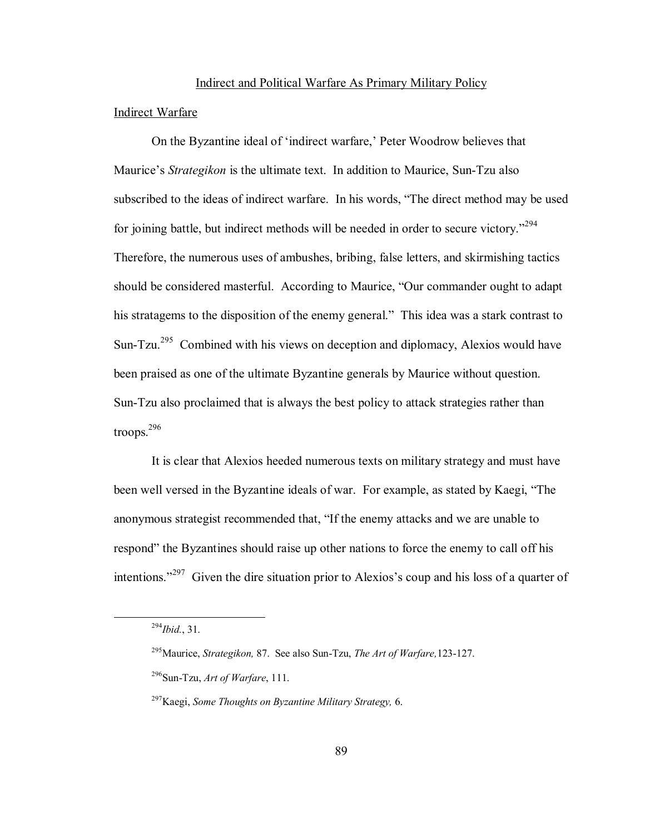#### Indirect and Political Warfare As Primary Military Policy

# Indirect Warfare

On the Byzantine ideal of 'indirect warfare,' Peter Woodrow believes that Maurice's *Strategikon* is the ultimate text. In addition to Maurice, Sun-Tzu also subscribed to the ideas of indirect warfare. In his words, "The direct method may be used for joining battle, but indirect methods will be needed in order to secure victory.<sup>294</sup> Therefore, the numerous uses of ambushes, bribing, false letters, and skirmishing tactics should be considered masterful. According to Maurice, "Our commander ought to adapt" his stratagems to the disposition of the enemy general." This idea was a stark contrast to Sun-Tzu.<sup>295</sup> Combined with his views on deception and diplomacy, Alexios would have been praised as one of the ultimate Byzantine generals by Maurice without question. Sun-Tzu also proclaimed that is always the best policy to attack strategies rather than troops.296

It is clear that Alexios heeded numerous texts on military strategy and must have been well versed in the Byzantine ideals of war. For example, as stated by Kaegi, "The anonymous strategist recommended that, "If the enemy attacks and we are unable to respond" the Byzantines should raise up other nations to force the enemy to call off his intentions.<sup> $297$ </sup> Given the dire situation prior to Alexios's coup and his loss of a quarter of

 <sup>294</sup>*Ibid.*, 31.

<sup>295</sup>Maurice, *Strategikon,* 87. See also Sun-Tzu, *The Art of Warfare,*123-127.

<sup>296</sup>Sun-Tzu, *Art of Warfare*, 111.

<sup>297</sup>Kaegi, *Some Thoughts on Byzantine Military Strategy,* 6.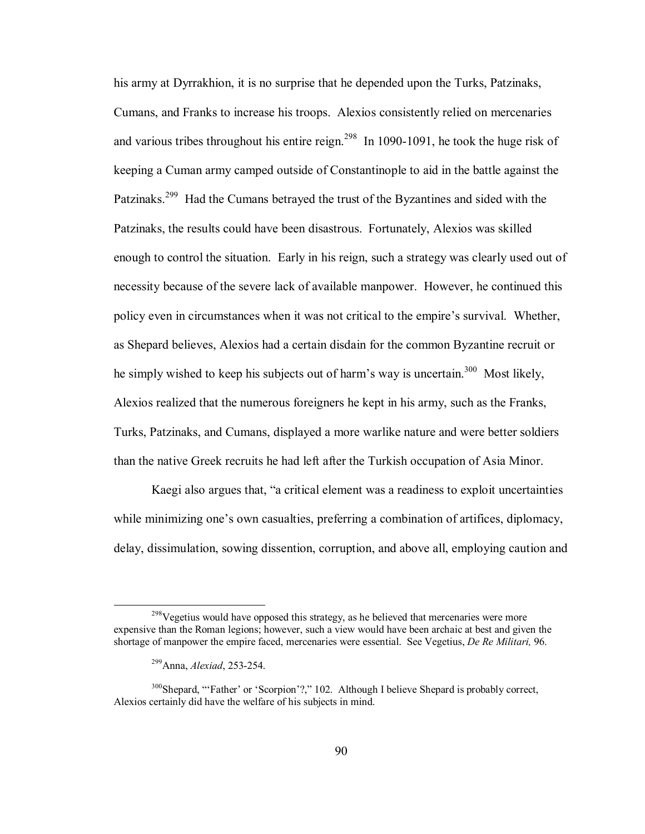his army at Dyrrakhion, it is no surprise that he depended upon the Turks, Patzinaks, Cumans, and Franks to increase his troops. Alexios consistently relied on mercenaries and various tribes throughout his entire reign.<sup>298</sup> In 1090-1091, he took the huge risk of keeping a Cuman army camped outside of Constantinople to aid in the battle against the Patzinaks.<sup>299</sup> Had the Cumans betrayed the trust of the Byzantines and sided with the Patzinaks, the results could have been disastrous. Fortunately, Alexios was skilled enough to control the situation. Early in his reign, such a strategy was clearly used out of necessity because of the severe lack of available manpower. However, he continued this policy even in circumstances when it was not critical to the empire's survival. Whether, as Shepard believes, Alexios had a certain disdain for the common Byzantine recruit or he simply wished to keep his subjects out of harm's way is uncertain.<sup>300</sup> Most likely, Alexios realized that the numerous foreigners he kept in his army, such as the Franks, Turks, Patzinaks, and Cumans, displayed a more warlike nature and were better soldiers than the native Greek recruits he had left after the Turkish occupation of Asia Minor.

Kaegi also argues that, "a critical element was a readiness to exploit uncertainties while minimizing one's own casualties, preferring a combination of artifices, diplomacy, delay, dissimulation, sowing dissention, corruption, and above all, employing caution and

<sup>&</sup>lt;sup>298</sup>Vegetius would have opposed this strategy, as he believed that mercenaries were more expensive than the Roman legions; however, such a view would have been archaic at best and given the shortage of manpower the empire faced, mercenaries were essential. See Vegetius, *De Re Militari,* 96.

 <sup>299</sup>Anna, *Alexiad*, 253-254.

 $300$ Shepard, "Father' or 'Scorpion'?," 102. Although I believe Shepard is probably correct, Alexios certainly did have the welfare of his subjects in mind.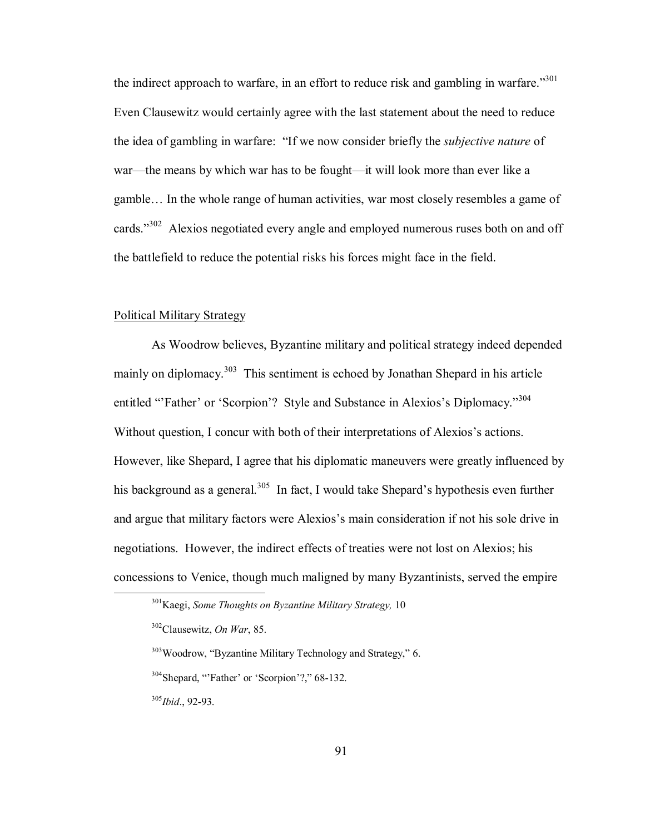the indirect approach to warfare, in an effort to reduce risk and gambling in warfare.<sup>301</sup> Even Clausewitz would certainly agree with the last statement about the need to reduce the idea of gambling in warfare: "If we now consider briefly the *subjective nature* of war—the means by which war has to be fought—it will look more than ever like a gamble... In the whole range of human activities, war most closely resembles a game of cards.<sup> $302$ </sup> Alexios negotiated every angle and employed numerous ruses both on and off the battlefield to reduce the potential risks his forces might face in the field.

## Political Military Strategy

As Woodrow believes, Byzantine military and political strategy indeed depended mainly on diplomacy.<sup>303</sup> This sentiment is echoed by Jonathan Shepard in his article entitled "Father' or 'Scorpion'? Style and Substance in Alexios's Diplomacy."<sup>304</sup> Without question, I concur with both of their interpretations of Alexios's actions. However, like Shepard, I agree that his diplomatic maneuvers were greatly influenced by his background as a general.<sup>305</sup> In fact, I would take Shepard's hypothesis even further and argue that military factors were Alexios's main consideration if not his sole drive in negotiations. However, the indirect effects of treaties were not lost on Alexios; his concessions to Venice, though much maligned by many Byzantinists, served the empire

 $303$ Woodrow, "Byzantine Military Technology and Strategy," 6.

 $304$ Shepard, "Father' or 'Scorpion'?," 68-132.

<sup>305</sup>*Ibid*., 92-93.

 <sup>301</sup>Kaegi, *Some Thoughts on Byzantine Military Strategy,*<sup>10</sup>

<sup>302</sup>Clausewitz, *On War*, 85.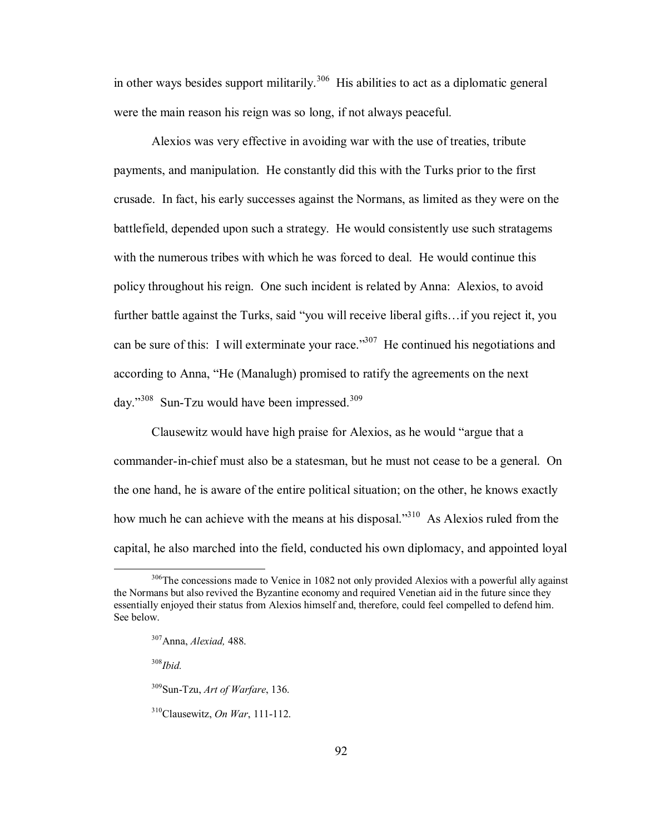in other ways besides support militarily.<sup>306</sup> His abilities to act as a diplomatic general were the main reason his reign was so long, if not always peaceful.

Alexios was very effective in avoiding war with the use of treaties, tribute payments, and manipulation. He constantly did this with the Turks prior to the first crusade. In fact, his early successes against the Normans, as limited as they were on the battlefield, depended upon such a strategy. He would consistently use such stratagems with the numerous tribes with which he was forced to deal. He would continue this policy throughout his reign. One such incident is related by Anna: Alexios, to avoid further battle against the Turks, said "you will receive liberal gifts... if you reject it, you can be sure of this: I will exterminate your race.<sup>307</sup> He continued his negotiations and according to Anna, "He (Manalugh) promised to ratify the agreements on the next day." $308$  Sun-Tzu would have been impressed. $309$ 

Clausewitz would have high praise for Alexios, as he would "argue that a commander-in-chief must also be a statesman, but he must not cease to be a general. On the one hand, he is aware of the entire political situation; on the other, he knows exactly how much he can achieve with the means at his disposal. $310$  As Alexios ruled from the capital, he also marched into the field, conducted his own diplomacy, and appointed loyal

<sup>308</sup>*Ibid.*

 $306$ The concessions made to Venice in 1082 not only provided Alexios with a powerful ally against the Normans but also revived the Byzantine economy and required Venetian aid in the future since they essentially enjoyed their status from Alexios himself and, therefore, could feel compelled to defend him. See below.

 <sup>307</sup>Anna, *Alexiad,* 488.

<sup>309</sup>Sun-Tzu, *Art of Warfare*, 136.

<sup>310</sup>Clausewitz, *On War*, 111-112.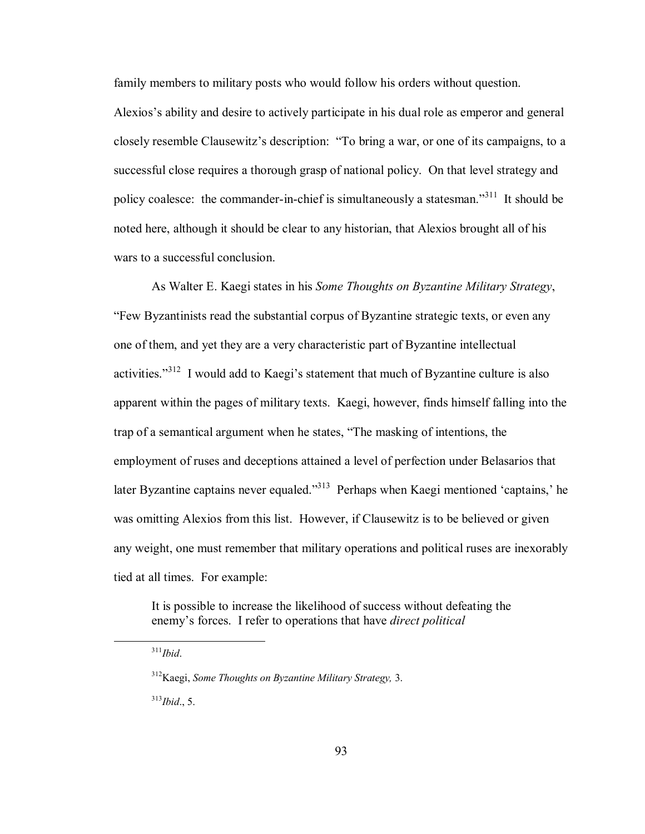family members to military posts who would follow his orders without question.

Alexios's ability and desire to actively participate in his dual role as emperor and general closely resemble Clausewitz's description: "To bring a war, or one of its campaigns, to a successful close requires a thorough grasp of national policy. On that level strategy and policy coalesce: the commander-in-chief is simultaneously a statesman.<sup>311</sup> It should be noted here, although it should be clear to any historian, that Alexios brought all of his wars to a successful conclusion.

As Walter E. Kaegi states in his *Some Thoughts on Byzantine Military Strategy*, ìFew Byzantinists read the substantial corpus of Byzantine strategic texts, or even any one of them, and yet they are a very characteristic part of Byzantine intellectual activities.<sup> $312$ </sup> I would add to Kaegi's statement that much of Byzantine culture is also apparent within the pages of military texts. Kaegi, however, finds himself falling into the trap of a semantical argument when he states, "The masking of intentions, the employment of ruses and deceptions attained a level of perfection under Belasarios that later Byzantine captains never equaled.<sup>3313</sup> Perhaps when Kaegi mentioned 'captains,' he was omitting Alexios from this list. However, if Clausewitz is to be believed or given any weight, one must remember that military operations and political ruses are inexorably tied at all times. For example:

 It is possible to increase the likelihood of success without defeating the enemy's forces. I refer to operations that have *direct political* 

<sup>313</sup>*Ibid*., 5.

 <sup>311</sup>*Ibid*.

<sup>312</sup>Kaegi, *Some Thoughts on Byzantine Military Strategy,* 3.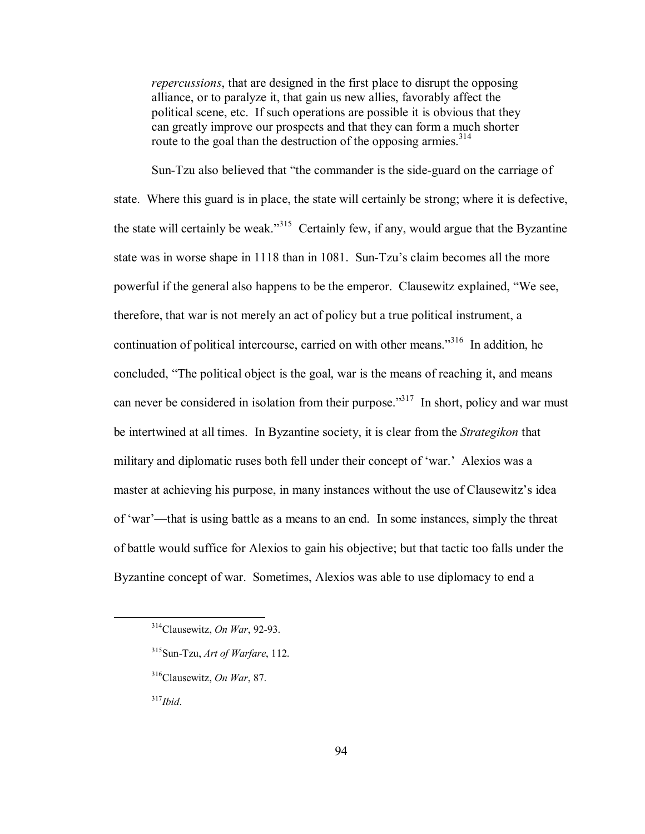*repercussions*, that are designed in the first place to disrupt the opposing alliance, or to paralyze it, that gain us new allies, favorably affect the political scene, etc. If such operations are possible it is obvious that they can greatly improve our prospects and that they can form a much shorter route to the goal than the destruction of the opposing armies.<sup>314</sup>

Sun-Tzu also believed that "the commander is the side-guard on the carriage of state. Where this guard is in place, the state will certainly be strong; where it is defective, the state will certainly be weak.<sup>315</sup> Certainly few, if any, would argue that the Byzantine state was in worse shape in 1118 than in 1081. Sun-Tzu's claim becomes all the more powerful if the general also happens to be the emperor. Clausewitz explained, "We see, therefore, that war is not merely an act of policy but a true political instrument, a continuation of political intercourse, carried on with other means.<sup>316</sup> In addition, he concluded, "The political object is the goal, war is the means of reaching it, and means can never be considered in isolation from their purpose.<sup> $317$ </sup> In short, policy and war must be intertwined at all times. In Byzantine society, it is clear from the *Strategikon* that military and diplomatic ruses both fell under their concept of 'war.' Alexios was a master at achieving his purpose, in many instances without the use of Clausewitz's idea of 'war'—that is using battle as a means to an end. In some instances, simply the threat of battle would suffice for Alexios to gain his objective; but that tactic too falls under the Byzantine concept of war. Sometimes, Alexios was able to use diplomacy to end a

 <sup>314</sup>Clausewitz, *On War*, 92-93.

 <sup>315</sup>Sun-Tzu, *Art of Warfare*, 112.

<sup>316</sup>Clausewitz, *On War*, 87.

<sup>317</sup>*Ibid*.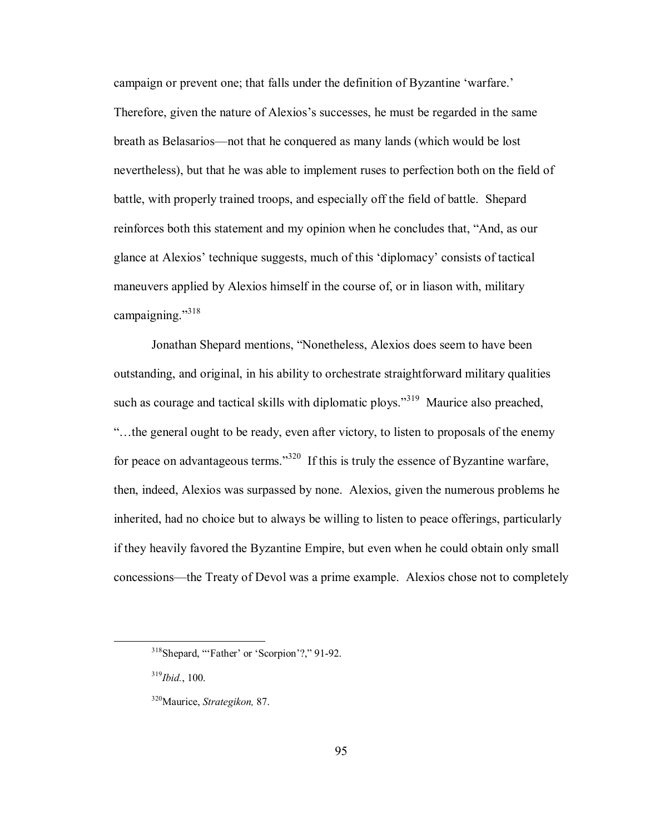campaign or prevent one; that falls under the definition of Byzantine 'warfare.' Therefore, given the nature of Alexios's successes, he must be regarded in the same breath as Belasarios—not that he conquered as many lands (which would be lost nevertheless), but that he was able to implement ruses to perfection both on the field of battle, with properly trained troops, and especially off the field of battle. Shepard reinforces both this statement and my opinion when he concludes that, "And, as our glance at Alexios' technique suggests, much of this 'diplomacy' consists of tactical maneuvers applied by Alexios himself in the course of, or in liason with, military campaigning. $1318$ 

Jonathan Shepard mentions, "Nonetheless, Alexios does seem to have been outstanding, and original, in his ability to orchestrate straightforward military qualities such as courage and tactical skills with diplomatic ploys.<sup> $319$ </sup> Maurice also preached, ìÖthe general ought to be ready, even after victory, to listen to proposals of the enemy for peace on advantageous terms.<sup>320</sup> If this is truly the essence of Byzantine warfare, then, indeed, Alexios was surpassed by none. Alexios, given the numerous problems he inherited, had no choice but to always be willing to listen to peace offerings, particularly if they heavily favored the Byzantine Empire, but even when he could obtain only small concessions—the Treaty of Devol was a prime example. Alexios chose not to completely

 $318$ Shepard, "Father' or 'Scorpion'?," 91-92.

<sup>319</sup>*Ibid.*, 100.

<sup>320</sup>Maurice, *Strategikon,* 87.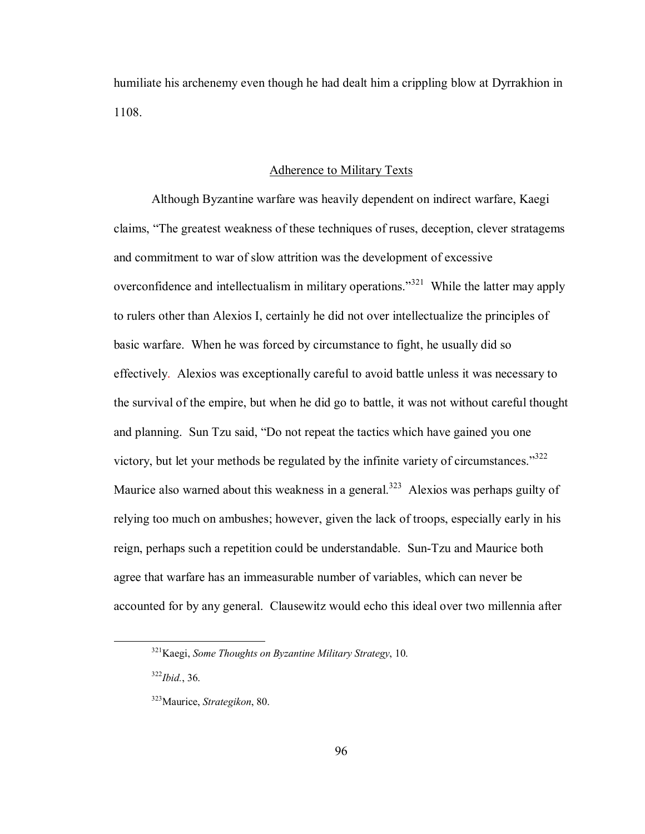humiliate his archenemy even though he had dealt him a crippling blow at Dyrrakhion in 1108.

### Adherence to Military Texts

 Although Byzantine warfare was heavily dependent on indirect warfare, Kaegi claims, "The greatest weakness of these techniques of ruses, deception, clever stratagems and commitment to war of slow attrition was the development of excessive overconfidence and intellectualism in military operations.<sup>321</sup> While the latter may apply to rulers other than Alexios I, certainly he did not over intellectualize the principles of basic warfare. When he was forced by circumstance to fight, he usually did so effectively. Alexios was exceptionally careful to avoid battle unless it was necessary to the survival of the empire, but when he did go to battle, it was not without careful thought and planning. Sun Tzu said, "Do not repeat the tactics which have gained you one victory, but let your methods be regulated by the infinite variety of circumstances.<sup>3322</sup> Maurice also warned about this weakness in a general.<sup>323</sup> Alexios was perhaps guilty of relying too much on ambushes; however, given the lack of troops, especially early in his reign, perhaps such a repetition could be understandable. Sun-Tzu and Maurice both agree that warfare has an immeasurable number of variables, which can never be accounted for by any general. Clausewitz would echo this ideal over two millennia after

 <sup>321</sup>Kaegi, *Some Thoughts on Byzantine Military Strategy*, 10.

<sup>322</sup>*Ibid.*, 36.

<sup>323</sup>Maurice, *Strategikon*, 80.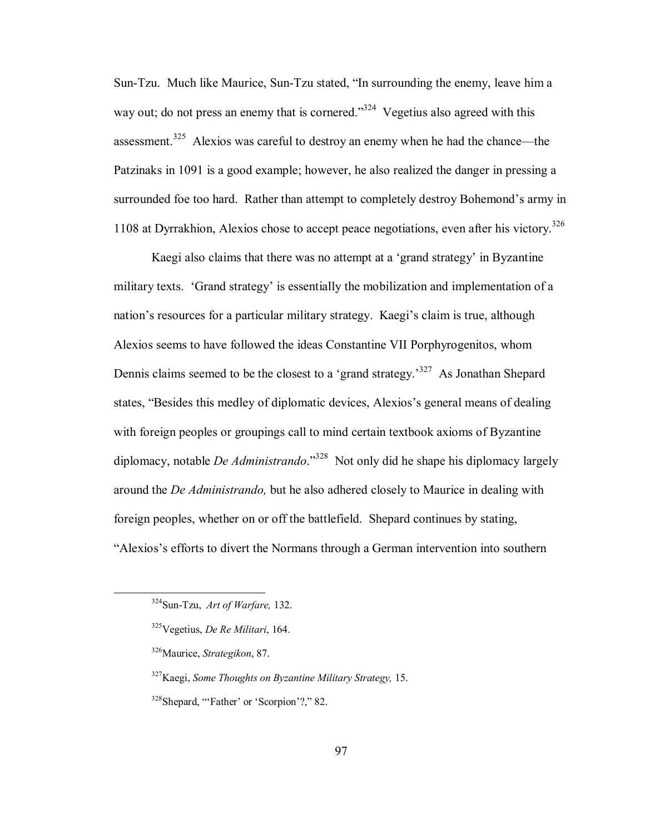Sun-Tzu. Much like Maurice, Sun-Tzu stated, "In surrounding the enemy, leave him a way out; do not press an enemy that is cornered.<sup>324</sup> Vegetius also agreed with this assessment.<sup>325</sup> Alexios was careful to destroy an enemy when he had the chance—the Patzinaks in 1091 is a good example; however, he also realized the danger in pressing a surrounded foe too hard. Rather than attempt to completely destroy Bohemond's army in 1108 at Dyrrakhion, Alexios chose to accept peace negotiations, even after his victory.<sup>326</sup>

Kaegi also claims that there was no attempt at a 'grand strategy' in Byzantine military texts. 'Grand strategy' is essentially the mobilization and implementation of a nation's resources for a particular military strategy. Kaegi's claim is true, although Alexios seems to have followed the ideas Constantine VII Porphyrogenitos, whom Dennis claims seemed to be the closest to a 'grand strategy.<sup>327</sup> As Jonathan Shepard states, "Besides this medley of diplomatic devices, Alexios's general means of dealing with foreign peoples or groupings call to mind certain textbook axioms of Byzantine diplomacy, notable *De Administrando*.<sup>328</sup> Not only did he shape his diplomacy largely around the *De Administrando,* but he also adhered closely to Maurice in dealing with foreign peoples, whether on or off the battlefield. Shepard continues by stating, ìAlexiosís efforts to divert the Normans through a German intervention into southern

 <sup>324</sup>Sun-Tzu, *Art of Warfare,* 132.

<sup>325</sup>Vegetius, *De Re Militari*, 164.

<sup>326</sup>Maurice, *Strategikon*, 87.

 <sup>327</sup>Kaegi, *Some Thoughts on Byzantine Military Strategy,* 15. <sup>328</sup>Shepard, "Father' or 'Scorpion'?," 82.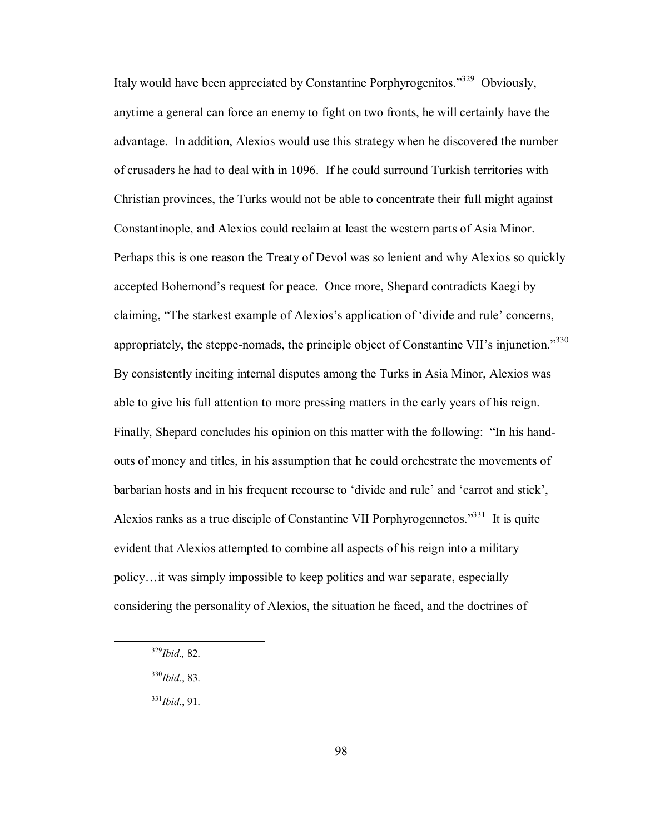Italy would have been appreciated by Constantine Porphyrogenitos.<sup>329</sup> Obviously, anytime a general can force an enemy to fight on two fronts, he will certainly have the advantage. In addition, Alexios would use this strategy when he discovered the number of crusaders he had to deal with in 1096. If he could surround Turkish territories with Christian provinces, the Turks would not be able to concentrate their full might against Constantinople, and Alexios could reclaim at least the western parts of Asia Minor. Perhaps this is one reason the Treaty of Devol was so lenient and why Alexios so quickly accepted Bohemond's request for peace. Once more, Shepard contradicts Kaegi by claiming, "The starkest example of Alexios's application of 'divide and rule' concerns, appropriately, the steppe-nomads, the principle object of Constantine VII's injunction.<sup>330</sup> By consistently inciting internal disputes among the Turks in Asia Minor, Alexios was able to give his full attention to more pressing matters in the early years of his reign. Finally, Shepard concludes his opinion on this matter with the following: "In his handouts of money and titles, in his assumption that he could orchestrate the movements of barbarian hosts and in his frequent recourse to 'divide and rule' and 'carrot and stick', Alexios ranks as a true disciple of Constantine VII Porphyrogennetos.<sup>331</sup> It is quite evident that Alexios attempted to combine all aspects of his reign into a military policy... it was simply impossible to keep politics and war separate, especially considering the personality of Alexios, the situation he faced, and the doctrines of

 <sup>329</sup>*Ibid.,* 82.

<sup>330</sup>*Ibid*., 83.

<sup>331</sup>*Ibid*., 91.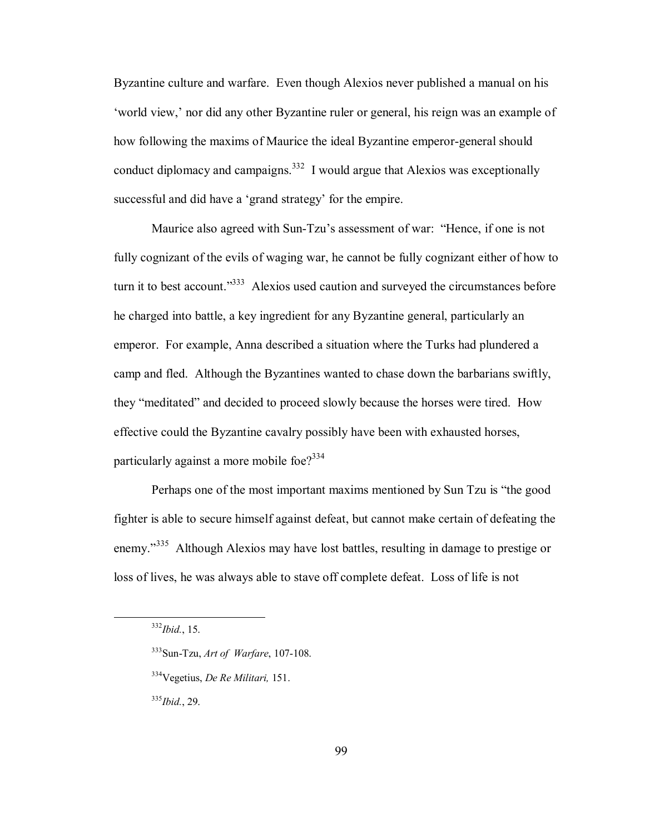Byzantine culture and warfare. Even though Alexios never published a manual on his 'world view,' nor did any other Byzantine ruler or general, his reign was an example of how following the maxims of Maurice the ideal Byzantine emperor-general should conduct diplomacy and campaigns.<sup>332</sup> I would argue that Alexios was exceptionally successful and did have a 'grand strategy' for the empire.

Maurice also agreed with Sun-Tzu's assessment of war: "Hence, if one is not fully cognizant of the evils of waging war, he cannot be fully cognizant either of how to turn it to best account.<sup>333</sup> Alexios used caution and surveyed the circumstances before he charged into battle, a key ingredient for any Byzantine general, particularly an emperor. For example, Anna described a situation where the Turks had plundered a camp and fled. Although the Byzantines wanted to chase down the barbarians swiftly, they "meditated" and decided to proceed slowly because the horses were tired. How effective could the Byzantine cavalry possibly have been with exhausted horses, particularly against a more mobile foe?<sup>334</sup>

Perhaps one of the most important maxims mentioned by Sun Tzu is "the good fighter is able to secure himself against defeat, but cannot make certain of defeating the enemy.<sup>335</sup> Although Alexios may have lost battles, resulting in damage to prestige or loss of lives, he was always able to stave off complete defeat. Loss of life is not

332*Ibid.*, 15.

<sup>335</sup>*Ibid.*, 29.

<sup>333</sup>Sun-Tzu, *Art of Warfare*, 107-108.

<sup>334</sup>Vegetius, *De Re Militari,* 151.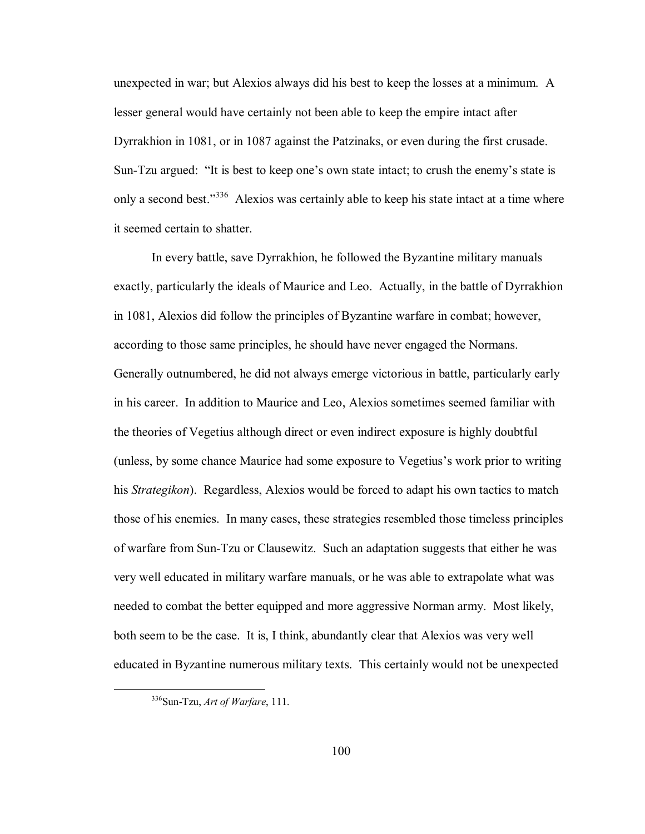unexpected in war; but Alexios always did his best to keep the losses at a minimum. A lesser general would have certainly not been able to keep the empire intact after Dyrrakhion in 1081, or in 1087 against the Patzinaks, or even during the first crusade. Sun-Tzu argued: "It is best to keep one's own state intact; to crush the enemy's state is only a second best.<sup>336</sup> Alexios was certainly able to keep his state intact at a time where it seemed certain to shatter.

 In every battle, save Dyrrakhion, he followed the Byzantine military manuals exactly, particularly the ideals of Maurice and Leo. Actually, in the battle of Dyrrakhion in 1081, Alexios did follow the principles of Byzantine warfare in combat; however, according to those same principles, he should have never engaged the Normans. Generally outnumbered, he did not always emerge victorious in battle, particularly early in his career. In addition to Maurice and Leo, Alexios sometimes seemed familiar with the theories of Vegetius although direct or even indirect exposure is highly doubtful (unless, by some chance Maurice had some exposure to Vegetius's work prior to writing his *Strategikon*). Regardless, Alexios would be forced to adapt his own tactics to match those of his enemies. In many cases, these strategies resembled those timeless principles of warfare from Sun-Tzu or Clausewitz. Such an adaptation suggests that either he was very well educated in military warfare manuals, or he was able to extrapolate what was needed to combat the better equipped and more aggressive Norman army. Most likely, both seem to be the case. It is, I think, abundantly clear that Alexios was very well educated in Byzantine numerous military texts. This certainly would not be unexpected

 <sup>336</sup>Sun-Tzu, *Art of Warfare*, 111.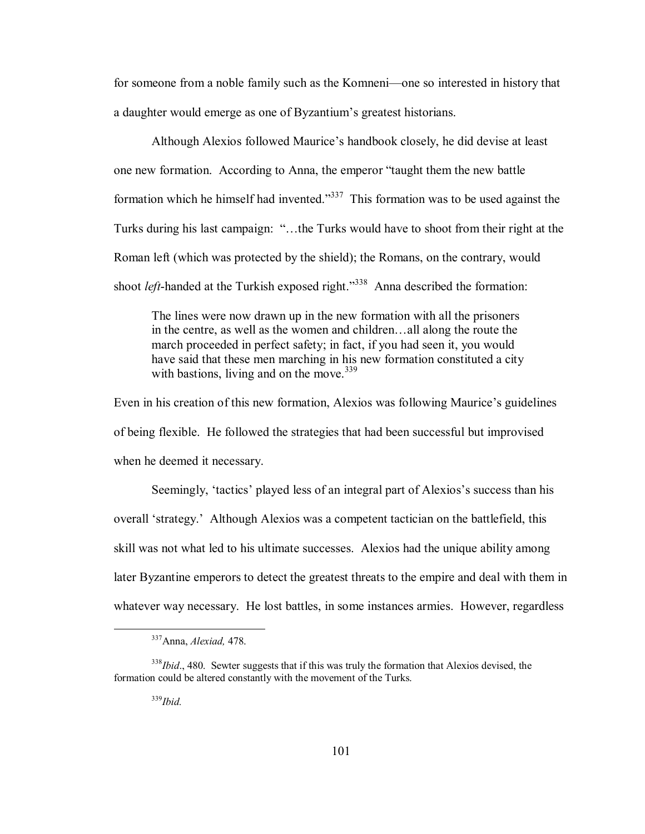for someone from a noble family such as the Komneni-one so interested in history that a daughter would emerge as one of Byzantium's greatest historians.

Although Alexios followed Maurice's handbook closely, he did devise at least one new formation. According to Anna, the emperor "taught them the new battle formation which he himself had invented.<sup>337</sup> This formation was to be used against the Turks during his last campaign: "...the Turks would have to shoot from their right at the Roman left (which was protected by the shield); the Romans, on the contrary, would shoot *left*-handed at the Turkish exposed right.<sup>338</sup> Anna described the formation:

The lines were now drawn up in the new formation with all the prisoners in the centre, as well as the women and children...all along the route the march proceeded in perfect safety; in fact, if you had seen it, you would have said that these men marching in his new formation constituted a city with bastions, living and on the move.  $339$ 

Even in his creation of this new formation, Alexios was following Maurice's guidelines of being flexible. He followed the strategies that had been successful but improvised when he deemed it necessary.

Seemingly, 'tactics' played less of an integral part of Alexios's success than his overall 'strategy.' Although Alexios was a competent tactician on the battlefield, this skill was not what led to his ultimate successes. Alexios had the unique ability among later Byzantine emperors to detect the greatest threats to the empire and deal with them in whatever way necessary. He lost battles, in some instances armies. However, regardless

 <sup>337</sup>Anna, *Alexiad,* 478.

<sup>&</sup>lt;sup>338</sup>*Ibid.*, 480. Sewter suggests that if this was truly the formation that Alexios devised, the formation could be altered constantly with the movement of the Turks.

 <sup>339</sup>*Ibid.*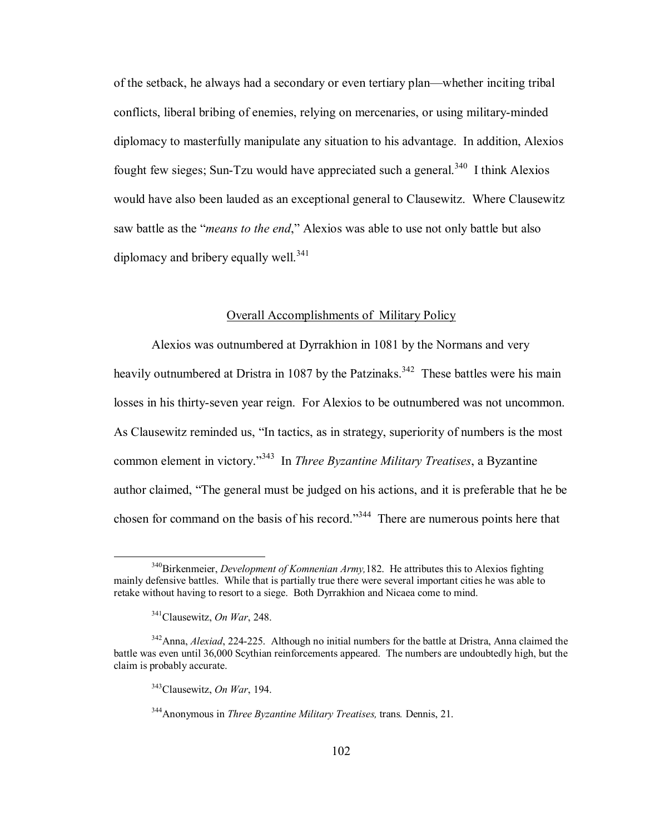of the setback, he always had a secondary or even tertiary plan—whether inciting tribal conflicts, liberal bribing of enemies, relying on mercenaries, or using military-minded diplomacy to masterfully manipulate any situation to his advantage. In addition, Alexios fought few sieges; Sun-Tzu would have appreciated such a general.<sup>340</sup> I think Alexios would have also been lauded as an exceptional general to Clausewitz. Where Clausewitz saw battle as the *"means to the end*," Alexios was able to use not only battle but also diplomacy and bribery equally well.<sup>341</sup>

# Overall Accomplishments of Military Policy

Alexios was outnumbered at Dyrrakhion in 1081 by the Normans and very heavily outnumbered at Dristra in 1087 by the Patzinaks.<sup>342</sup> These battles were his main losses in his thirty-seven year reign. For Alexios to be outnumbered was not uncommon. As Clausewitz reminded us, "In tactics, as in strategy, superiority of numbers is the most common element in victory.<sup>343</sup> In *Three Byzantine Military Treatises*, a Byzantine author claimed, "The general must be judged on his actions, and it is preferable that he be chosen for command on the basis of his record.<sup> $344$ </sup> There are numerous points here that

 <sup>340</sup>Birkenmeier, *Development of Komnenian Army,*182. He attributes this to Alexios fighting mainly defensive battles. While that is partially true there were several important cities he was able to retake without having to resort to a siege. Both Dyrrakhion and Nicaea come to mind.

 <sup>341</sup>Clausewitz, *On War*, 248.

<sup>342</sup>Anna, *Alexiad*, 224-225. Although no initial numbers for the battle at Dristra, Anna claimed the battle was even until 36,000 Scythian reinforcements appeared. The numbers are undoubtedly high, but the claim is probably accurate.

 <sup>343</sup>Clausewitz, *On War*, 194.

<sup>344</sup>Anonymous in *Three Byzantine Military Treatises,* trans*.* Dennis, 21.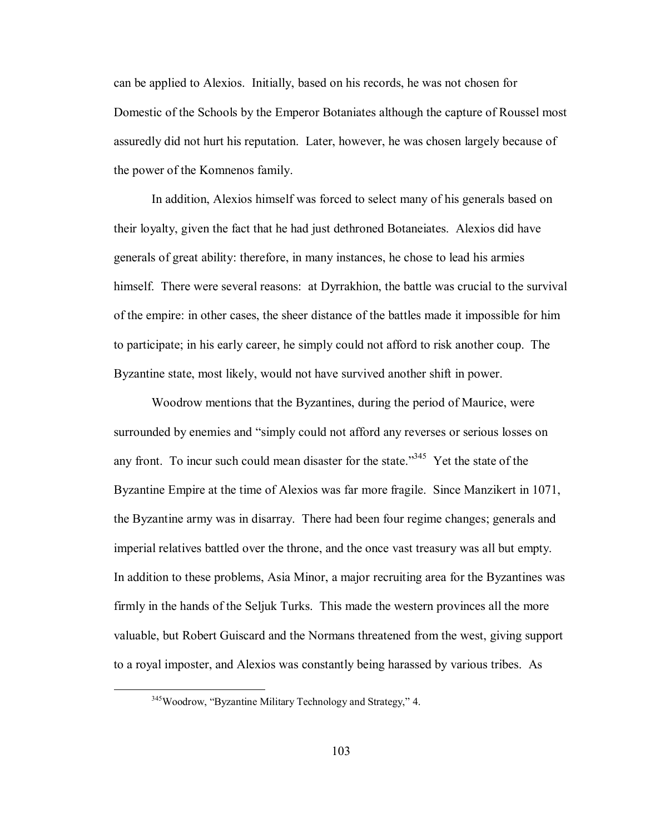can be applied to Alexios. Initially, based on his records, he was not chosen for Domestic of the Schools by the Emperor Botaniates although the capture of Roussel most assuredly did not hurt his reputation. Later, however, he was chosen largely because of the power of the Komnenos family.

In addition, Alexios himself was forced to select many of his generals based on their loyalty, given the fact that he had just dethroned Botaneiates. Alexios did have generals of great ability: therefore, in many instances, he chose to lead his armies himself. There were several reasons: at Dyrrakhion, the battle was crucial to the survival of the empire: in other cases, the sheer distance of the battles made it impossible for him to participate; in his early career, he simply could not afford to risk another coup. The Byzantine state, most likely, would not have survived another shift in power.

Woodrow mentions that the Byzantines, during the period of Maurice, were surrounded by enemies and "simply could not afford any reverses or serious losses on any front. To incur such could mean disaster for the state.<sup>345</sup> Yet the state of the Byzantine Empire at the time of Alexios was far more fragile. Since Manzikert in 1071, the Byzantine army was in disarray. There had been four regime changes; generals and imperial relatives battled over the throne, and the once vast treasury was all but empty. In addition to these problems, Asia Minor, a major recruiting area for the Byzantines was firmly in the hands of the Seljuk Turks. This made the western provinces all the more valuable, but Robert Guiscard and the Normans threatened from the west, giving support to a royal imposter, and Alexios was constantly being harassed by various tribes. As

 $345$ Woodrow, "Byzantine Military Technology and Strategy," 4.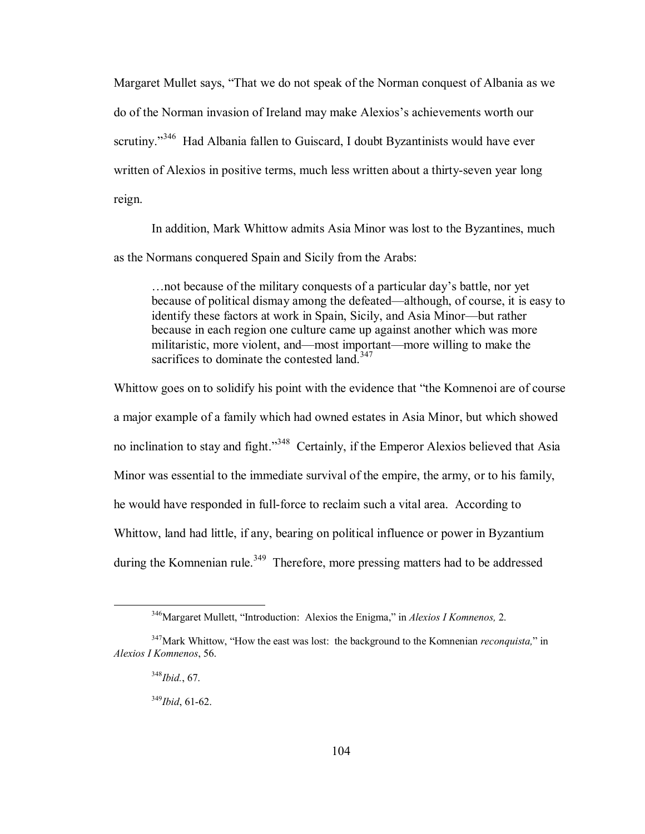Margaret Mullet says, "That we do not speak of the Norman conquest of Albania as we do of the Norman invasion of Ireland may make Alexios's achievements worth our scrutiny.<sup> $346$ </sup> Had Albania fallen to Guiscard, I doubt Byzantinists would have ever written of Alexios in positive terms, much less written about a thirty-seven year long reign.

In addition, Mark Whittow admits Asia Minor was lost to the Byzantines, much as the Normans conquered Spain and Sicily from the Arabs:

... not because of the military conquests of a particular day's battle, nor yet because of political dismay among the defeated—although, of course, it is easy to identify these factors at work in Spain, Sicily, and Asia Minor—but rather because in each region one culture came up against another which was more militaristic, more violent, and—most important—more willing to make the sacrifices to dominate the contested land.<sup>347</sup>

Whittow goes on to solidify his point with the evidence that "the Komnenoi are of course" a major example of a family which had owned estates in Asia Minor, but which showed no inclination to stay and fight.<sup>348</sup> Certainly, if the Emperor Alexios believed that Asia Minor was essential to the immediate survival of the empire, the army, or to his family, he would have responded in full-force to reclaim such a vital area. According to Whittow, land had little, if any, bearing on political influence or power in Byzantium during the Komnenian rule.<sup>349</sup> Therefore, more pressing matters had to be addressed

<sup>&</sup>lt;sup>346</sup>Margaret Mullett, "Introduction: Alexios the Enigma," in *Alexios I Komnenos*, 2.

<sup>&</sup>lt;sup>347</sup>Mark Whittow, "How the east was lost: the background to the Komnenian *reconquista*," in *Alexios I Komnenos*, 56.

<sup>348</sup>*Ibid.*, 67.

<sup>349</sup>*Ibid*, 61-62.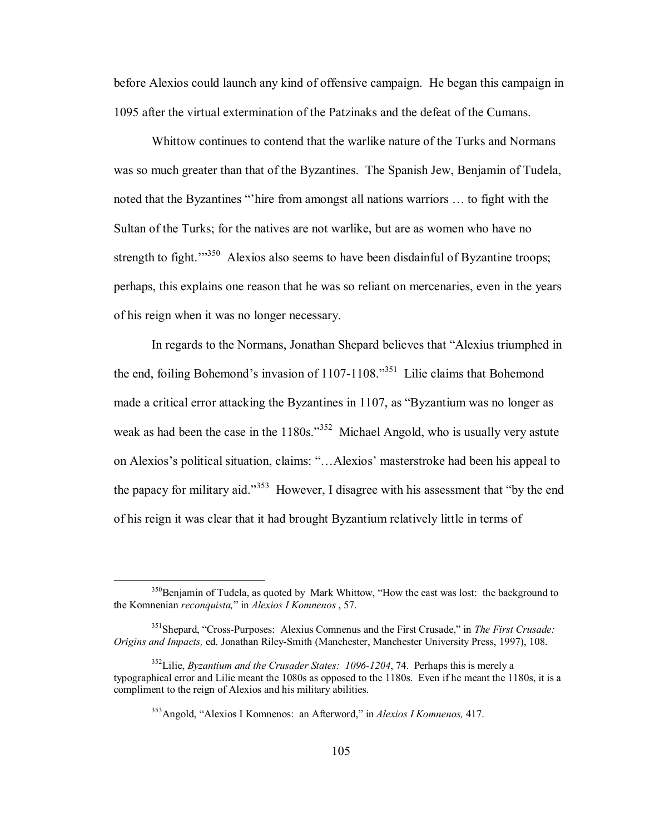before Alexios could launch any kind of offensive campaign. He began this campaign in 1095 after the virtual extermination of the Patzinaks and the defeat of the Cumans.

Whittow continues to contend that the warlike nature of the Turks and Normans was so much greater than that of the Byzantines. The Spanish Jew, Benjamin of Tudela, noted that the Byzantines "'hire from amongst all nations warriors ... to fight with the Sultan of the Turks; for the natives are not warlike, but are as women who have no strength to fight.<sup> $1350$ </sup> Alexios also seems to have been disdainful of Byzantine troops; perhaps, this explains one reason that he was so reliant on mercenaries, even in the years of his reign when it was no longer necessary.

In regards to the Normans, Jonathan Shepard believes that "Alexius triumphed in the end, foiling Bohemond's invasion of  $1107-1108$ .<sup>351</sup> Lilie claims that Bohemond made a critical error attacking the Byzantines in  $1107$ , as "Byzantium was no longer as weak as had been the case in the  $1180s$ .<sup>352</sup> Michael Angold, who is usually very astute on Alexios's political situation, claims: "...Alexios' masterstroke had been his appeal to the papacy for military aid.<sup>353</sup> However, I disagree with his assessment that "by the end" of his reign it was clear that it had brought Byzantium relatively little in terms of

 $350$ Benjamin of Tudela, as quoted by Mark Whittow, "How the east was lost: the background to the Komnenian *reconquista,*î in *Alexios I Komnenos* , 57.

<sup>&</sup>lt;sup>351</sup>Shepard, "Cross-Purposes: Alexius Comnenus and the First Crusade," in *The First Crusade: Origins and Impacts,* ed. Jonathan Riley-Smith (Manchester, Manchester University Press, 1997), 108.

<sup>352</sup>Lilie, *Byzantium and the Crusader States: 1096-1204*, 74. Perhaps this is merely a typographical error and Lilie meant the 1080s as opposed to the 1180s. Even if he meant the 1180s, it is a compliment to the reign of Alexios and his military abilities.

<sup>&</sup>lt;sup>353</sup>Angold, "Alexios I Komnenos: an Afterword," in *Alexios I Komnenos*, 417.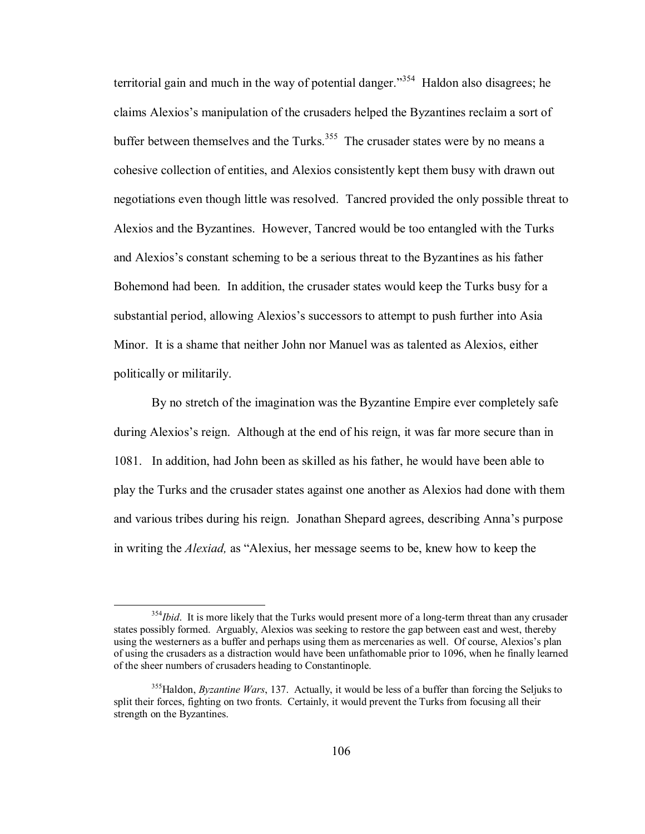territorial gain and much in the way of potential danger.<sup>354</sup> Haldon also disagrees; he claims Alexiosís manipulation of the crusaders helped the Byzantines reclaim a sort of buffer between themselves and the Turks.<sup>355</sup> The crusader states were by no means a cohesive collection of entities, and Alexios consistently kept them busy with drawn out negotiations even though little was resolved. Tancred provided the only possible threat to Alexios and the Byzantines. However, Tancred would be too entangled with the Turks and Alexios's constant scheming to be a serious threat to the Byzantines as his father Bohemond had been. In addition, the crusader states would keep the Turks busy for a substantial period, allowing Alexios's successors to attempt to push further into Asia Minor. It is a shame that neither John nor Manuel was as talented as Alexios, either politically or militarily.

By no stretch of the imagination was the Byzantine Empire ever completely safe during Alexios's reign. Although at the end of his reign, it was far more secure than in 1081. In addition, had John been as skilled as his father, he would have been able to play the Turks and the crusader states against one another as Alexios had done with them and various tribes during his reign. Jonathan Shepard agrees, describing Annaís purpose in writing the *Alexiad*, as "Alexius, her message seems to be, knew how to keep the

<sup>&</sup>lt;sup>354</sup>*Ibid*. It is more likely that the Turks would present more of a long-term threat than any crusader states possibly formed. Arguably, Alexios was seeking to restore the gap between east and west, thereby using the westerners as a buffer and perhaps using them as mercenaries as well. Of course, Alexios's plan of using the crusaders as a distraction would have been unfathomable prior to 1096, when he finally learned of the sheer numbers of crusaders heading to Constantinople.

 <sup>355</sup>Haldon, *Byzantine Wars*, 137. Actually, it would be less of a buffer than forcing the Seljuks to split their forces, fighting on two fronts. Certainly, it would prevent the Turks from focusing all their strength on the Byzantines.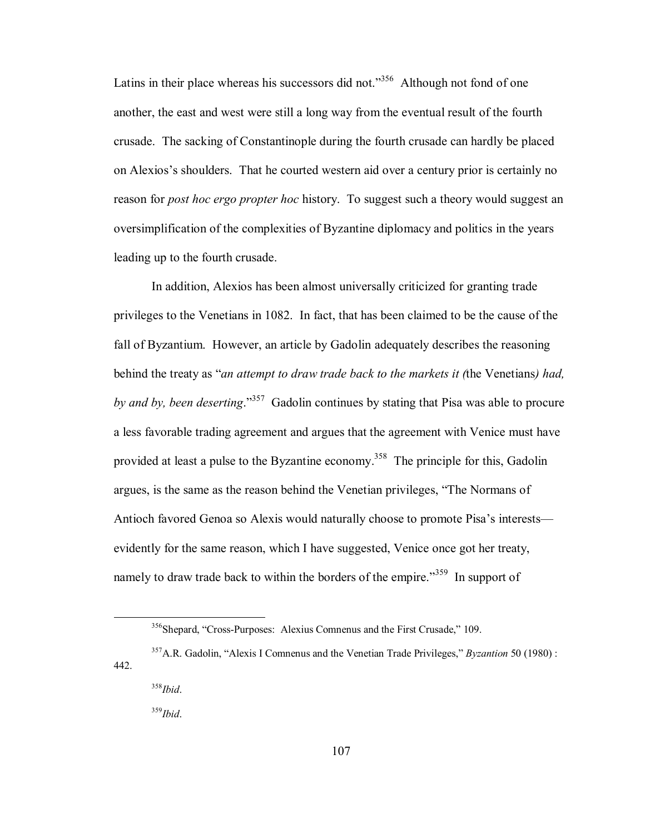Latins in their place whereas his successors did not.<sup> $356$ </sup> Although not fond of one another, the east and west were still a long way from the eventual result of the fourth crusade. The sacking of Constantinople during the fourth crusade can hardly be placed on Alexios's shoulders. That he courted western aid over a century prior is certainly no reason for *post hoc ergo propter hoc* history. To suggest such a theory would suggest an oversimplification of the complexities of Byzantine diplomacy and politics in the years leading up to the fourth crusade.

In addition, Alexios has been almost universally criticized for granting trade privileges to the Venetians in 1082. In fact, that has been claimed to be the cause of the fall of Byzantium. However, an article by Gadolin adequately describes the reasoning behind the treaty as "*an attempt to draw trade back to the markets it (the Venetians) had, by and by, been deserting.*<sup>357</sup> Gadolin continues by stating that Pisa was able to procure a less favorable trading agreement and argues that the agreement with Venice must have provided at least a pulse to the Byzantine economy.<sup>358</sup> The principle for this, Gadolin argues, is the same as the reason behind the Venetian privileges, "The Normans of Antioch favored Genoa so Alexis would naturally choose to promote Pisa's interests evidently for the same reason, which I have suggested, Venice once got her treaty, namely to draw trade back to within the borders of the empire.<sup>359</sup> In support of

 $356$ Shepard, "Cross-Purposes: Alexius Comnenus and the First Crusade," 109.

<sup>&</sup>lt;sup>357</sup>A.R. Gadolin, "Alexis I Comnenus and the Venetian Trade Privileges," *Byzantion* 50 (1980) : 442.

<sup>358</sup>*Ibid*.

 <sup>359</sup>*Ibid*.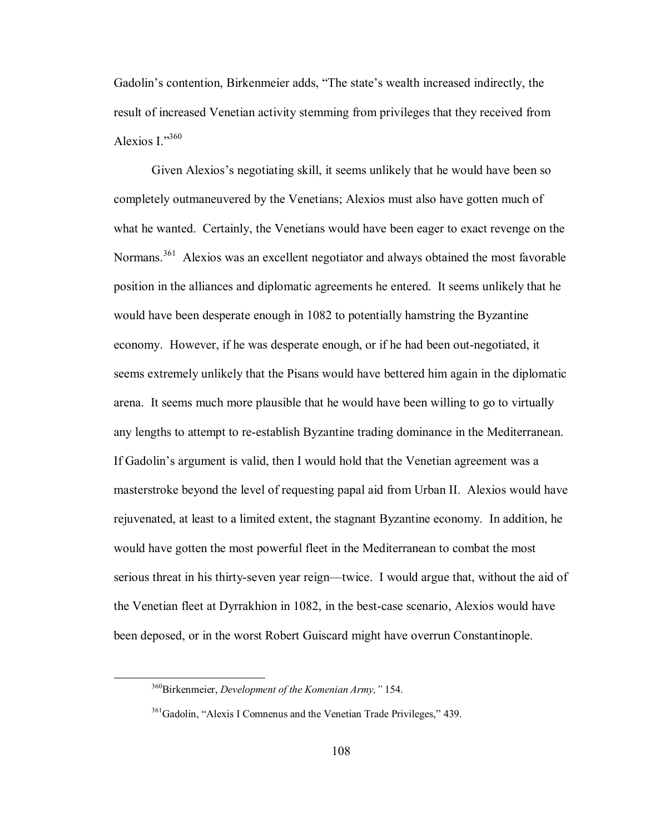Gadolin's contention, Birkenmeier adds, "The state's wealth increased indirectly, the result of increased Venetian activity stemming from privileges that they received from Alexios I $^{360}$ 

Given Alexios's negotiating skill, it seems unlikely that he would have been so completely outmaneuvered by the Venetians; Alexios must also have gotten much of what he wanted. Certainly, the Venetians would have been eager to exact revenge on the Normans.<sup>361</sup> Alexios was an excellent negotiator and always obtained the most favorable position in the alliances and diplomatic agreements he entered. It seems unlikely that he would have been desperate enough in 1082 to potentially hamstring the Byzantine economy. However, if he was desperate enough, or if he had been out-negotiated, it seems extremely unlikely that the Pisans would have bettered him again in the diplomatic arena. It seems much more plausible that he would have been willing to go to virtually any lengths to attempt to re-establish Byzantine trading dominance in the Mediterranean. If Gadolin's argument is valid, then I would hold that the Venetian agreement was a masterstroke beyond the level of requesting papal aid from Urban II. Alexios would have rejuvenated, at least to a limited extent, the stagnant Byzantine economy. In addition, he would have gotten the most powerful fleet in the Mediterranean to combat the most serious threat in his thirty-seven year reign—twice. I would argue that, without the aid of the Venetian fleet at Dyrrakhion in 1082, in the best-case scenario, Alexios would have been deposed, or in the worst Robert Guiscard might have overrun Constantinople.

<sup>&</sup>lt;sup>360</sup>Birkenmeier, *Development of the Komenian Army*," 154.

 $361$ Gadolin, "Alexis I Comnenus and the Venetian Trade Privileges," 439.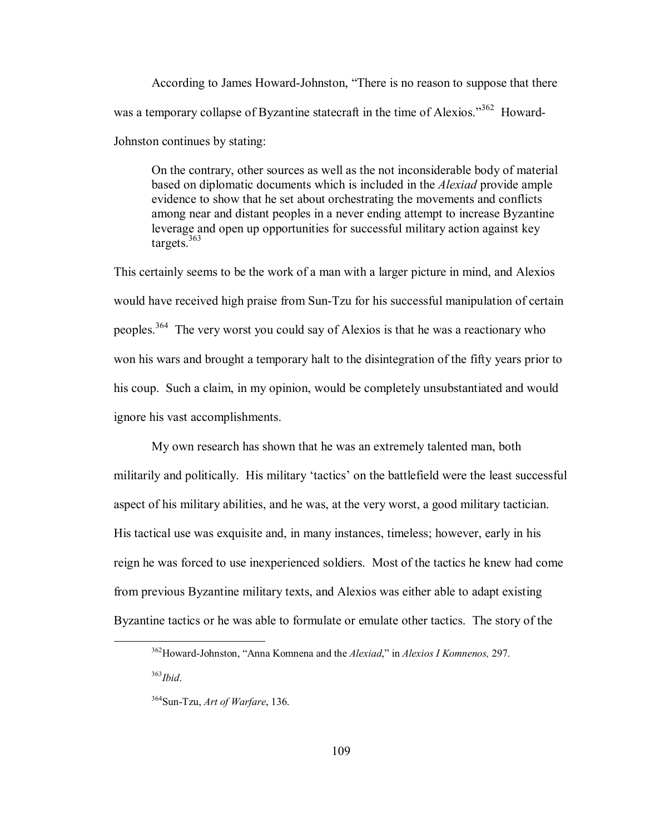According to James Howard-Johnston, "There is no reason to suppose that there was a temporary collapse of Byzantine statecraft in the time of Alexios.<sup>362</sup> Howard-Johnston continues by stating:

On the contrary, other sources as well as the not inconsiderable body of material based on diplomatic documents which is included in the *Alexiad* provide ample evidence to show that he set about orchestrating the movements and conflicts among near and distant peoples in a never ending attempt to increase Byzantine leverage and open up opportunities for successful military action against key targets.363

This certainly seems to be the work of a man with a larger picture in mind, and Alexios would have received high praise from Sun-Tzu for his successful manipulation of certain peoples.364 The very worst you could say of Alexios is that he was a reactionary who won his wars and brought a temporary halt to the disintegration of the fifty years prior to his coup. Such a claim, in my opinion, would be completely unsubstantiated and would ignore his vast accomplishments.

 My own research has shown that he was an extremely talented man, both militarily and politically. His military 'tactics' on the battlefield were the least successful aspect of his military abilities, and he was, at the very worst, a good military tactician. His tactical use was exquisite and, in many instances, timeless; however, early in his reign he was forced to use inexperienced soldiers. Most of the tactics he knew had come from previous Byzantine military texts, and Alexios was either able to adapt existing Byzantine tactics or he was able to formulate or emulate other tactics. The story of the

<sup>363</sup>*Ibid*.

<sup>&</sup>lt;sup>362</sup>Howard-Johnston, "Anna Komnena and the *Alexiad*," in *Alexios I Komnenos*, 297.

<sup>364</sup>Sun-Tzu, *Art of Warfare*, 136.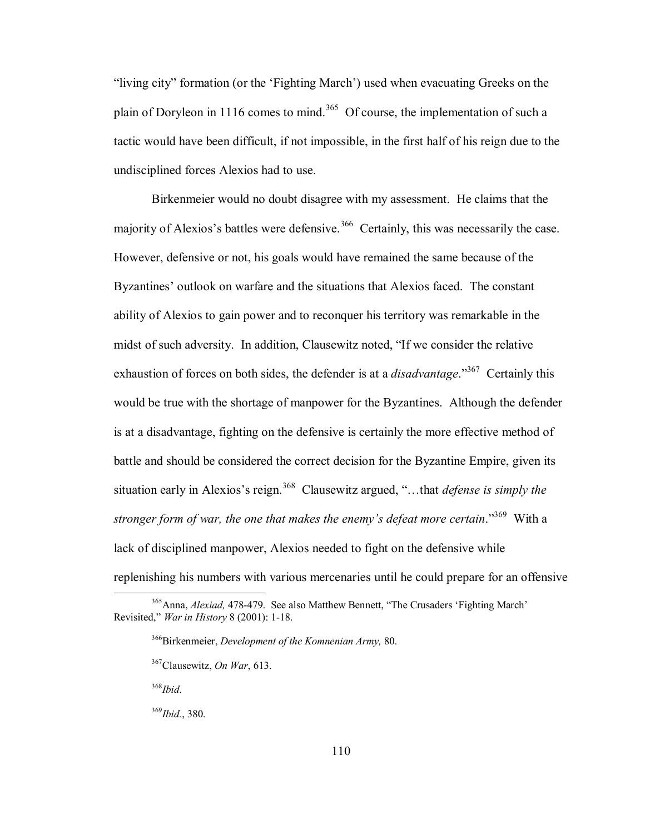"living city" formation (or the 'Fighting March') used when evacuating Greeks on the plain of Doryleon in 1116 comes to mind.<sup>365</sup> Of course, the implementation of such a tactic would have been difficult, if not impossible, in the first half of his reign due to the undisciplined forces Alexios had to use.

Birkenmeier would no doubt disagree with my assessment. He claims that the majority of Alexios's battles were defensive.<sup>366</sup> Certainly, this was necessarily the case. However, defensive or not, his goals would have remained the same because of the Byzantines' outlook on warfare and the situations that Alexios faced. The constant ability of Alexios to gain power and to reconquer his territory was remarkable in the midst of such adversity. In addition, Clausewitz noted, "If we consider the relative exhaustion of forces on both sides, the defender is at a *disadvantage*.<sup>367</sup> Certainly this would be true with the shortage of manpower for the Byzantines. Although the defender is at a disadvantage, fighting on the defensive is certainly the more effective method of battle and should be considered the correct decision for the Byzantine Empire, given its situation early in Alexios's reign.<sup>368</sup> Clausewitz argued, "...that *defense is simply the stronger form of war, the one that makes the enemy's defeat more certain.*<sup>369</sup> With a lack of disciplined manpower, Alexios needed to fight on the defensive while replenishing his numbers with various mercenaries until he could prepare for an offensive

<sup>368</sup>*Ibid*.

<sup>&</sup>lt;sup>365</sup>Anna, *Alexiad*, 478-479. See also Matthew Bennett, "The Crusaders 'Fighting March' Revisited,î *War in History* 8 (2001): 1-18.

<sup>366</sup>Birkenmeier, *Development of the Komnenian Army,* 80.

<sup>367</sup>Clausewitz, *On War*, 613.

<sup>369</sup>*Ibid.*, 380.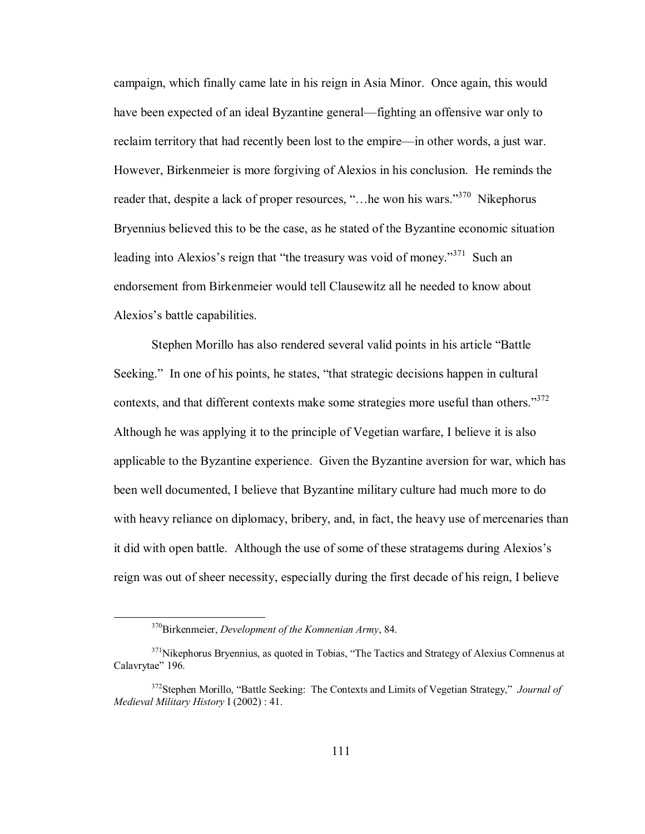campaign, which finally came late in his reign in Asia Minor. Once again, this would have been expected of an ideal Byzantine general—fighting an offensive war only to reclaim territory that had recently been lost to the empire—in other words, a just war. However, Birkenmeier is more forgiving of Alexios in his conclusion. He reminds the reader that, despite a lack of proper resources, "... he won his wars."<sup>370</sup> Nikephorus Bryennius believed this to be the case, as he stated of the Byzantine economic situation leading into Alexios's reign that "the treasury was void of money."<sup>371</sup> Such an endorsement from Birkenmeier would tell Clausewitz all he needed to know about Alexios's battle capabilities.

Stephen Morillo has also rendered several valid points in his article "Battle" Seeking." In one of his points, he states, "that strategic decisions happen in cultural contexts, and that different contexts make some strategies more useful than others.<sup>372</sup> Although he was applying it to the principle of Vegetian warfare, I believe it is also applicable to the Byzantine experience. Given the Byzantine aversion for war, which has been well documented, I believe that Byzantine military culture had much more to do with heavy reliance on diplomacy, bribery, and, in fact, the heavy use of mercenaries than it did with open battle. Although the use of some of these stratagems during Alexios's reign was out of sheer necessity, especially during the first decade of his reign, I believe

 <sup>370</sup>Birkenmeier, *Development of the Komnenian Army*, 84.

 $371$ Nikephorus Bryennius, as quoted in Tobias, "The Tactics and Strategy of Alexius Comnenus at Calavrytae" 196.

<sup>&</sup>lt;sup>372</sup>Stephen Morillo, "Battle Seeking: The Contexts and Limits of Vegetian Strategy," *Journal of Medieval Military History* I (2002) : 41.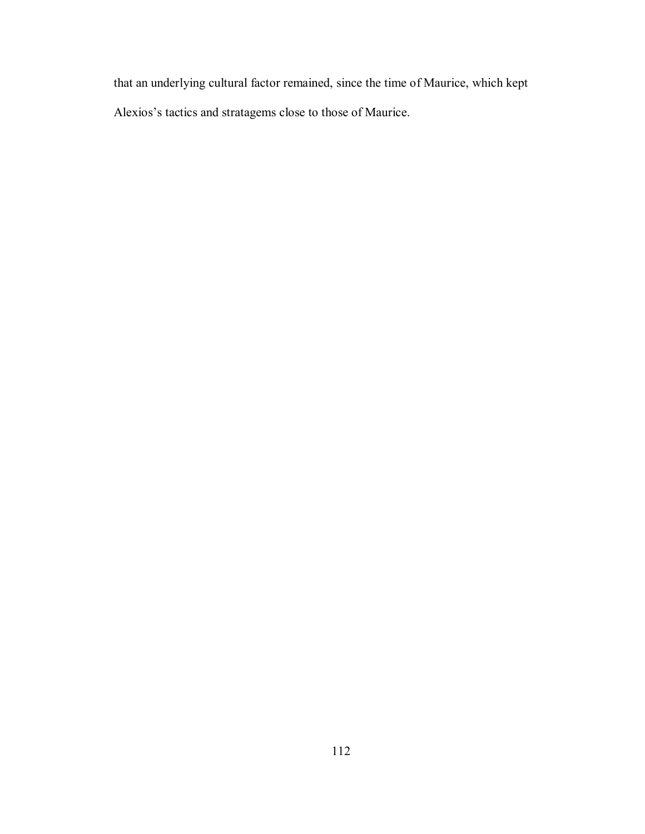that an underlying cultural factor remained, since the time of Maurice, which kept Alexios's tactics and stratagems close to those of Maurice.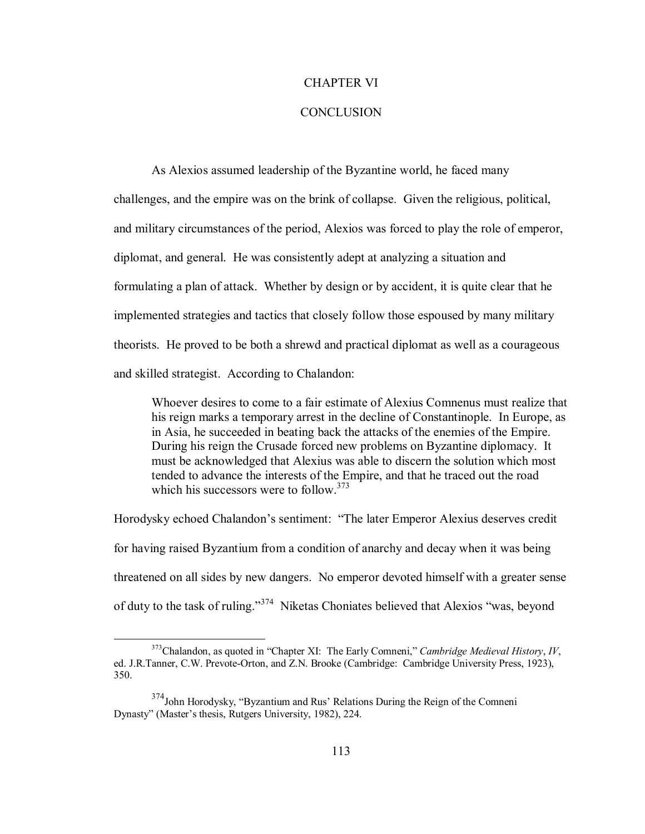### CHAPTER VI

## **CONCLUSION**

As Alexios assumed leadership of the Byzantine world, he faced many challenges, and the empire was on the brink of collapse. Given the religious, political, and military circumstances of the period, Alexios was forced to play the role of emperor, diplomat, and general. He was consistently adept at analyzing a situation and formulating a plan of attack. Whether by design or by accident, it is quite clear that he implemented strategies and tactics that closely follow those espoused by many military theorists. He proved to be both a shrewd and practical diplomat as well as a courageous and skilled strategist. According to Chalandon:

Whoever desires to come to a fair estimate of Alexius Comnenus must realize that his reign marks a temporary arrest in the decline of Constantinople. In Europe, as in Asia, he succeeded in beating back the attacks of the enemies of the Empire. During his reign the Crusade forced new problems on Byzantine diplomacy. It must be acknowledged that Alexius was able to discern the solution which most tended to advance the interests of the Empire, and that he traced out the road which his successors were to follow. $373$ 

Horodysky echoed Chalandon's sentiment: "The later Emperor Alexius deserves credit for having raised Byzantium from a condition of anarchy and decay when it was being threatened on all sides by new dangers. No emperor devoted himself with a greater sense of duty to the task of ruling.<sup>374</sup> Niketas Choniates believed that Alexios "was, beyond"

 $373$ Chalandon, as quoted in "Chapter XI: The Early Comneni," *Cambridge Medieval History*, *IV*, ed. J.R.Tanner, C.W. Prevote-Orton, and Z.N. Brooke (Cambridge: Cambridge University Press, 1923), 350.

 $374$ John Horodysky, "Byzantium and Rus' Relations During the Reign of the Comneni Dynasty" (Master's thesis, Rutgers University, 1982), 224.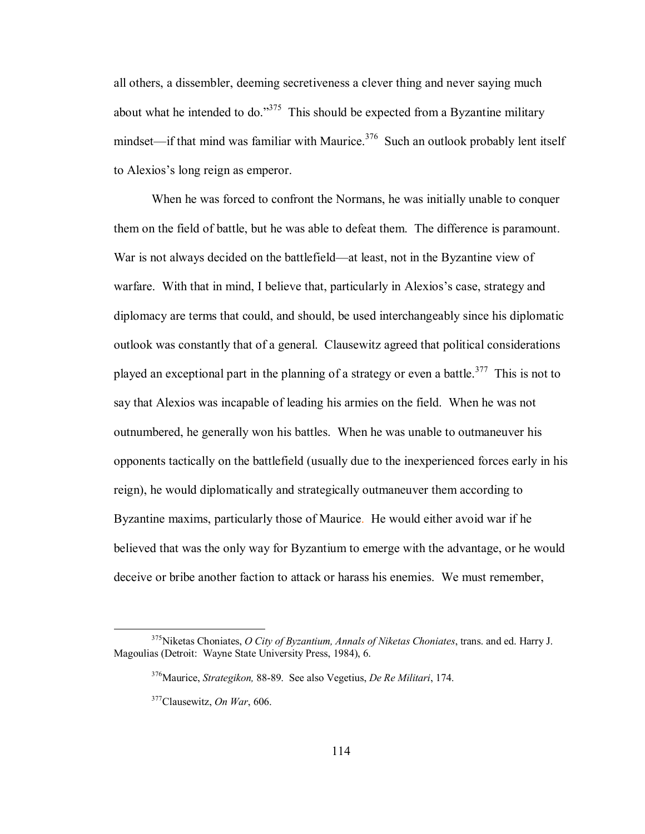all others, a dissembler, deeming secretiveness a clever thing and never saying much about what he intended to do.<sup>375</sup> This should be expected from a Byzantine military mindset—if that mind was familiar with Maurice.<sup>376</sup> Such an outlook probably lent itself to Alexios's long reign as emperor.

When he was forced to confront the Normans, he was initially unable to conquer them on the field of battle, but he was able to defeat them. The difference is paramount. War is not always decided on the battlefield—at least, not in the Byzantine view of warfare. With that in mind, I believe that, particularly in Alexios's case, strategy and diplomacy are terms that could, and should, be used interchangeably since his diplomatic outlook was constantly that of a general. Clausewitz agreed that political considerations played an exceptional part in the planning of a strategy or even a battle.<sup>377</sup> This is not to say that Alexios was incapable of leading his armies on the field. When he was not outnumbered, he generally won his battles. When he was unable to outmaneuver his opponents tactically on the battlefield (usually due to the inexperienced forces early in his reign), he would diplomatically and strategically outmaneuver them according to Byzantine maxims, particularly those of Maurice. He would either avoid war if he believed that was the only way for Byzantium to emerge with the advantage, or he would deceive or bribe another faction to attack or harass his enemies. We must remember,

 <sup>375</sup>Niketas Choniates, *O City of Byzantium, Annals of Niketas Choniates*, trans. and ed. Harry J. Magoulias (Detroit: Wayne State University Press, 1984), 6.

 <sup>376</sup>Maurice, *Strategikon,* 88-89. See also Vegetius, *De Re Militari*, 174.

 <sup>377</sup>Clausewitz, *On War*, 606.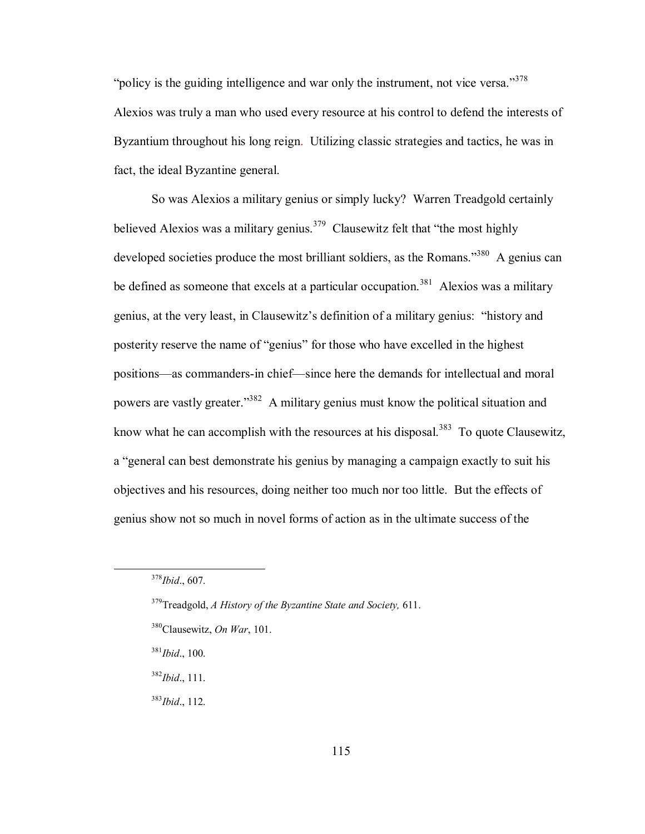"policy is the guiding intelligence and war only the instrument, not vice versa."<sup>378</sup> Alexios was truly a man who used every resource at his control to defend the interests of Byzantium throughout his long reign. Utilizing classic strategies and tactics, he was in fact, the ideal Byzantine general.

So was Alexios a military genius or simply lucky? Warren Treadgold certainly believed Alexios was a military genius.<sup>379</sup> Clausewitz felt that "the most highly developed societies produce the most brilliant soldiers, as the Romans.<sup>3380</sup> A genius can be defined as someone that excels at a particular occupation.<sup>381</sup> Alexios was a military genius, at the very least, in Clausewitz's definition of a military genius: "history and posterity reserve the name of "genius" for those who have excelled in the highest positions—as commanders-in chief—since here the demands for intellectual and moral powers are vastly greater.<sup>332</sup> A military genius must know the political situation and know what he can accomplish with the resources at his disposal.<sup>383</sup> To quote Clausewitz, a "general can best demonstrate his genius by managing a campaign exactly to suit his objectives and his resources, doing neither too much nor too little. But the effects of genius show not so much in novel forms of action as in the ultimate success of the

<sup>383</sup>*Ibid*., 112.

 <sup>378</sup>*Ibid*., 607.

<sup>379</sup>Treadgold, *A History of the Byzantine State and Society,* 611.

<sup>380</sup>Clausewitz, *On War*, 101.

<sup>381</sup>*Ibid*., 100.

<sup>382</sup>*Ibid*., 111.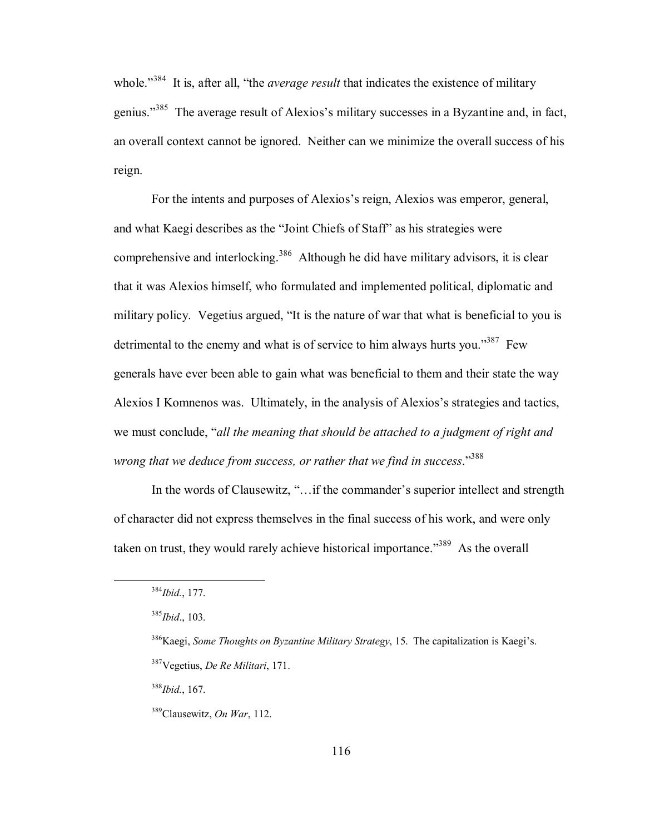whole.<sup>3384</sup> It is, after all, "the *average result* that indicates the existence of military genius.<sup>385</sup> The average result of Alexios's military successes in a Byzantine and, in fact, an overall context cannot be ignored. Neither can we minimize the overall success of his reign.

For the intents and purposes of Alexios's reign, Alexios was emperor, general, and what Kaegi describes as the "Joint Chiefs of Staff" as his strategies were comprehensive and interlocking.<sup>386</sup> Although he did have military advisors, it is clear that it was Alexios himself, who formulated and implemented political, diplomatic and military policy. Vegetius argued, "It is the nature of war that what is beneficial to you is detrimental to the enemy and what is of service to him always hurts you.<sup>387</sup> Few generals have ever been able to gain what was beneficial to them and their state the way Alexios I Komnenos was. Ultimately, in the analysis of Alexios's strategies and tactics, we must conclude, "*all the meaning that should be attached to a judgment of right and wrong that we deduce from success, or rather that we find in success.*<sup>388</sup>

In the words of Clausewitz, "... if the commander's superior intellect and strength of character did not express themselves in the final success of his work, and were only taken on trust, they would rarely achieve historical importance.<sup>389</sup> As the overall

<sup>388</sup>*Ibid.*, 167.

 <sup>384</sup>*Ibid.*, 177.

<sup>385</sup>*Ibid*., 103.

<sup>&</sup>lt;sup>386</sup>Kaegi, *Some Thoughts on Byzantine Military Strategy*, 15. The capitalization is Kaegi's. 387Vegetius, *De Re Militari*, 171.

 <sup>389</sup>Clausewitz, *On War*, 112.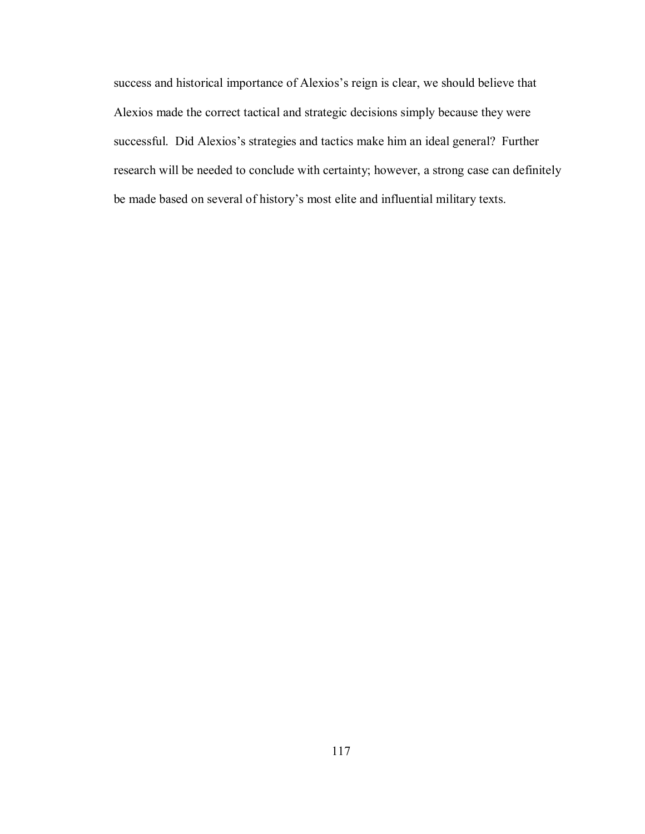success and historical importance of Alexios's reign is clear, we should believe that Alexios made the correct tactical and strategic decisions simply because they were successful. Did Alexios's strategies and tactics make him an ideal general? Further research will be needed to conclude with certainty; however, a strong case can definitely be made based on several of history's most elite and influential military texts.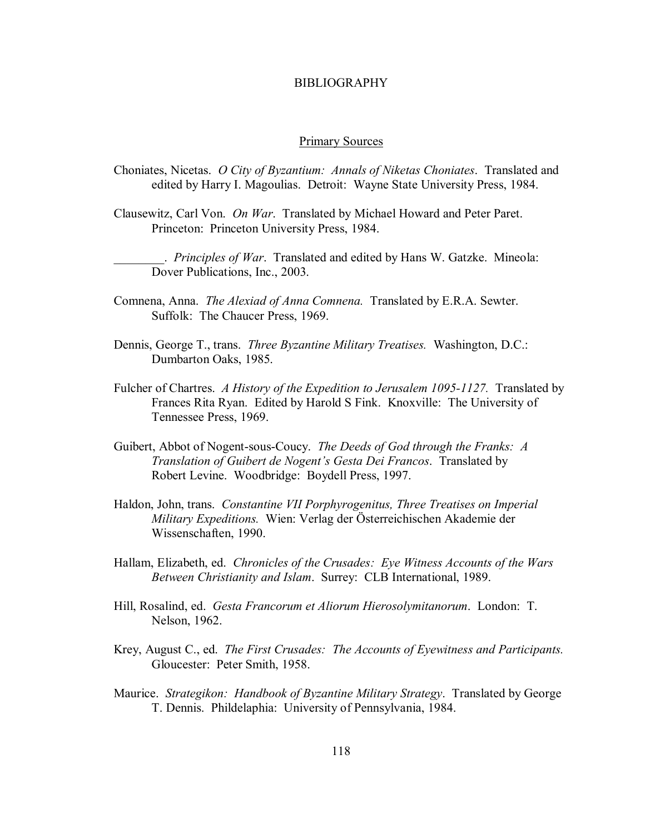## BIBLIOGRAPHY

#### Primary Sources

- Choniates, Nicetas. *O City of Byzantium: Annals of Niketas Choniates*. Translated and edited by Harry I. Magoulias. Detroit: Wayne State University Press, 1984.
- Clausewitz, Carl Von. *On War*. Translated by Michael Howard and Peter Paret. Princeton: Princeton University Press, 1984.

\_\_\_\_\_\_\_\_. *Principles of War*. Translated and edited by Hans W. Gatzke. Mineola: Dover Publications, Inc., 2003.

- Comnena, Anna. *The Alexiad of Anna Comnena.* Translated by E.R.A. Sewter. Suffolk: The Chaucer Press, 1969.
- Dennis, George T., trans. *Three Byzantine Military Treatises.* Washington, D.C.: Dumbarton Oaks, 1985.
- Fulcher of Chartres. *A History of the Expedition to Jerusalem 1095-1127.* Translated by Frances Rita Ryan. Edited by Harold S Fink. Knoxville: The University of Tennessee Press, 1969.
- Guibert, Abbot of Nogent-sous-Coucy. *The Deeds of God through the Franks: A Translation of Guibert de Nogent's Gesta Dei Francos.* **Translated by** Robert Levine. Woodbridge: Boydell Press, 1997.
- Haldon, John, trans. *Constantine VII Porphyrogenitus, Three Treatises on Imperial Military Expeditions.* Wien: Verlag der Österreichischen Akademie der Wissenschaften, 1990.
- Hallam, Elizabeth, ed. *Chronicles of the Crusades: Eye Witness Accounts of the Wars Between Christianity and Islam*. Surrey: CLB International, 1989.
- Hill, Rosalind, ed. *Gesta Francorum et Aliorum Hierosolymitanorum*. London: T. Nelson, 1962.
- Krey, August C., ed. *The First Crusades: The Accounts of Eyewitness and Participants.* Gloucester: Peter Smith, 1958.
- Maurice. *Strategikon: Handbook of Byzantine Military Strategy*. Translated by George T. Dennis. Phildelaphia: University of Pennsylvania, 1984.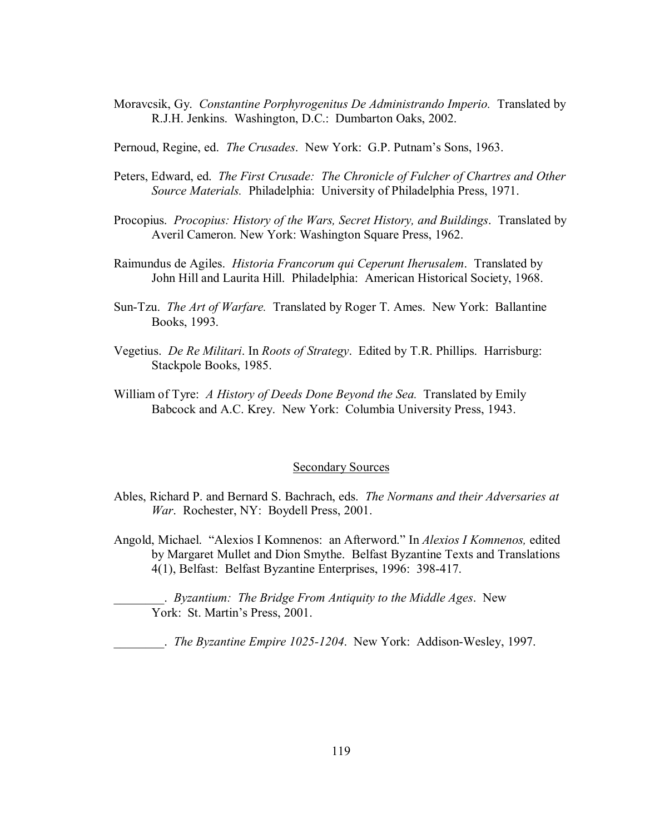Moravcsik, Gy. *Constantine Porphyrogenitus De Administrando Imperio.* Translated by R.J.H. Jenkins. Washington, D.C.: Dumbarton Oaks, 2002.

Pernoud, Regine, ed. *The Crusades*. New York: G.P. Putnam's Sons, 1963.

- Peters, Edward, ed. *The First Crusade: The Chronicle of Fulcher of Chartres and Other Source Materials.* Philadelphia: University of Philadelphia Press, 1971.
- Procopius. *Procopius: History of the Wars, Secret History, and Buildings*. Translated by Averil Cameron. New York: Washington Square Press, 1962.
- Raimundus de Agiles. *Historia Francorum qui Ceperunt Iherusalem*. Translated by John Hill and Laurita Hill. Philadelphia: American Historical Society, 1968.
- Sun-Tzu. *The Art of Warfare.* Translated by Roger T. Ames. New York: Ballantine Books, 1993.
- Vegetius. *De Re Militari*. In *Roots of Strategy*. Edited by T.R. Phillips. Harrisburg: Stackpole Books, 1985.
- William of Tyre: *A History of Deeds Done Beyond the Sea.* Translated by Emily Babcock and A.C. Krey. New York: Columbia University Press, 1943.

#### Secondary Sources

- Ables, Richard P. and Bernard S. Bachrach, eds. *The Normans and their Adversaries at War*. Rochester, NY: Boydell Press, 2001.
- Angold, Michael. "Alexios I Komnenos: an Afterword." In *Alexios I Komnenos*, edited by Margaret Mullet and Dion Smythe. Belfast Byzantine Texts and Translations 4(1), Belfast: Belfast Byzantine Enterprises, 1996: 398-417.

\_\_\_\_\_\_\_\_. *Byzantium: The Bridge From Antiquity to the Middle Ages*. New York: St. Martin's Press, 2001.

\_\_\_\_\_\_\_\_. *The Byzantine Empire 1025-1204*. New York: Addison-Wesley, 1997.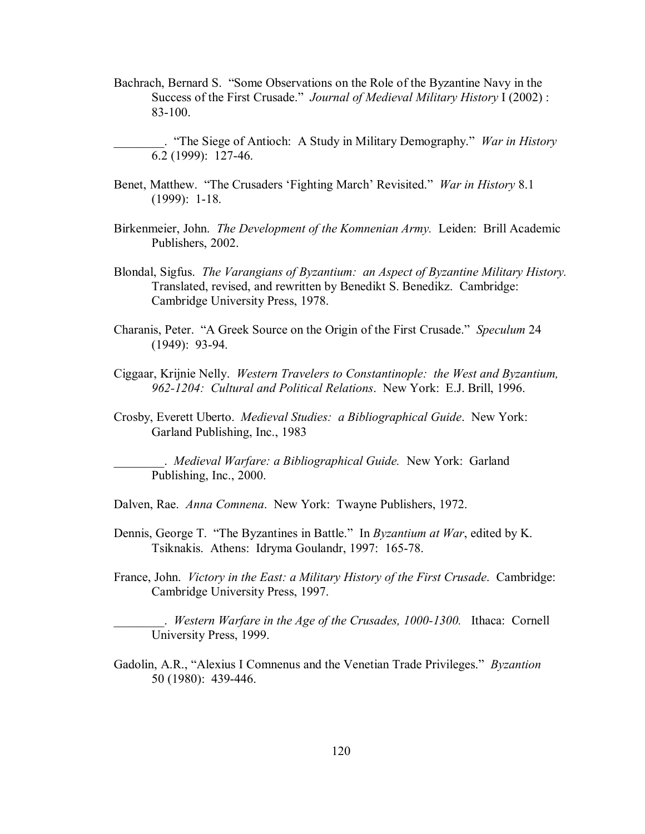Bachrach, Bernard S. "Some Observations on the Role of the Byzantine Navy in the Success of the First Crusade." *Journal of Medieval Military History* I (2002) : 83-100.

\_\_\_\_\_\_\_\_. ìThe Siege of Antioch: A Study in Military Demography.î *War in History* 6.2 (1999): 127-46.

- Benet, Matthew. "The Crusaders 'Fighting March' Revisited." *War in History* 8.1 (1999): 1-18.
- Birkenmeier, John. *The Development of the Komnenian Army.* Leiden:Brill Academic Publishers, 2002.
- Blondal, Sigfus. *The Varangians of Byzantium: an Aspect of Byzantine Military History.* Translated, revised, and rewritten by Benedikt S. Benedikz. Cambridge: Cambridge University Press, 1978.
- Charanis, Peter. "A Greek Source on the Origin of the First Crusade." *Speculum* 24 (1949): 93-94.
- Ciggaar, Krijnie Nelly. *Western Travelers to Constantinople: the West and Byzantium, 962-1204: Cultural and Political Relations*. New York: E.J. Brill, 1996.
- Crosby, Everett Uberto. *Medieval Studies: a Bibliographical Guide*. New York: Garland Publishing, Inc., 1983

\_\_\_\_\_\_\_\_. *Medieval Warfare: a Bibliographical Guide.* New York: Garland Publishing, Inc., 2000.

- Dalven, Rae. *Anna Comnena*. New York: Twayne Publishers, 1972.
- Dennis, George T. "The Byzantines in Battle." In *Byzantium at War*, edited by K. Tsiknakis. Athens: Idryma Goulandr, 1997: 165-78.
- France, John. *Victory in the East: a Military History of the First Crusade*. Cambridge: Cambridge University Press, 1997.

\_\_\_\_\_\_\_\_. *Western Warfare in the Age of the Crusades, 1000-1300.* Ithaca: Cornell University Press, 1999.

Gadolin, A.R., "Alexius I Comnenus and the Venetian Trade Privileges." *Byzantion* 50 (1980): 439-446.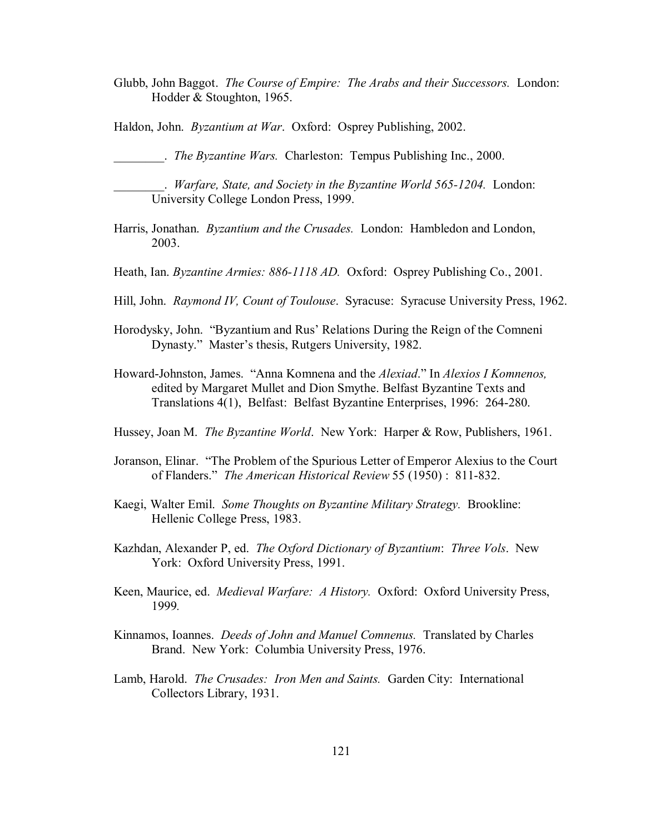Glubb, John Baggot. *The Course of Empire: The Arabs and their Successors.* London: Hodder & Stoughton, 1965.

Haldon, John. *Byzantium at War*. Oxford: Osprey Publishing, 2002.

\_\_\_\_\_\_\_\_. *The Byzantine Wars.* Charleston: Tempus Publishing Inc., 2000.

\_\_\_\_\_\_\_\_. *Warfare, State, and Society in the Byzantine World 565-1204.* London: University College London Press, 1999.

- Harris, Jonathan. *Byzantium and the Crusades.* London: Hambledon and London, 2003.
- Heath, Ian. *Byzantine Armies: 886-1118 AD.* Oxford: Osprey Publishing Co., 2001.
- Hill, John. *Raymond IV, Count of Toulouse*. Syracuse: Syracuse University Press, 1962.
- Horodysky, John. "Byzantium and Rus' Relations During the Reign of the Comneni Dynasty." Master's thesis, Rutgers University, 1982.
- Howard-Johnston, James. "Anna Komnena and the *Alexiad.*" In *Alexios I Komnenos,* edited by Margaret Mullet and Dion Smythe. Belfast Byzantine Texts and Translations 4(1), Belfast: Belfast Byzantine Enterprises, 1996: 264-280.
- Hussey, Joan M. *The Byzantine World*. New York: Harper & Row, Publishers, 1961.
- Joranson, Elinar. "The Problem of the Spurious Letter of Emperor Alexius to the Court of Flanders.î *The American Historical Review* 55 (1950) : 811-832.
- Kaegi, Walter Emil. *Some Thoughts on Byzantine Military Strategy.* Brookline: Hellenic College Press, 1983.
- Kazhdan, Alexander P, ed. *The Oxford Dictionary of Byzantium*: *Three Vols*. New York: Oxford University Press, 1991.
- Keen, Maurice, ed. *Medieval Warfare: A History.* Oxford: Oxford University Press, 1999*.*
- Kinnamos, Ioannes. *Deeds of John and Manuel Comnenus.* Translated by Charles Brand. New York: Columbia University Press, 1976.
- Lamb, Harold. *The Crusades: Iron Men and Saints.* Garden City: International Collectors Library, 1931.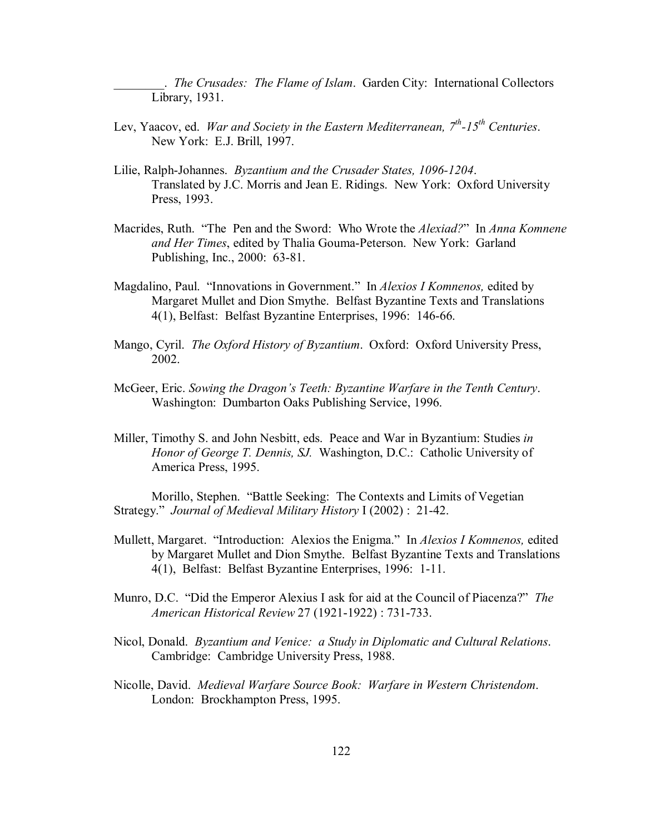\_\_\_\_\_\_\_\_. *The Crusades: The Flame of Islam*. Garden City: International Collectors Library, 1931.

- Lev, Yaacov, ed. *War and Society in the Eastern Mediterranean,* 7<sup>th</sup>-15<sup>th</sup> Centuries. New York: E.J. Brill, 1997.
- Lilie, Ralph-Johannes. *Byzantium and the Crusader States, 1096-1204*. Translated by J.C. Morris and Jean E. Ridings. New York: Oxford University Press, 1993.
- Macrides, Ruth. "The Pen and the Sword: Who Wrote the *Alexiad?*" In *Anna Komnene and Her Times*, edited by Thalia Gouma-Peterson. New York: Garland Publishing, Inc., 2000: 63-81.
- Magdalino, Paul. "Innovations in Government." In *Alexios I Komnenos*, edited by Margaret Mullet and Dion Smythe. Belfast Byzantine Texts and Translations 4(1), Belfast: Belfast Byzantine Enterprises, 1996: 146-66.
- Mango, Cyril. *The Oxford History of Byzantium*. Oxford: Oxford University Press, 2002.
- McGeer, Eric. *Sowing the Dragon's Teeth: Byzantine Warfare in the Tenth Century.* Washington: Dumbarton Oaks Publishing Service, 1996.
- Miller, Timothy S. and John Nesbitt, eds. Peace and War in Byzantium: Studies *in Honor of George T. Dennis, SJ.* Washington, D.C.: Catholic University of America Press, 1995.

Morillo, Stephen. "Battle Seeking: The Contexts and Limits of Vegetian Strategy.î *Journal of Medieval Military History* I (2002) : 21-42.

- Mullett, Margaret. "Introduction: Alexios the Enigma." In *Alexios I Komnenos*, edited by Margaret Mullet and Dion Smythe. Belfast Byzantine Texts and Translations 4(1), Belfast: Belfast Byzantine Enterprises, 1996: 1-11.
- Munro, D.C. "Did the Emperor Alexius I ask for aid at the Council of Piacenza?" *The American Historical Review* 27 (1921-1922) : 731-733.
- Nicol, Donald. *Byzantium and Venice: a Study in Diplomatic and Cultural Relations*. Cambridge: Cambridge University Press, 1988.
- Nicolle, David. *Medieval Warfare Source Book: Warfare in Western Christendom*. London: Brockhampton Press, 1995.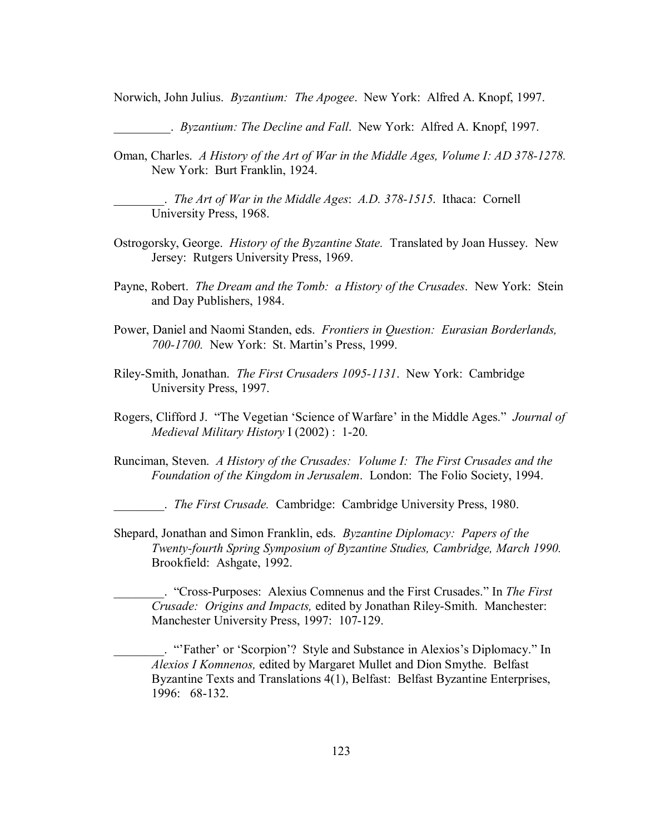Norwich, John Julius. *Byzantium: The Apogee*. New York: Alfred A. Knopf, 1997.

\_\_\_\_\_\_\_\_\_. *Byzantium: The Decline and Fall*. New York: Alfred A. Knopf, 1997.

Oman, Charles. *A History of the Art of War in the Middle Ages, Volume I: AD 378-1278.* New York: Burt Franklin, 1924.

\_\_\_\_\_\_\_\_. *The Art of War in the Middle Ages*: *A.D. 378-1515*. Ithaca: Cornell University Press, 1968.

- Ostrogorsky, George. *History of the Byzantine State.* Translated by Joan Hussey. New Jersey: Rutgers University Press, 1969.
- Payne, Robert. *The Dream and the Tomb: a History of the Crusades*. New York: Stein and Day Publishers, 1984.
- Power, Daniel and Naomi Standen, eds. *Frontiers in Question: Eurasian Borderlands,*  700-1700. New York: St. Martin's Press, 1999.
- Riley-Smith, Jonathan. *The First Crusaders 1095-1131*. New York: Cambridge University Press, 1997.
- Rogers, Clifford J. "The Vegetian 'Science of Warfare' in the Middle Ages." *Journal of Medieval Military History* I (2002) : 1-20.
- Runciman, Steven. *A History of the Crusades: Volume I: The First Crusades and the Foundation of the Kingdom in Jerusalem*. London: The Folio Society, 1994.

\_\_\_\_\_\_\_\_. *The First Crusade.* Cambridge: Cambridge University Press, 1980.

Shepard, Jonathan and Simon Franklin, eds. *Byzantine Diplomacy: Papers of the Twenty-fourth Spring Symposium of Byzantine Studies, Cambridge, March 1990.*  Brookfield: Ashgate, 1992.

\_\_\_\_\_\_\_\_. ìCross-Purposes: Alexius Comnenus and the First Crusades.î In *The First Crusade: Origins and Impacts,* edited by Jonathan Riley-Smith. Manchester: Manchester University Press, 1997: 107-129.

"Father' or 'Scorpion'? Style and Substance in Alexios's Diplomacy." In *Alexios I Komnenos,* edited by Margaret Mullet and Dion Smythe. Belfast Byzantine Texts and Translations 4(1), Belfast: Belfast Byzantine Enterprises, 1996: 68-132.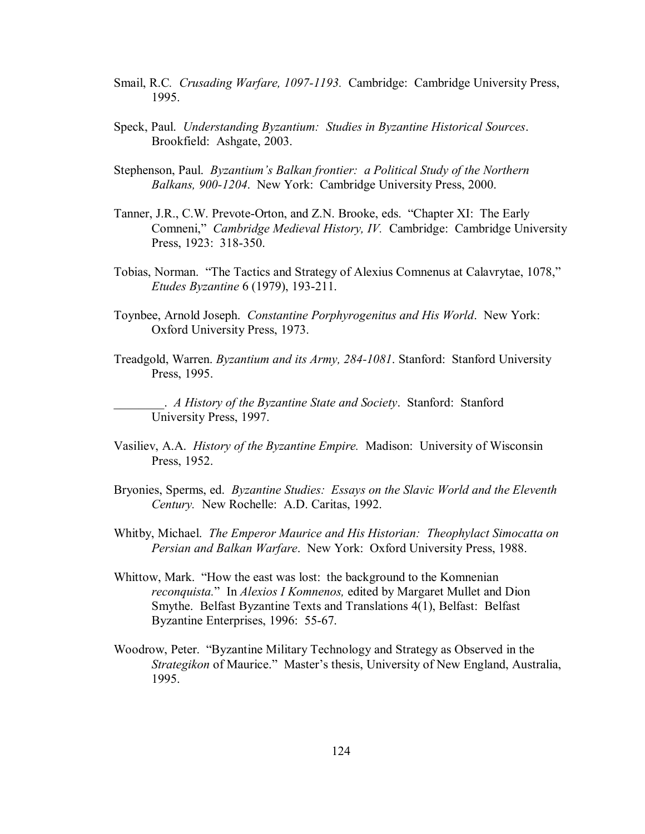- Smail, R.C*. Crusading Warfare, 1097-1193.* Cambridge: Cambridge University Press, 1995.
- Speck, Paul. *Understanding Byzantium: Studies in Byzantine Historical Sources*. Brookfield: Ashgate, 2003.
- Stephenson, Paul. *Byzantium's Balkan frontier: a Political Study of the Northern Balkans, 900-1204*. New York: Cambridge University Press, 2000.
- Tanner, J.R., C.W. Prevote-Orton, and Z.N. Brooke, eds. "Chapter XI: The Early Comneni," *Cambridge Medieval History, IV.* Cambridge: Cambridge University Press, 1923: 318-350.
- Tobias, Norman. "The Tactics and Strategy of Alexius Comnenus at Calavrytae, 1078," *Etudes Byzantine* 6 (1979), 193-211.
- Toynbee, Arnold Joseph. *Constantine Porphyrogenitus and His World*. New York: Oxford University Press, 1973.
- Treadgold, Warren. *Byzantium and its Army, 284-1081*. Stanford: Stanford University Press, 1995.

\_\_\_\_\_\_\_\_. *A History of the Byzantine State and Society*. Stanford: Stanford University Press, 1997.

- Vasiliev, A.A. *History of the Byzantine Empire.* Madison: University of Wisconsin Press, 1952.
- Bryonies, Sperms, ed. *Byzantine Studies: Essays on the Slavic World and the Eleventh Century.* New Rochelle: A.D. Caritas, 1992.
- Whitby, Michael. *The Emperor Maurice and His Historian: Theophylact Simocatta on Persian and Balkan Warfare*. New York: Oxford University Press, 1988.
- Whittow, Mark. "How the east was lost: the background to the Komnenian *reconquista.*î In *Alexios I Komnenos,* edited by Margaret Mullet and Dion Smythe. Belfast Byzantine Texts and Translations 4(1), Belfast: Belfast Byzantine Enterprises, 1996: 55-67.
- Woodrow, Peter. "Byzantine Military Technology and Strategy as Observed in the *Strategikon* of Maurice." Master's thesis, University of New England, Australia, 1995.